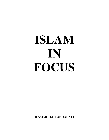# **ISLAM IN FOCUS**

**HAMMUDAH ABDALATI**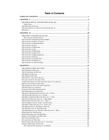# **Table of Contents**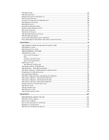| THE INTERNATIONAL LIFE |  |
|------------------------|--|
|                        |  |
|                        |  |
|                        |  |
|                        |  |
|                        |  |
|                        |  |
|                        |  |
|                        |  |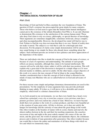### **Chapter - I** *THE IDEOLOGICAL FOUNDATION OF ISLAM*

#### Allah (God)

Knowledge of God and belief in Him constitute the very foundation of Islam. The question of God's existence has preoccupied the great minds for many centuries. Those who believe in God seem to agree that the limited finite human intelligence cannot prove the existence of the infinite Boundless God Who is. It can only illustrate or demonstrate His existence to the satisfaction of the curious human mind. Those who deny God claim to rely on science, philosophy, or special theories of knowledge. Their arguments are sometimes inapplicable, sometimes irrelevant, always complex, and often incomprehensible. However, the developed free mind will find its way to God. Failure to find the way does not mean that there is no way. Denial of reality does not make it unreal. The subject is so vital that it calls for a thorough and clear discussion. For the purpose of clarity some simple demonstration will be used. This may sound boring or too simple for those who already know something about the subject. Such informed persons are invited to have patience and show appreciation of the importance of the matter.

There are individuals who like to doubt the concept of God in the name of science, or because of a lack of experience and understanding. The attitude of such people reflects an uneasy mentality, although they claim to be learned intellectuals. My concern will not be with their claim; rather it will be with their true position. This will explain why a great deal of the discussion is designed in a simple shape as if it were directed mainly to children, and not to adults. On the other hand, a major objective of this work is to convey the true concept of God in Islam to the young Muslims. Another consideration here is that the concept of God in Islam is distorted in the minds of many non-Muslims who are so-called believers in God and advocates of religion.

For these reasons some simple and perhaps elementary demonstrations are used in this presentation. Yet the simplicity of some arguments here may provoke profound thinking in many adults. If it does so, it will prove to be a desirable and creative simplicity, which itself is a distinct characteristic of Islam.

As we look around in our environments, we see that every family has a head; every school has a principal; every city or town has a mayor; every province state has a premier governor; and every nation has a head of state. Moreover, we know beyond doubt that every product is the work of a certain producer, and that every beautiful art is the creation of some great artist. All this is obvious, yet it does not satisfy the hunger for knowledge and the curiosity of man about the great things in the world. One often wonders at the beauties of nature with its scenic charms and marvels; the almost endless horizon in the sky and their far-reaching expansions; the ceaseless succession of day and night in the most orderly manner; the course of the sun, the moon, and the great stars; the world of animate and inanimate objects, the continuous process and evolution of man generation after generation. One often wonders because one would like to know the maker and maintainer of all these things with which we live and which we immensely enjoy.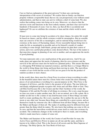Can we find an explanation of the great universe? Is there any convincing interpretation of the secret of existence? We realize that no family can function properly without a responsible head, that no city can prosperously exist without sound administration, and that no state can survive without a chief of some kind. We also realize that nothing comes into being on its own. Moreover, we observe that the universe exists and functions in the most orderly manner, and that it has survived for hundreds of thousands of years. Can we, then, say that all this is accidental and haphazard? Or can we attribute the existence of man and the whole world to mere chance?

If man were to come into being by accident or by sheer chance, his entire life would be based on chance, and his whole existence would be meaningless. But no sensible man can conceive of his life as meaningless, and no rational being would leave his existence at the mercy of fluctuating chance. Every reasonable human being tries to make his life as meaningful as possible and set for himself a model of conduct according to some design. Individuals, groups and nations do plan their course of action, and every careful plan produces some desired effects. The fact of the matter is that man does engage in planning of one sort or another, and can appreciate the merits of good planning.

Yet man represents only a very small portion of the great universe. And if he can make plans and appreciate the merits of planning, then his own existence and the survival of the universe must also be based on a planned policy. This means that there is a Designing Will behind our material existence, and that there is a Unique Mind in the world to bring things into being and keep them moving in order. The marvellous wonders of our world and the secrets of life are too great to be but the product of random accident or mere chance.

In the world, then, there must be a Great Force in action to keep everything in order. In the beautiful nature there must be a Great Artist who creates the most charming pieces of art and produces everything for a special purpose in life. This Force is the strongest of all forces, and this Artist is the greatest of all artists. The true believers and deeply enlightened people recognize this Artist and call Him Allah or God. They call Him God because He is the Creator and the Chief Architect of the world, the Originator of life and the Provider of all things in existence. He is not a man because no man can create or make another man. He is not an animal, nor is He a plant. He is neither an idol nor is He a statue of any kind because none of these things can make itself or create anything else. He is not a machine. He is neither the sun nor is He the moon or any other star, because these things are controlled by a great system, and are themselves made by someone else. He is different from all these things, because He is the Maker and Keeper of them all. The maker of anything must be different from and greater than the thing which he makes. We also know that nothing can come to life on its own, and that the marvellous world did not create itself or come into existence by accident. The continuous changes in the world prove that it is made, and everything which is made must have a maker of some sort.

The Maker and Sustainer of the world, the Creator of and Provider for man, the Active Force and Effective Power in nature are all one and the same, and that is known to be Allah or God. This is the Secret of all secrets and the Most Supreme of all beings. The Holy Qur'an, the True Book of God says: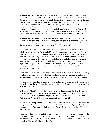It is God Who has made the night for you, that you may rest therein, and the day to see. Verily God is full of Grace and Bounty to men. Yet most men give no thanks. Such is God, your Lord, the Creator of all things. There is no god but He; why then do you turn away from Him. Thus are turned away those who deny the Signs of God. It is God Who has made for you the earth as a resting place and the sky as a shelter, and has given you shape and made your shapes beautiful, and has provided for you sustenance of things good and pure; such is God your Lord. So glory to God, the Lord of the worlds! He is the living (One); There is no god but he: call upon Him, giving Him sincere devotion. Praise be to God, Lord of the Worlds (Qur'an, 40:61-65).

It is God Who has subjected the sea to you, that ships may sail through it by His command, that you may seek of His Bounty, and that you may be grateful. And He has subjected to you, as from Him, all that is in the heavens and on earth, Behold; in that there are Signs indeed for those who reflect (Qur'an, 45:12-13).

The Supreme Master of the whole world and the Creator of everything is Allah (God). Because He is so Great and different from the other beings, man can know Him only by reflection and through meditation. He exists at all times, and His great power is in action everywhere in the world. Man has to believe in His existence because everything in the world proves that He exists. Belief in God and His great power alone can provide mankind with the best possible explanation of many mysterious things in life. This is the safest way to true knowledge and spiritual insight, the right path to good behavior and sound morals, the surest guide to happiness and prosperity.

Once man believes that God exists he must know His attributes and names. Generally speaking every perfection and absolute goodness belong to Him, and no defect or wrong applies to Him. In specific terms, one should know and believe the following:

1. God is only One, has no partner or son, neither gives birth, nor is He born. He is eternally besought by all and has no beginning or end, and none is equal to Him (Qur'an, 112:1-5)

2. He is the Merciful and the Compassionate, the Guardian and the True Guide, the Just and the Supreme Lord, the Creator and the Watchful, the First and the Last, the Knowing and the Wise, the Hearing and the Aware, the Witness and the Glorious, the Able and the Powerful (Qur'an, for example, 57:1-6; 59:22-24).

3. He is the Loving and Provider, the Generous and the Benevolent, the Rich and the Independent, the Forgiving and the Clement, the Patient and the Appreciative, the Unique and the Protector, the Judge and the Peace (Qur'an, for example, 3:31; 11:6; 35:15; 65:2-3).

Each one of these names and attributes of God is mentioned in various places in the Holy Qur' an. We all enjoy the care and mercy of God Who is so Loving and Kind to His creation. If we try to count His favors upon us, we cannot, because they are countless (Qur' an, 14:32-34; 16:10-18).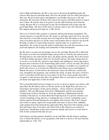God is High and Supreme, but He is very near to the pious thoughtful people; He answers their prayers and helps them. He loves the people who love Him and forgives their sins. He gives them peace and happiness, knowledge and success, life and protection, He welcomes all those who want to be at peace with Him and never rejects any of them. He teaches man to be good, to do the right and keep away from the wrong. Because He is so Good and Loving, He recommends and accepts only the good right things. The door of His mercy is always open to any who sincerely seek His support and protection (Qur'an, 2:186; 50:16).

The Love of God for His creatures is immense and beyond human imagination. We cannot measure or count His favors. He creates us and takes good care of us, not only from the time of our birth onward, but even long before that. He makes us in the best form of creation and gives us all the senses and faculties that we need for our growth. He helps us when we cannot help ourselves, and provides for us and for our dependents. He creates in man the mind to understand, the soul and conscience to be good and righteous, the feelings and sentiments to kind and humane.

By His mercy we gain true knowledge and see the real light. Because He is Merciful He creates us in the most beautiful shape and provides us with the sun and the moon, the land and sea, the earth and the skies, the plants and the animals. He is the Creator of all these things and many others for our benefit and use. He makes things that are of service to us in this life, and gives man dignity and intelligence, honor and respect, because man is the best of all created things and is God's viceroy on earth. The mercy of God gives us hope and peace, courage and confidence. It enables us to remedy our griefs and sorrows, to overcome our difficulties and obtain success and happiness. Indeed, the mercy of God relieves the distressed, cheers the afflicted, consoles the sick, strengthens the desperate, and comforts the needy. In short, the mercy of God is active everywhere all the time in every aspect of our lives. Some people may fail to recognize it only because they take it for granted. But it is real and we can feel it with our hearts and appreciate it with our minds.

The Loving Merciful God never forgets us or lets us down or ignores our sincere calls upon Him. By His Mercy and Love He has shown us the Right Way and sent to us messengers and teachers, books and revelations – all are meant for our help and guidance. The Last Messenger from God is Muhammad, and the most genuine existing book of God is the Qur' an. From the traditions of Muhammad and the teaching of the Qur'an, we learn about the Forgiving God. If a person commits a sin or does something wrong, then he is violating the Law of God, committing a grave offense against God and abusing his own dignity and existence. But if he is sincere and wishes to repent, regrets his wrong deeds and wants to turn to God, faithfully seeks pardon from God and honestly approaches Him, then God will certainly accept him and forgive him. Even those who reject God or His Oneness are assured of forgiveness, should they realize their erroneous attitude and resolve to come back to God. In this connection the Qur'an says:

God forgives not that partners should be set up with Him; but He forgives anything else, to whom He pleases; to set up partners with God is to devise a sin most heinous indeed (Qur'an, 4:48, 116).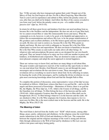Say: 'O My servants who have transgressed against their souls! Despair not of the Mercy of God: for God forgives all sins: For He is Most Forgiving, Most Merciful. Turn to your Lord (in repentance) and submit to Him, before the penalty comes on you; after that you shall not be helped. And follow the Best of the courses revealed to you from your Lord, before the penalty comes on you – of a sudden while you perceive not!' (Our'an, 39:53-54).

In return for all these great favors and kindness God does not need anything from us, because He is the Needless and the Independent. He does not ask us to pay Him back, for we cannot reward Him or value His immeasurable favors and mercy. What He commands us to do, however, is only to be good, to be thankful and appreciative, to follow His recommendations and enforce His Law, to be the proper manifestation of His goodness and excellent attributes, to be His honest agents and true representatives on earth. He does not want to enslave us, because He is the One Who grants us dignity and honor. He does not wish to subjugate us, because He is the One Who emancipates us from fear and superstitions. He does not desire to humiliate us because He is the One Who creates us and exalts our ranks above all other beings. So whatever rules and prescriptions He passes unto us are designed for our own benefit and good. They are meant to help us to enjoy our lives with one another in peace and kindness, in brotherhood and cooperation. They are destined to make us attain His most pleasant company and adopt the surest approach to eternal happiness.

There are various ways to know God, and there are many things to tell about Him. The great wonders and impressive marvels of the world are like open books in which we can read about God. Besides, God Himself comes to our aid through the many messengers and revelations He has sent down to man. These messengers and revelations tell us everything we need to know about God. So by reflecting on nature, by hearing the words of the messengers, and by reading the divine revelations we can gain most convincing knowledge about God and find the Straight Path to Him.

To complete this portion of discussion, some representative verses of the Qur' an may be rendered as follows: Allah bears witness that there is no god but He – and so do the angels and those possessed of knowledge – Maintainer of Justice; there is no god but He, the Mighty, the Wise (Qur'an, 3:19). Allah is the Creator of all things, and He is the Guardian over all things. To Him belong the keys of the heavens and the earth (39:63-64). Allah originates Creation; then He repeats it; then to Him shall you be brought back (30:12). To Him belongs whatever is in the heavens and the earth. All are obedient to Him. It is He Who originates the Creation, then repeats it, for it is most easy for Him. His is the most exalted state in the heavens and the earth. He is the Mighty, the Wise (30:27-28)

#### *The Meaning of Islam*

The word Islam is derived from the Arabic root " SLM" which means, among other things, peace, purity, submission and obedience. In the religious sense the word Islam means submission to the Will of God and obedience to His Law. The connection between the original and the religious meanings of the word is strong and obvious. Only through submission to the Will of God and by obedience to His Law can one achieve true peace and enjoy lasting purity.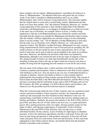Some outsiders call our religion "Mohammedanism" and address the believers in Islam as "Mohammedans ". the Muslims both reject and protest the use of these words. If our faith is classified as Mohammedanism and if we are called Mohemmadans, there will be seriously wrong implications. This misnomer implies that the religion takes its name after a mortal being, namely, Muhammad and that Islam is no more than another "ism" like Judasim, Hinduism, Marxism, etc. Another wrong implication of this misnomer is that outsiders might think of the Muslims, whom they call Mohammedans, as worshippers of Muhammad or as believers in him in the same way as Christians, for example, believe in Jesus. A further wrong implication is that the word Mohammedanism may mislead the outsider and make him think that the religion was founded by Muhammad and therefore takes its name after the founder. All these implications are seriously wrong or at best misleading. Islam is not just another "ism". Nor do Muslims worship Muhammad or look upon him the same way as Christians, Jews, Hindus, Marxists, etc., look upon their respective leaders. The Muslims worship God alone. Muhammad was only a mortal being commissioned by God to teach the word of God and lead an exemplary life. He stands in history as the best model for man in piety and perfection. He is a living proof of what man can be and of what he can accomplish in the realm of excellence and virtue. Moreover, the Muslims do not believe that Islam was founded by Muhammad, although it was restored by him in the last stage of religious evolution. The original founder of Islam is no other than God Himself, and the date of the founding of Islam goes back to the age of Adam. Islam has existed in one form or another all along from the beginning and will continue to exist till the end of time.

The true name of the religion, then, is Islam and those who follow it are Muslims. Contrary to popular misconceptions, Islam or submission to the Will of God, together with obedience to His Law, does not mean in any way loss of individual freedom or surrender to fatalism. Anyone who thinks or believes so has certainly failed to understand the true meaning of Islam and the concept of God in Islam. The concept of God in Islam describes Him as the Most Merciful and Gracious, and the Most Loving and most concerned with the well-being of man, and as Full of Wisdom and care for His Creatures. His Will, accordingly, is a Will of Benevolence and Goodness, and whatever Law He prescribes must be in the best interest of mankind.

When the civilized people abide the laws of their countries, they are considered sound citizens and honest members of their respective societies. No responsible person would say that such people lose their freedom by their obedience to the Law. No rational being would think or believe for a moment that such law-abiding people are fatalists and helpless. Similarly, the person who submits to the Will of God, which is good Will, and obeys the law of God, which is the best Law, is a sound and honest person. He is gaining protection of his own rights, showing genuine respect for the rights of others, and enjoying a high degree of responsible, creative freedom. Submission to the good Will of God, therefore, does not take away or curtail individual freedom. On the contrary, it gives freedom of a high degree in abundant measures. It frees the mind from superstitions and fills it with truth. It frees the soul from sin and wrong and quickens it with goodness and purity. It frees the self from vanity and greed, from envy and tension, from fear and insecurity. It frees man from subjugation to false deities and low desires, and unfolds before him the beautiful horizons of goodness and excellence.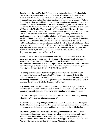Submission to the good Will of God, together with the obedience to His beneficial Law, is the best safeguard of peace and harmony. It enables man to make peace between himself and his fellow men on the one hand, and between the human community and God on the other. It creates harmony among the elements of Nature. According to Islam, everything in the world, or every phenomenon other than man is administered by God-made Laws. This makes the entire physical world necessarily obedient to God and submissive to His laws, which, in turn, means that it is in a state of Islam, or it is Muslim. The physical world has no choice of its own. It has no voluntary course to follow on its own initiative but obeys the Law of the Creator, the Law of Islam or submission. Man alone is singled out as being endowed with intelligence and the power of making choices. And because man possesses the qualities of intelligence and choice he is invited to submit to the good Will of God and obey His Law. When he does choose the course of submission to the Law of God, he will be making harmony between himself and all the other elements of Nature, which are by necessity obedient to God. He will be consistent with the truth and in harmony with all the other elements of the universe. But if he chooses disobedience he will deviate from the Right Path and will be inconsistent. Besides, he will incur the displeasure and punishment of the Law-Giver.

Because Islam means submission to the Good Will of God and obedience to His Beneficial Law, and because this is the essence of the message of all God-chosen messengers, a Muslim accepts all the prophets previous to Muhammad without discrimination. He believes that all those prophets of God and their faithful followers were Muslims, and that their religion was Islam, the only true universal religion of God (Qur'an, 2:128-140; 3:78-85; 17:42-44; 31:22; 42:13)

To sum up this discussion, it may be helpful to reproduce my statement which appeared in the Observer Dispatch (O. D.) of Utica on December 4, 1972. The statement shows how much distortion and confusion there is in this regard. The partial overlapping and repetition may be forgiven because of the extreme sensitivity of the issue and the need to reiterate the Islamic point of view:

A particular news item (O. D., Nov. 25) is alarming. It invites sympathy for the misinformed public and pity for many a school teacher or man of the pulpit. It calls upon every man of good will and conscience to stand up to his moral obligations.

Marcus Eliason reported from Israeli-occupied Jordan that " The Moslems," among other things. " worship Abraham as Ibrahim…"

It is incredible in this day and age, in this small world of ours, to read in fresh print that the Muslims worship Ibrahim. It is more incredible yet that this news comes from sources presumably knowledgeable and is passed on to a public entitled to know.

For centuries, many Westerners held and propagated the idea that the Muslims worshipped Muhammad, whose religion was called Mohammedanism and whose followers were known in the West as Mohammedans. Then it somehow become apparent to those Westerners that the Muslims worshipped Allah, a " deity of sorts." And now this new discovery that they worship Abraham as Ibrahim.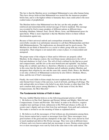The fact is that the Muslims never worshipped Muhammad or any other human being. They have always believed that Muhammad was mortal like the numerous prophets before him, and it is the highest tribute to humanity that a man could achieve the most exalted status of prophethood.

The Muslims believe that Muhammad was the last, not the only prophet, who reinforced and immortalized the eternal message of God to mankind. This message was revealed by God to many prophets of different nations at different times. Including Abraham, Ishmael, Isaac, David, Moses, Jesus, and Muhammad (peace be upon them). What is more important is that the Muslims believe in them without discrimination against any.

Because of their universal outlook and cosmopolitan orientation, the Muslims sorrowfully consider it an unfortunate misnomer to call them Mohammedans and their faith Mohammedanism. The implications are distasteful and for good reasons. The Muslims do not think of themselves as a racial or ethnic group with any exclusive monopolies. Their religion is not named after a man or place; it is transcendent and atemporal.

The proper name of the religion is Islam and its followers are properly called Muslims. In the religious context, the word Islam means submission to the will of God and obedience to God's Law. The will of God is defined by the Qur'an as good and compassionate, and His law as the most beneficient and equitable. Any human being who so submits and obeys is, therefore a Muslim in a moral state of Islam. It is in this sense that the Qur'an calls Abraham and all authentic prophets Muslims and designates their religions by one and the same title, namely Islam. Hence, the Muslim is not only a follower of Muhammad exclusively he also follows Abraham, Moses, Jesus, and the rest of God's messengers.

Finally, the word Allah in Islam simply but most emphatically means the One and only Eternal God, Creator of the universe, Lord of all lords, and King of all kings. The only unforgivable sin in Islam is the belief in any deity besides or other than God. The most common daily prayer among Muslims is: " In the name of God, the Most Compassionate, the Most Merciful."

#### *The Fundamental Articles of Faith In Islam*

The true, faithful Muslim believes in the following principal articles of faith: 1. He believes in One God, Supreme and Eternal, Infinite and Mighty, Merciful and Compassionate, Creator and Provider. This belief, in order to be effective, requires complete trust and hope in God, submission to His Will and reliance on His aid. It secures man's dignity and saves him from fear and despair, from guilt and confusion. The reader is invited to see the meaning of Islam as explained above.

2. He believes in all the messengers of God without any discrimination among them. Every known nation had a warner or messenger from God. These messengers were great teachers of the good and true champions of the right. They were chosen by God to teach mankind and deliver His Divine message. They were sent at different times of history and every known nation had one messenger or more. During certain periods two or more messengers were sent by God at the same time to the same nation. The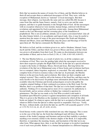Holy Qur' an mention the names of twenty five of them, and the Muslim believes in them all and accepts them as authorized messengers of God. They were, with the exception of Muhammad, known as " national" or local messengers. But their message, their religion, was basically the same and was called ISLAM, because it came from One and the Same Source, namely, God, to serve one and the same purpose, and that is to guide humanity to the Straight Path of God. All the messengers with no exception whatsoever were mortals, human beings, endowed with Divine revelations and appointed by God to perform certain tasks. Among them Muhammad stands as the Last Messenger and the crowning glory of the foundation of prophethood. This is not an arbitrary attitude, nor is it just a convenient belief. Like all the other Islamic beliefs, it is an authentic and logical truth. Also, it may be useful to mention here the names of some of the great messengers like Noah and Abraham, Ishmael and Moses, Jesus and Muhammad, may the peace and blessings of God be upon them all. The Qur'an commands the Muslims thus:

We believe in God, and the revelation given to us, and to Abraham, Ishmael, Isaac, Jacob and the Tribes; and that which was given to Moses and Jesus, and that which was given to all prophets from their Lord. We make no discrimination between one and another of them, and we bow to God (2:136, cf. 3:84; 4:163-165; 6:84-87).

3. The true Muslim believes, as a result of article two, in all the scriptures and revelations of God. They were the guiding light which the messengers received to show their respective peoples the Right Path of God. In the Qur' an a special reference is made to the books of Abraham, Moses, David and Jesus. But long before the revelation of the Qur' an to Muhammad some of those books and revelations had been lost or corrupted, others forgotten, neglected, or concealed. The only authentic and complete book of God in existence today is the Qur' an. In principle, the Muslim believes in the previous books and revelations. But where are their complete and original versions? They could be still at the bottom of the Dead Sea, and there may be more Scrolls to be discovered. Or perhaps more information about them will become available when the Christian and Jewish archaeologists reveal to the public the complete original findings of their continued excavations in the Holy Land. For the Muslim, there is no problem of that kind. The Qur'an is in his hand complete and authentic. Nothing of it is missing and no more of it is expected. Its authenticity is beyond doubt, and no serious scholar or thinker has ventured to question its genuineness. The Qur' an was made so by God Who revealed it and made it incumbent upon Himself to protect it against interpolation and corruption of all kinds. Thus it is given to the Muslims as the standard or criterion by which all the other books are judged. So whatever agrees with the Qur' an is accepted as Divine truth, and whatever differs from the Qur'an is either rejected or suspended. God says: 'Verily We have, without doubt, sent down the Qur'an; and We will assuredly guard it' (15:9; cf. 2:75-79; 5:13-14, 41, 45, 47; 6:91; 41:43).

Good literary works cannot be fully translated into any other language. This is more so in the case of the Qur' an, the book that challenged (and still does) the native masters of the Arabic Language and literature and proved their inability to produce anything even remotely similar to the shortest chapter of the Book. It is impossible, therefore, to reproduce the meaning, beauty, and fascination of the Qur' an in any other form. What appears here, then, is not the Qur' an proper or its perfect translation even if such were possible. Rather it is a human interpretation in a different language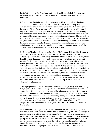that falls for short of the forcefulness of the original Book of God. For these reasons, no quotation marks will be inserted in any strict fashion in what appears here as translation.

4. The true Muslim believes in the angels of God. They are purely spiritual and splendid beings whose nature requires no food or drink or sleep. They have no physical desires of any kind nor material needs. They spend their days and nights in the service of God. There are many of them, and each one is charged with a certain duty. If we cannot see the angels with our naked eyes, it does not necessarily deny their actual existence. There are many things in the world that are invisible to the eye or inaccessible to the senses, and yet we do believe in their existence. There are places we have never seen and things like gas and ether that we could not see with our naked eyes, smell or touch or taste or hear; yet we do acknowledge their existence. Belief in the angels originates from the Islamic principle that knowledge and truth are not entirely confined to the sensory knowledge or sensory perception alone (16:49-50; 21:19-20. See also the references in article two above).

5. The true Muslim believes in the Last Day of Judgement. This world will come to an end some day, and the dead will rise to stand for their final and fair trial. Everything we do in this world, every intention we have, every move we make, every thought we entertain, and every word we say, all are counted and kept in accurate records. On the Day of Judgement they will be brought up. People with good records will be generously rewarded and warmly welcomed to the Heaven of God, and those with bad records will be punished and cast into Hell. The real nature of Heaven and Hell and the exact description of them are known to God only. There are descriptions of Heaven and Hell in the Qur' an and the Traditions of Muhammad but they should not be taken literally. In Heaven, said Muhammad, there are things which no eye has ever seen, no ear has ever heard, and no mind has ever conceived. However, the Muslim believes that there definitely will be compensation and reward for the good deeds, and punishment for the evil ones. That is the Day of Justice and final settlement of all accounts.

If some people think that they are shrewd enough and can get away with their wrong doings, just as they sometimes escape the penalty of the mundane laws, they are wrong; they will not be able to do so on the Day of Judgement. They will be caught right on the spot defenceless, without any lawyer or counsel to stand in their behalf. All their deeds are visible to God and counted by His agents. Also, if some pious people do good deeds to please God and seem to get no appreciation or acknowledgement in this temporary world, they will eventually receive full compensation and be widely acknowledged on That Day. Absolute Justice will be done to all.

Belief in the Day of Judgement is the final relieving answer to many complicated problems of our world. There are people who commit sins, neglect God and indulge in immoral activities, yet they seem to be "superficially" successful in business and prosperous in life. And there are virtuous and God-minded people, yet they seem to be getting less rewards for their sincere efforts and more suffering in the present world. This is puzzling and incompatible with the Justice of God. If the guilty people can escape the mundane law unharmed and, in addition, be more prosperous, what is, then, left for the virtuous people? What will promote the cause of morality and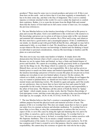goodness? There must be some way to reward goodness and arrest evil. If this is not done here on this earth – and we know that it is not done regularly or immediately – it has to be done some day, and that is the Day of Judgement. This is not to condone injustice or tolerate mischief in this world. It is not to sedate the deprived or comfort their exploiters. Rather, it is to warn the deviants from the Right Path and remind them that the Justice of God shall run its full course sooner or later (see, for example, the previous references).

6. The true Muslim believes in the timeless knowledge of God and in His power to plan and execute His plans. God is not indifferent to this world nor is He neutral to it. His knowledge and power are in action at all times to keep order in His vast domain and maintain full command over His creation. He is Wise and Loving, and whatever He does must have a good motive and a meaningful purpose. If this is established in our minds, we should accept with good Faith all that He does, although we may fail to understand it fully, or even think it is bad. We should have strong Faith in Him and accept whatever He does because our knowledge is limited and our thinking is based on individual or personal considerations, whereas His knowledge is limitless and He plans on a universal basis.

This does not in any way make man fatalist or helpless. It simply draws the demarcation line between what is God's concern and what is man's responsibility. Because we are by nature finite and limited, we have a finite and limited degree of power and freedom. We cannot do everything, and He graciously holds us responsible only for the things we do. The things which we cannot do, or things which He Himself does, are not in the realm of our responsibility. He is Just and has given us limited power to match our finite nature and limited responsibility. On the other hand, the timeless knowledge and power of God to execute His plans do not prevent us from making our own plans in our own limited sphere of power. On the contrary, He exhorts us to think, to plan and to make sound choices, but if things do not happen the way we wanted or planned them, we should not lose Faith or surrender ourselves to mental strains and shattering worries. We should try again and again, and if the results are not satisfactory, then we know that we have tried our best and cannot be held responsible for the results, because what is beyond our capacity and responsibility is the affair of God alone. The Muslims call this article of Faith the belief in 'Qadaa' and 'Qadar' , which simply means, in other words, that the Timeless Knowledge of God anticipates events, and that events take place according to the exact knowledge of God (Qur'an, for example, 18:29; 41:46; 53:33-62; 54:49; 65:3; 76:30-31)

7. The true Muslim believes that God's creation is meaningful and that life has a sublime purpose beyond the physical needs and material activities of man. The purpose of life is to worship God. This does not simply mean that we have to spend our entire lives in constant seclusion and absolute meditation. To worship God is to know Him; to love Him; to obey His commandments; to enforce His law in every aspect of life; to serve His cause by doing the right and shunning the evil; and to be just to Him, to ourselves, and to our fellow human beings. To worship God is to " live" life not to run away from it. In brief, to worship God is to imbue ourselves with His Supreme Attributes. This is by no means a simple statement, nor is it an oversimplification of the matter. It is most comprehensive and conclusive. So if life has a purpose and if man is created to serve that purpose, then he cannot escape the responsibility. He cannot deny his existence or ignore the vital role he has to play.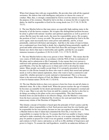When God charges him with any responsibility, He provides him with all the required assistance. He endows him with intelligence and power to choose his course of conduct. Man, thus, is strongly commended by God to exert his utmost to fully serve the purpose of his existence. Should he fail to do that, or misuse his life or neglect his duties, he shall be responsible to God for his wrong deeds (see 21:17-18; 51:56-58; 75:37).

8. The true Muslim believes that man enjoys an especially high-ranking status in the hierarchy of all the known creatures. He occupies this distinguished position because he alone is gifted with rational faculties and spiritual aspirations as well as powers of action. But the more his rank excels, the more his responsibility grows. He occupies the position of God's viceroy on earth. The person who is appointed by God to be His active agent, must necessarily have some power and authority, and be, at least potentially, endowed with honor and integrity. And this is the status of man in Islam; not a condemned race from birth to death, but a dignified being potentially capable of good and noble achievements. The fact that God chose His messengers from the human race shows that man is trustworthy and capable, and that he can acquire immense treasures of goodness (2:30-34; 6:165; 7:11; 17:70-72, 90-95).

9. The true Muslim believes that every person is born " Muslim". This means that the very course of birth takes place in accordance with the Will of God, in realization of His plans and in submission to His Commands. It also means that every person is endowed with spiritual potentialities and intellectual inclinations that can make him a good Muslim, if he has the right access to Islam and is left to develop his innate nature. Many people can readily accept Islam if it is properly presented to them, because it is the Divine formula for those who want to satisfy their moral and spiritual needs as well as their natural aspirations, those who want to lead a constructive and sound life, whether personal or social, national or international. This is so because Islam is the universal religion of God, the Maker of human nature, Who knows what is best for human nature (30:30; 64:1-3; 82:6-8).

10. The true Muslim believes that every person is born free from sin and all claims to inherited virtue. He is like a blank book. When the person reaches the age of maturity he becomes accountable for his deeds and intentions, if his development is normal and if he is sane. Man is not only free from sin until he commits sin, but he is also free to do things according to his plans on his own responsibility. This dual freedom: freedom from sin and freedom to do effective things, clear the Muslim's conscience from the heavy pressure of Inherited Sin. It relieves his soul and mind from the unnecessary strains of the Doctrine of Original Sin.

This Islamic concept of freedom is based upon the principle of God's justice and the individual's direct responsibility to God. Each person must bear his own burden and be responsible for his own actions, because no one can expiate for another's sin. Thus, a Muslim believes that if Adam had committed the First Sin, it was his own responsibility to expiate for that sin. To assume that God was unable to forgive Adam and had to make somebody else expiate for his sin, or to assume that Adam did not pray for pardon or prayed for it but it was not granted, would be extremely unlikely and contrary to God's mercy and justice as well as to His attribute of forgiveness and power to forgive. To assume the said hypothesis, would be an audacious defiance of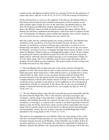common sense and flagrant violation of the very concept of God (see the references in article nine above; Qur'an, 41:46; 45:15; 53:31-42; 74:38; the concept of Sin below):

On the rational basis as well as on the authority of the Our' an, the Muslim believes that Adam realized what he had committed and prayed to God for pardon, as any other sensible sinner would. It is also on the same basis, the Muslim believes, that God, the Forgiving and Merciful, granted Adam pardon (2:35-37; 20:117-122). Hence, the Muslim cannot possibly accept the doctrine that Adam with the whole human race had been condemned and unforgiven until Jesus came to expiate for their sins. Consequently, the Muslim cannot entertain the dramatic story of Jesus' death on the cross just to do away with all human sins once and for all.

Here the reader must be cautioned against any wrong conclusions. The Muslim does not believe in the crucifixion of Jesus by his enemies because the basis of this doctrine of crucifixion is contrary to Divine mercy and justice as much as it is to human logic and dignity. Such a disbelief in the doctrine does not in any way lessen the Muslim's reverence for Jesus, or degrade the high status of Jesus in Islam, or even shake the Muslim's belief in Jesus as a distinguished prophet of God. On the contrary, by rejecting this doctrine the Muslim accepts Jesus but only with more esteem and higher respect, and looks upon his original message as an essential part of Islam. So let it be stated, again, that to be a Muslim a person must accept and respect all the prophets of God without any discrimination. The general status of Jesus in Islam will be further discussed in a later chapter.

11. The true Muslim believes that man must work out his salvation through the guidance of God. This means that in order to attain salvation a person must combine Faith and action, belief and practice. Faith without action is as insufficient as action without Faith. In other words, no one can attain salvation until his Faith in God becomes dynamic in his life and his beliefs are translated into reality. This is in complete harmony with the other Islamic articles of Faith. It shows that God does not accept lip service, and that no true believer can be indifferent as far as the practical requirements of Faith are concerned. It also shows that no one can act on behalf of another or intercede between him and God (see, for example, the Qur'an, 10:9-10; 18:30; 103:1-3).

12. The true Muslim believes that God does not hold any person responsible until He has shown him the Right Way. This is why God has sent many messengers and revelations, and has made it clear that there would be no punishment before giving guidance and sounding the alarm. So, a person who has never come across any Divine revelations or messenger, or a person who is insane is not held responsible to God for failing to obey the Divine instructions. Such a person will be responsible only for not doing what his sound common sense tells him to do. But the person who knowingly and intentionally violates the Law of God or deviates from His Right Path will be punished for his wrong deeds (4:165; 5:16 & 21; 17:15).

This point is very important for every Muslim. There are many people in the world who have not heard of Islam and have no way of knowing about it. Such people may be honest and may become good Muslims, if they find their way to Islam. If they do not know and have no way of knowing, they will not be responsible for failing to be Muslims. Instead, the Muslims who can present Islam to such people will be the ones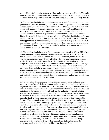responsible for failing to invite them to Islam and show them what Islam is. This calls upon every Muslim throughout the globe not only to preach Islam in words but also – and more importantly  $-$  to live it in full (see, for example, the Our' an,  $3:104$ ;  $16:125$ ).

13. The true Muslim believes that in human nature, which God created, there is more good than evil, and the probability of successful reform is greater than the probability of hopeless failure. This belief is derived from the fact that God has tasked man with certain assignments and sent messengers with revelations for his guidance. If man were by nature a hopeless case, impossible to reform, how could God with His absolute wisdom assign him responsibilities and invite him to do or shun certain things? How could God do that, if it were all in vain? The fact that God cares for man and takes a stand in his interest proves that man in neither helpless nor hopeless, but is more appreciative of and inclined to good than otherwise. Surely with sound Faith in God and due confidence in man miracles can be worked out, even in our own times. To understand this properly, one has to carefully study the relevant passages in the Qur' an and reflect on their meanings.

14. The true Muslim believes that Faith is not complete when it is followed blindly or accepted unquestioningly unless the believer is reasonable satisfied. If Faith is to inspire action, and if Faith and action are to lead to salvation, then Faith must be founded on unshakable convictions without any deception or compulsion. In other words, the person who calls himself a Muslim because of his family traditions, or accepts Islam under coercion or blind imitation is not a complete Muslim in the sight of God. A Muslim must build his Faith on well-grounded convictions beyond any reasonable doubt and above uncertainty. If he is not certain about his Faith, he is invited by God to search in the open book of Nature, to use his reasoning powers, and to reflect on the teachings of the Qur'an. He must search for the indisputable truth until he finds it, and he will certainly find it, if he is capable and serious enough (see, for example, the Qur'an, 2:170; 43:22-24).

This is why Islam demands sound convictions and opposes blind imitation. Every person who is duly qualified as a genuine and earnest thinker is enjoined by Islam to employ his faculties to the fullest extent. But if a person is unqualified or uncertain of himself, he should pursue his thinking only as far as his limits can take him. It will be quite in order for such a person to rely only on the authentic sources of religion, which are sufficient in themselves, without applying to them any critical questioning of which he is incapable. The point is that no one can call himself a true Muslim unless his Faith is based on strong convictions and his mind is clear from doubts. Because Islam is complete only when it is based on strong convictions and freedom of choice, it cannot be forced upon anybody, for God will not accept this forced faith. Nor will He consider it a true Islam if it does not develop from within or originate from free and sound convictions. And because Islam insures freedom of belief many non-Muslim groups lived and still live in the Muslim countries enjoying full freedom of belief and conscience. The Muslims take this attitude because Islam forbids compulsion in religion. It is the light which must radiate from within, because freedom of choice is the cornerstone of responsibility. This does not exempt the parents from responsibility for their children. Nor does it condone their being indifferent to the spiritual welfare of their dependents. In fact, they must do everything possible to help them to build a strong inspiring faith.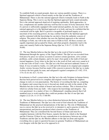To establish Faith on sound grounds, there are various parallel avenues. There is a Spiritual approach which is based mainly on the Qur'an and the Traditions of Muhammad. There is also the rational approach which eventually leads to Faith in the Supreme Being. This is not to say that the Spiritual approach lacks sound rationality. Nor is the rational approach deprived of inspiring spirituality. Both approaches, in fact, complement one another and may well become in state of lively interaction. Now if a person is sufficiently equipped with sound rational qualities, he may resort to the rational approach or to the Spiritual approach or to both, and may be confident that his conclusion will be right. But if a person is incapable of profound inquiry or is uncertain of his reasoning powers, he may confine himself to the Spiritual approach and be contented with the knowledge he can derive from the authentic sources of religion. The point is that whether one uses the Spiritual approach or the rational technique or both, one will in the end come to Faith in God. All these avenues are equally important and accepted by Islam, and when properly channeled, lead to the same end, namely Faith in the Supreme Being (Qur'an, 5:16-17; 12:109; 18:30; 56:80).

15. The true Muslim believes that the Qur' an is the word of God revealed to Muhammad through the agency of the Angel Gabriel. The Qur' an was revealed from God piece by piece on various occasions to answer certain questions, solve certain problems, settle certain disputes, and to be man's best guide to the truth of God and eternal happiness. Every letter in the Qur' an is the word of God, and every sound in it is the true echo of God's voice. The Qur'an is the First and most authentic Source of Islam. It was revealed in Arabic, it is still and will remain in its original and complete Arabic version, because God has made it His concern to preserve the Qur' an, to make it always the best guide for man, and safeguard it against corruption (cf. 4:82; 15:9; 17:9; 41:41-44; 42:7, 52-53).

In testimony to God's conservation, the Qur' an is the only Scripture in human history that has been preserved in its complete and original version without the slightest change in style or even punctuations. The history of recording the Qur' an, compiling its chapters and conserving its text is beyond any doubt not only in the minds of the Muslims but also in the minds of honest and serious scholars. This is historical fact which no scholar from any faith – who respects his knowledge and integrity – has ever questioned. As a matter of fact, it is Muhammad's standing miracle that if all mankind were to work together they could not produce the like of one Qur'anic chapter (2:22-24; 11:13-14; 17:88-89)

16. The true Muslim believes in a clear distinction between the Qur' an and the Traditions of Muhammad. The Qur' an is the word of God whereas the Traditions of Muhammad are the practical interpretations of the Qur' an. The role of Muhammad was to convey the Qur'an as he received it, to interpret it, and to practice it fully. His interpretations and practices produced what is known as the Traditions of Muhammad. They are considered the Second Source of Islam and must be in complete harmony with the First Source, namely the Qur' an, which is the Standard and the Criterion. If there be any contradiction or inconsistency between any of the Traditions and the Qur'an, the Muslim adheres to the Qur'an alone and regards everything else as open to question because no genuine Tradition of Muhammad can ever disagree with the Qur' an or be opposed to it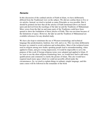#### *Remarks*

In this discussion of the cardinal articles of Faith in Islam, we have deliberately differed from the Traditional view on the subject. We did not confine them to five or six articles. Instead, we tried to include as many Principles as was possible. But it should be pointed out here that all the articles of Faith mentioned above are based upon and derived from the teachings of the Qur' an and the Traditions of Muhammad. More verses from the Qur' an and many parts of the Traditions could have been quoted to show the foundation of these articles of Faith. This was not done because of the limitations of space. However, the Qur' an and the Tradition of Muhammad are available references for any detailed study.

We have also kept to minimum the use of Western terminology and technical language like predestination, fatalism, free will, and so on. This was done deliberately because we wanted to avoid confusion and technicalities. Most of the technical terms used in religion among non-Arabic speaking people lead to misunderstanding, when applied to Islam, and give wrong impressions. It would be impossible to serve the purpose of this work if foreign religious terms were adopted and applied to Islam. If we were to use the alien religious terminology here, we would have had to add many qualifications and comments to clarify the picture of Islam. This also would have required much more space which we could not possibly afford under the circumstances. So, we tried to explain things in ordinary simple language, and this same course will be followed in the remainder of the book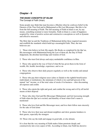## **Chapter - II**

#### *THE BASIC CONCEPTS OF ISLAM*

The Concept of Faith (Iman)

Some people may think that man becomes a Muslim when he confesses belief in the Oneness of the True God and in Muhammad as His Last Messenger. But this is far from the full meaning of Faith. The full meaning of Faith in Islam is not, by any means, something nominal or mere formality. Faith in Islam is a state of happiness acquired by virtue of positive action and constructive conceptions as well as dynamic and effective measures.

The Holy Qur' an and the Traditions of Muhammad define these required measures and establish the standards which build up a meaningful Faith. Thus, the true believers are:

1. Those who believe in God, His angels, His Books as completed by the Qur' an, His messengers with Muhammad being the Last of them all, the Day of Final Judgement, the absolute knowledge and wisdom of God.

2. Those who trust God always and enjoy unshakable confidence in Him.

3. Those who spend in the way of God of what He has given them in the form of wealth, life, health, knowledge, experience, and so on

4. Those who observe their daily prayers regularly as well as the weekly and annual congregations

5. Those who pay their religious taxes (alms or Zakah) to the rightful beneficiaries (individuals or institutions), the minimum of which is two and half percent of the annual "net" income, or of the total value of stocks if in business – after discounting all expenses and credits

6. Those who enjoin the right and good, and combat the wrong and evil by all lawful means at their disposal

7. Those who obey God and His Messenger Muhammad; and feel increasing strength of faith when the Qur' an is recited, and humility of heart when God's name is mentioned

8. Those who love God and His Messenger most, and love their fellow men sincerely for the sake of God alone

9. Those who love their near and distant neighbors and show genuine kindness to their guests, especially the strangers

10. Those who say the truth and engage in good talk, or else abstain.

It is clear that the very meaning of Faith makes Islam penetrate deeply and constructively into every aspect of life. According to Islam, true Faith has decisive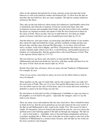effect on the spiritual and material lot of man, and also on his personal and social behavior as well as his political conduct and financial life. To show how the Qur' an describes the true believers, here are some examples. The Qur'an contains numerous references like these:

They only are the true believers whose hearts feel submissive (and humble) when God is mentioned; and when the revelations of God are recited unto them, they (the revelations) increase and strengthen their Faith; and who trust in their Lord, establish the prayer (as enjoined on them) and spend of what We have bestowed on them (in the cause of God). Those are they who are in truth believers. For them are (high) grades (of honor) with their Lord, and a bountiful provision (Qur'an, 8:2-4).

And the believers, men and women, are protecting (and allied) friends of one another; they enjoin the right and forbid the wrong, and they establish worship and they pay the poor-due, and they obey God and His Messenger. As for these, God will have mercy on them; verily God is Mighty, and Wise. God promises the believers, men and women, Gardens under which rivers flow, to dwell therein, and beautiful mansions in Gardens of everlasting bliss. But the greatest bliss is the Good Pleasure of God. That is the supreme felicity (Qur'an,  $9:71-72$ ).

The true believers are those only who believe in God and His Messenger (Muhammad) and afterward doubt not, but strive with their wealth and their lives for the cause of God. Such are the sincere (Qur'an, 49:15).

Besides these Qur' anic references, there are many relevant Traditions of Muhammad. For example, he says:

None of you can be a true believer unless, he loves for his fellow believer what he loves for himself.

Three qualities are the sign of sound faith, and he who acquires them can really feel the sweet taste of Faith. They are (1) to love God and his Messenger most of all, (2) to love his fellow man for the sake of God alone, and (3) to resent and resist returning to disbelief as much as he does being cast into fire.

He who believe in God and Last Day of Judgement is forbidden to cause any harm to his neighbor, is to be kind to his guests – especially the strangers, and is to say the truth or else abstain.

There are many verses and traditions like the ones cited above. But it should be borne in mind, however, that the given quotations are not and cannot be the exact words of the Qur' an and Muhammad as they sound in the Arabic Text. The reason for that is simple. No interpreter, however learned and masterful he may be, can ever convey the spiritual power and charming appeal of the Qur'an through any language. The Qur'an is – and so God made it – inimitable, and it is beyond human imagination and power to produce anything like it. What is true of the Qur' an in this respect is also true of the Traditions of Muhammad to a certain extent, because, after the Qur' an, his words are the most conclusive and eloquent.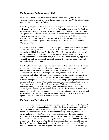#### *The Concept of Righteousness (Birr).*

Islam always warns against superficial concepts and rituals, against lifeless formalities and non-effective beliefs. In one representative verse God explains the full meaning of righteousness as follows:

It is not righteousness that you turn your faces (in prayer) towards East or West; but it is righteousness to believe in God and the Last day, and the Angels and the Book, and the Messengers; to spend of your wealth – in spite of your love for it – for your kin, for orphans, for the needy, for the wayfarer, for those who ask, and for the ransom of slaves; to be steadfast in prayer and practice regular charity; to fulfill the contracts which you have made; and to be firm and patient, in pain and adversity and throughout all periods of panic. Such are the people of truth, the God – minded (Qur' an, 2:177).

In this verse there is a beautiful and clear description of the righteous man. He should obey all the salutary regulations, and should make his sincere motive the love of God and the love of his fellow man for the sake of God. Here we have four elements: (I) our Faith should be true and sincere, (II) we must be prepared to show it in deeds of charity and kindness to our fellow man, (III) we must be good citizens by supporting charitable institutions and social organizations, and (IV) we must be steadfast and unshakable in all circumstances.

It is clear, that therefore, that righteousness is not merely a matter of void utterances. It must be founded on strong faith and constant practice. It must cover the person's thinking and action and extend to his inside and outside life, to his individual and common affairs. When the Islamic principle of righteousness is established, it provides the individual with peace in all circumstances, the society with security on all levels, the nation with solidarity, and the international community with hope and harmony. How peaceful and enjoyable life can be when people implement the Islamic Concept of Righteousness! What can be more reassuring than faith in the Beneficent Creator and investing in such good worthy causes? What can be more humane than relieving the deep anxieties of the subjugated, alleviating the sufferings of the exploited, and responding to the needs of the helpless? What is more methodical and honest than the fulfillment of commitments, the preservation of clear conscience, and the maintenance of integrity? And what is more spiritually joyful than doing all this regularly, as a matter of course, and for the love of God?

#### *The Concept of Piety (Taqwa)*

What has been said about faith and righteousness is generally true of piety. Again, it is not a matter of convenient claims and oral confessions. It is much more serious. As always, the Qur'an is our best source, and when it speaks of the pious it describes them as those who believe in the Unseen (which is taught by God), are steadfast in prayer, and spend of what We have provided for them; and who believe in the Revelation sent to you (Muhammad), and sent before your time, and (in their hearts) have the assurance of the Hereafter. They are on true guidance from their Lord, and it is these who will prosper (Qur'an, 2:3-5). The pious are those who spend (freely in the way God) whether in prosperity or in adversity; who restrain anger and pardon (all men; - for God loves those who do good; and those who – having done something to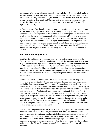be ashamed of, or wronged their own souls – earnestly bring God into mind, and ask for forgiveness for their sins, - and who can forgive sins except God? – and are never obstinate in persisting knowingly in (the wrong) they have done. For such the reward is forgiveness from their Lord, and Gardens with rivers flowing underneath, - an eternal dwelling. How excellent a recompense for those who work (and strive)! (Qur' an, 3:134-136).

In these verses we find that piety requires a proper use of the mind by grasping truth of God and life, a proper use of wealth by spending in the way of God under all circumstances and a proper use of the spiritual as well as the physical abilities of man by observing the prayer. It also demands a high degree of self – control over one's anger and emotions, a moral capacity for forgiveness and patience, and conscious urge to make the sinner return to God in regret and repentance. To be pious is to be a man of true and fine convictions, of determination and character, of will and courage and, above all, to be a man of God. Piety, righteousness and meaningful Faith are interrelated and all pour into one channel. They lead to Islam and build up the true Muslim.

#### *The Concept of Prophethood.*

The Merciful and loving God has sent many prophets at different times of history. Every known nation has had one prophet or more. All the prophets of God were men of good character and high honor. They were prepared and chosen by God to deliver His Message to mankind. Their honesty and truthfulness, their intelligence and integrity are beyond doubt. They were infallible in that they did not commit sins or violate the Law of God. But as mortals, they might have made unintentional mistakes in some human affairs and decisions. Their private judgment were not necessarily always right.

The sending of these prophets from God is a clear manifestation of strong link between Heaven and Earth, between God and man. It means that man is reformable and in him there is much good. The purpose of prophethood is to confirm what man already knows or can know, and to teach him what he does not or cannot know by his own means. It is also to help man to find the Straight Path of God, and to do the right and shun the wrong. Prophethood is an eloquent expression of God's love for His creations and His will to guide them to the right way of belief and behavior. It is an emphasis of His justice to man, because He shows him true guidance first, and then holds him responsible for his deeds. He gives warnings through His prophets, and if man fails to see the dangers of his wrong deeds, his behavior becomes punishable. This is in complete accord with God's love and justice, and the worth and capability of man of being responsible to his Lord.

The Source of prophethood and the Sponsor of all the prophets are One and the Same: it is God. Their aim is to serve God, to acquaint man with God and His Divine teachings, to establish truth and goodness, to help man to realize the true purpose of his existence and help him to conduct his life in a purposeful way. It is on this basis that the Muslims make no discrimination among the prophets and accept their teachings as consistent and complementary. And this is the reason why the Muslims believe in all the Divine Books and accept all the prophets of God as already mentioned.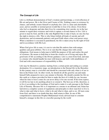#### *The Concept of Life*

Life is a brilliant demonstration of God's wisdom and knowledge, a vivid reflection of His art and power. He is the Giver and Creator of life. Nothing comes to existence by chance, and nobody creates himself or anybody else. Life is a dear and cherishable asset, and no sensible or normal person would like to lose it by choice. Even those who feel so desperate and take their lives by committing slow suicide, try in the last minute to regain their existence and wish to capture a second chance to live. Life is given to man by God, and He is the only Rightful One to take it back; no one else has the right to destroy a life. This is why Islam forbids all kinds of suicide and selfdestruction, and recommends patience and good Faith when a dear soul passes away. When a murderer is executed in punishment, his life is taken away by the right of God and in accordance with His Law.

When God gives life to man, it is not in vain that He endows him with unique qualities and great abilities. Nor is it in vain that He charges him with certain obligations. God means to help man to fulfill the purpose of life and realize the goal of existence. He means to help him to learn the creative art of living and enjoy the good taste of life according to the Divine guidance. Life is a trust from God, and man is a trustee who should handle his trust with honesty and skill, with mindfulness of God and with consciousness of responsibility to Him.

Life may be likened to a journey starting from a certain point and ending at a certain destination. It is a transitory stage, an introduction to the Eternal life in the Hereafter. In this journey man is a traveller and should be concerned with only what is of use to him in the Future Life. In other words, he should do all the good he can and make himself fully prepared to move any minute to Eternity. He should consider his life on this earth as a chance provided for him to make the best of it while he can, because when his time to leave comes he can never delay it for one second. If his term expires, it will be too late to do anything about it or extend it. The best use of life, therefore, is to live it according to the teachings of God and to make it a safe passage to the Future Life of Eternity. Because life is so important as a means to an ultimate end, Islam has laid down a complete system of regulations and principles to show man how to live it, what to take and what to leave, what to do and what to shun, and so on. All men come from God, and there is no doubt that they shall return to Him. In one of His comprehensive statements Prophet Muhammad wisely advised man to consider himself a stranger in this life or a traveller passing by the world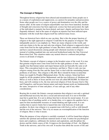#### *The Concept of Religion*

Throughout history religion has been abused and misunderstood. Some people use it as a means of exploitation and suppression, as a pretext for prejudice and persecution. Some other people use it as a source of power and domination over the elite and the masses alike. In the name of religion unjustifiable wars have been launched, freedom of thought and conscience has been oppressed, science has been persecuted, the right of the individual to maturity has been denied, and man's dignity and honor have been flagrantly debased. And in the name of religion an injustice has been inflicted upon humanity with the result that religion itself has suffered many losses.

These are historical facts which no one can deny. But is this the proper function of religion or the right approach to religion? Could this be the purpose of religion? The indisputable answer is an emphatic no. There are many religions in the world, and each one claims to be the one and only true religion. Each religion is supposed to have come from God for the right guidance of man. But these claims contradict each other and have caused dissensions among people and vehement reactions to religion – instead of welding mankind into one universal brotherhood under the One Universal Benevolent God. This situation makes any neutral observer confused and perhaps averse to all kinds of religion.

The Islamic concept of religion is unique in the broadest sense of the word. It is true that genuine religion must come from God for the right guidance of man. And it is equally true that human nature and major human needs are basically the same at all times. This conception leads to one conclusion, and that is: There is only one true religion coming from the One and the Same God, to deal with the outstanding human problems of all times. This religion is ISLAM. But it should be borne in mind that Islam was taught by Prophet Muhammad alone. On the contrary, Islam had been taught by all the prophets before Muhammad, and the true followers of Abraham and Moses as well as those of Jesus and the rest were all called MUSLIMS. So Islam has been, and will continue to be, the true universal religion of God, because God is One and Changeless, and because human nature and major human needs are fundamentally the same, irrespective of time and place, of race and age, and of any other considerations.

Bearing this in mind, the Islamic concept maintains that religion is not only a spiritual and intellectual necessity but also a social and universal need. It is not to bewilder man but to guide him. It is not to debase him but to elevate his moral nature. It is not to deprive him of anything useful, or to burden him, or to oppress his qualities but to open for him inexhaustible treasures of sound thinking and right action. It is not confine him to narrow limits but to launch him into wide horizons of truth and goodness. In short, true religion is to acquaint man with God as well as with himself and the rest of the universe. This is by no means an oversimplification of the function of religion. Here is what it means.

When the purpose of true religion is carefully examined, it will be found that religion satisfies the spiritual and moderate material needs of man. It unties his psychological knots and complexes, sublimates his instincts and aspirations, and disciplines his desires and the whole course of life. It improves his knowledge of God – the Highest Truth in the universe, and of his own self. It teaches him about the secrets of life and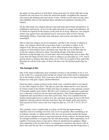the nature of man and how to treat them, about good and evil, about right and wrong. It purifies the soul from evil, clears the mind from doubts, strengthens the character and corrects the thinking and convictions of man. All this can be achieved only when man faithfully observes the spiritual duties and physical regulations introduced by religion.

On the other hand, true religion educates man and trains him in hope and patience, in truthfulness and honesty, in love for the right and good, in courage and endurance, all of which are required for the mastery of the great art of living. Moreover, true religion insures man against fears and spiritual losses, and assures him of God's aid and unbreakable alliance. It provides man with peace and security and makes his life meaningful.

That is what true religion can do for humanity, and that is the concept of religion in Islam. Any religion which fails to bear these fruits is not Islam or rather, is not religion at all, and any man who fails to draw these benefits from religion is not religious or God-minded. God is absolutely true when He says in the Holy Qur' an: Verily the religion with God is Islam. Nor did the People of the Book dessent therefrom except through envy of each other, after knowledge had come to them. But if any deny the Signs of God, God is swift in calling to account (Our'an, 3:19). And if anyone desires a religion other than Islam, never will it be accepted of him; and in the Hereafter he will be in the ranks of those who have lost (all spiritual good) (Qur'an, 3:85).

#### *The Concept of Sin*

One of the major troublesome areas of human existence is the problem of sin or evil in the world. It is commonly believed that sin started with Adam and Eve during their life in the Garden of Eden. That event led to the Fall and has ever since branded the human race with guilt, stigma, and bewilderment.

Islam has taken a unique position on the whole issue, a position which is not shared by any other religion we know. The Qur'an states that Adam and Eve were directed by God to reside in the Garden of Eden and enjoy its produce as they pleased, assured of bountiful supplies and comfort. But they were warned not to approach a particular tree so that they would not run into harm and injustice. Then Satan intrigued them to temptation and caused them to lose their joyful state. They were expelled from the Garden and brought down to earth to live, die, and taken out again at last for the Final Judgment. Having realized what they had done, they felt shame, guilt, and remorse. They prayed for God's mercy and were forgiven  $(Qur'an, 2:35-38; 7:19-25; 20:117-$ 123).

This symbolic event is significantly revealing. It tells that the human being is imperfect and ever wanting even if he were to live in paradise. But committing a sin or making a mistake, as Adam and Eve did, does not necessarily deaden the human heart, prevent spiritual reform or stop moral growth. On the contrary, the human being has enough sensibility to recognize his sins and shortcomings. More importantly, he is capable of knowing where to turn and to whom he should turn for guidance. Much more important is the fact that God is ever prepared to respond to the sincere calls of those who seek His aid. He is so Gracious and Compassionate that His Forgiveness is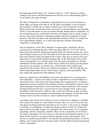Encompassing and His Mercy all – Inclusive (Qur' an, 7:156). One last revealing reading of the event is that discrimination on the basis of sex and hereditary guilt or sin are alien to the spirit of Islam.

The idea of Original Sin or hereditary criminality has no room in the teachings of Islam. Man, according to the Our' an (30:30) and to the Prophet, is born in natural state of purity or fitrah, that is, Islam or submission to the will and law of God. Whatever becomes of man after birth is the result of external influence and intruding factors. To put the matter in terms of modern thought, human nature is malleable; it is the socialization process, particularly the home environment, that is crucial. It plays a decisive role in the formation of human personality and the development of moral character. This does not deny to the individual the freedom of choice or exempt him from responsibility. Rather, it is a relief from that heavy burden of hereditary criminality or instinctual sin.

God, by definition, is Just, Wise, Merciful, Compassionate, and Perfect. He has created man by breathing into him of His own Spirit (Our' an,  $15:29$ ;  $32:9$ ;  $66:12$ ). Since God is the absolute infinite good and His Spirit the absolute perfect one; since man, through creation, received of the Spirit of God, then man was bound to retain at least some portion of this good Spirit of the Creator. This may account for the good dispositions of man and his spiritual longings. But, on the other hand, God created man to worship Him, not to be His equal, rival, the perfect incarnation or absolute embodiment of His goodness. This means that no matter how much good and perfect man may be, by the grace of creation, he is still far short of the goodness and perfection of the Creator. Man is not without such qualities, to be sure. But they are limited and proportionate to man's finite nature, capacity, and responsibility. This may explain the imperfection and fallibility of man.

However, imperfection and fallibility are not the equivalent of sin or synonymous with criminality – at least not in Islam. If man is imperfect he is not left helpless or deserted by God to fall victim to his shortcomings. He is empowered by revelations, supported by reason, fortified by the freedom of choice, and guided by various social and psychological dispositions to seek and achieve relative perfection. The constant gravitation between the forces of good and evil is the struggle of life. It gives man something to look forward to, ideals to seek, work to do, and roles to play. It makes his life interesting and meaningful, not monotonous and stagnant. On the other hand, it pleases God to see His servants in a state of spiritual and moral victory.

According to the moral scale of Islam, it is not a sin that man is imperfect or fallible. This is part of his nature as a finite limited creature. But it is a sin if he has the ways and means of relative perfection and chooses not to seek it. A sin is any act, thought, or will that (1) is deliberate, (2) defies the unequivocal law of God, (3) violates the right of God or the right of man, (4) is harmful to the soul or body, (5) is committed repeatedly, and (6) is normally avoidable. These are the components of sin which is not innate or hereditary. It is true, however, that man has the potential capacity of sin latent in him; but this is not greater than his capacity of piety and goodness. If he chooses to actualize the potential of sin instead of the potential of goodness, he will be adding a new external element to his pure nature. For this added external element man alone is responsible.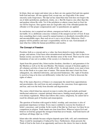In Islam, there are major and minor sins as there are sins against God and sins against both God and man. All sins against God, except one, are forgivable if the sinner sincerely seeks forgiveness. The Our' an has stated that truly God does not forgive the sin of shirk (polytheism, pantheism, trinity, etc.). But He forgives sins other than this and pardons whom He wills. Yet if the polytheist or atheist comes back to God, his sin will be forgiven. Sins against men are forgivable only if the offended pardon the offender or if the proper compensations and / or punishments are applied.

In conclusion, sin is acquired not inborn, emergent not built-in, avoidable not inevitable. It is a deliberate conscious violation of the unequivocal law of God. If man does something that is truly caused by natural instincts or absolutely irresistible drives and uncontrollable urges, then such an act is not a sin in Islam. Otherwise, God's purpose will be pointless and man's responsibility will be in vain. God demands of man what lies within the human possibilities and reaches.

#### *The Concept of Freedom*

Freedom, both as a concept and as a value, has been denied to many individuals, groups, and nations. It has been often misunderstood and abused. The fact is that in no human society can man be free in the absolute sense of the word. There must be some limitations of one sort or another, if the society is to function at all.

Apart from this general idea, Islam teaches freedom, cherishes it, and guarantees it for the Muslim as well as for the non-Muslim. The Islamic concept of freedom applies to all voluntary activities of man in all walks of life. As already stated, every man is born free on the fitrah or in a pure state of nature. This means that man is born free from subjugation, sin, inherited inferiority, and ancestral hinderance. His right of freedom is sacred as long as he does not deliberately violate the Law of God or desecrate the rights of others.

One of the main objectives of Islam is to emancipate the mind from superstitutions and uncertainties, the soul from sin and corruption, the conscience from oppression and fear, and even the body from disorder and degeneration.

The course which Islam has enjoyed on man to realize this goal includes profound intellectual endeavors, constant spiritual observances, binding moral principles, and even dietary regulations. When man follows this course, religiously, he cannot fail to reach his ultimate goal of freedom and emancipation.

The question of freedom with regard to belief, worship, and conscience is also of paramount importance in Islam. Every man is entitled to exercise his freedom of belief, conscience, and worship. In the words of the Qur'an, God says: Let there be no compulsion in religion. Truth stands out clear from Error. Whoever rejects Evil and believes in God has grasped the strongest bond that never breaks. And Gods knows all and hears all things (Qur'an, 2:256).

Islam takes this attitude because religion depends upon faith, will, and committment. These would be meaningless if induced by force. Furthermore, Islam presents the Truth of God in the form of an opportunity and leaves the choice for man to decide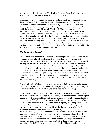his own course. The Qur'an says: The Truth is from your Lord. Let him who will, believe, and let him who will, disbelieve (Qur'an, 18:29).

The Islamic concept of freedom is an article of faith, a solemn command from the Supreme Creator. It is built on the following fundamental principles. First, man's conscience is subject to God only, to Whom every man is directly responsible. Secondly, every human being is personally responsible for his deeds and he alone is entitled to reap the fruits of his work. Thirdly, God has delegated to man the responsibility to decide for himself. Fourthly, man is sufficiently provided with spiritual guidance and endowed with rational qualities that enable him to make responsible, sound choices. Such is the foundation of the Islamic concept of freedom and such is the value of freedom in Islam. It is a natural right of man, a spiritual privilege, a moral prerogative, and, above all, a religious duty. Within the framework of this Islamic concept of freedom, there is no room for religious persecutions, class conflict, or racial prejudice. The individual's right of freedom is as sacred as his right of Life; freedom is the equivalent of Life itself

#### *The Concept of Equality*

One basic element in the value system of Islam is the principle of equality or, better yet, equity. This value of equality is not to be mistaken for or confused with identicalness or stereotype. Islam teaches that, in the sight of God, all men are equal, but they are not necessarily identical. There are differences of abilities, potentials, ambitions, wealth and so on. Yet none of these differences can by itself establish a status of superiority of one man or race to another. The stock of man, the color of his skin, the amount of wealth he has, and the degree of prestige he enjoys have no bearing on the character and personality of the individual as far as God is concerned. The only distinction which God recognizes is the distinction in piety, and the only criterion which God applies is the criterion of goodness and spiritual excellence. In the Qur'an, God says:

O mankind, verily We have created you from a single (Pair) of a male and a female, and have made you into nations and tribes, that you may know each other. Verily the most honored of you in the sight of God is the most righteous (49:13).

The difference of race, color, or social status are only accidental. They do not affect the true stature of man in the sight of God. Again, the value of equality is not simply a matter of constitutional rights or gentlemen's agreement or condescending charity. It is an article of faith which the Muslim takes seriously and to which he must adhere sincerely. The foundations of this Islamic value of equality are deeply rooted in the structure of Islam. It stems from basic principles such as the following: (1) All men are created by One and the Same Eternal God, the Supreme Lord of all. (2) All mankind belong to the human race and share equally in the common parentage of Adam and Eve. (3) God is just and kind to all his creatures. He is not partial to any race, age, or religion. The whole universe is His dominion and all people are His creatures. (4) All people are born equal in the sense that none brings any possession with him, and they die equal in the sense that none brings any possession with him, and they die equal in the sense that they take back nothing of their worldly belongings. (5) God judges every person on the basis of his own merits and according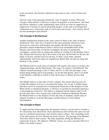to his own deeds. (6) God has conferred on man, man as such, a title of honor and dignity.

Such are some of the principles behind the value of equality in Islam. When this concept is fully utilized, it will leave no place for prejudice or persecutions. And when this Divine ordinance is fully implemented, there will be no room for oppression or suppression. Concepts of chosen and gentile peoples, words such as privileged and condemned races, expressions such as social castes and second – class citizens will all become meaningless and obsolete

#### *The Concept of Brotherhood*

Another fundamental element in the value system of Islam is the value of human brotherhood. This value also is founded on the same principles which have been discussed in connection with freedom and equality. Besides those foregoing principles, human brotherhood in Islam is based on an unshakable belief in the Oneness and Universality of God the worshipped, the unity of mankind the worshippers, and the unity of religion the medium of worship. For the Muslim, God is One, Eternal and Universal. He is the Creator of all men, the Provider for all men, the Judge of all men, and the Lord over all men. To Him, social status, national supermanship, and racial origin are insignificant. Before Him, all men are equal and brothers of one another.

The Muslim believes in the unity of mankind with regard to the source of creation, the original parentage, and the final destiny. The source of creation is God Himself. The original common parentage is that of Adam and Eve. To this first parentage, every human being belongs and of it he partakes. As for the final destiny, there is no doubt in the Muslim's mind that it will be to God, the Creator, to Whom all men shall return.

The Muslim believes in the unity of God's religion. This means that God does not confine His religion or favors to any particular nation, race, or age. It further means that there can be no contradiction or fundamental differences in the Religion of God. When all this is interpreted properly, it will leave no ground for pretended supremacy or presumptuous exclusivity. And when it is imparted into the human mind, it will provide man with a clear concept and a solid basis of human brotherhood. Because the Muslim believes in the Oneness of God, the unity of mankind, and the unity of religion, he believes in all the Messengers and Revelations of God without discrimination.

#### *The Concept of Peace*

To appreciate how Islam approaches the question of peace, one has only to consider a few elementary facts about Islam. Peace and Islam are derived from the same root and may be considered synonymous. One of God's names is Peace. The concluding words of the daily prayers of every Muslim are words of peace. The greeting of the Muslims when they return to God is peace. The daily salutations among the Muslims are expressions of peace. The adjective " Muslim" means, in a sense, peaceful. Heaven in Islam is the abode of peace.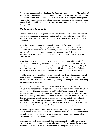This is how fundamental and dominant the theme of peace is in Islam. The individual who approaches God through Islam cannot fail to be at peace with God, with himself, and with his fellow men. Taking all these values together, putting man in his proper place in the cosmos, and viewing life in the Islamic perspective, men of good regain human dignity, to achieve equality, to enjoy universal brotherhood, and to build a lasting peace.

#### *The Concept of Community*

The word community has acquired certain connotations, some of which are romantic and nostalgic, some derogatory and reactionist. But since we intend to deal with the basics, we shall confine our discussion to the most fundamental meanings of the word community.

In one basic sense, the concept community means " all forms of relationship that are characterized by a high degree of personal intimacy, emotional depth, moral is commitment, social cohesion, and continuity in time ….. It may be found in ….. locality, religion, nation, race, occupation, or (common cause). Its archetype ….. is the family" (Robert Nisbet, The Sociological Tradition - New York: Basic Books, 1996, pp. 47-48)

In another basic sense, a community is a comprehensive group with two chief characteristics: (1) it is a group within which the individual can have most of the activities and experiences that are important to him. (2) The group is bound together by a shared sense of belonging and a feeling of identity (L. Broom & P. Selznick, Sociology: A Text with Adapted Readings New York: Harper & Rowe, 1968, p.31).

The Historical master trend has been a movement from those intimate, deep, moral relationships of community to those impersonal, formal utilitarian relationships of mass society. The movement has been designated by different phases and marked by far-reaching consequences.

From this historical trend, one can infer certain conclusions. First, this historical evolution has not been totally negative or completely positive and constructive. Both negative and positive consequences have affected different people in different degrees. Secondly, modern society is far from perfect, there is a great task yet to be performed. Thirdly, the human condition is not a lost cause or a hopeless case. True, there are crises and travail, but the situation is not entirely out of control. Finally, mankind has grown more interdependent and human societies more intertwined. Whatever happens in one segment of society is bound to affect the rest. We should keep this in mind when we discuss the Islamic concept of community

It should be generally correct to state that the Islamic concept of community has certain unique characteristics. Such unique characteristics relate to the foundation or basis of the community, its historic mission and purpose, its status among other communities, its identity, and its continuity.

The community in Islam is not founded on race, nationality, locality, occupation, kinship, or special interests. It does not take its name after the name of a leader or a founder or an event. It transcends national borders and political boundaries. The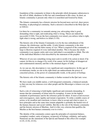foundation of the community in Islam is the principle which designates submission to the will of Allah, obedience to His law and commitment to His cause. In short, an Islamic community is present only when it is nourished and fostered by Islam.

The Islamic community has a historic mission far beyond mere survival, sheer power, breeding, or physiological continuity. Such a mission is described in the Holy Qur' an as follows:

Let there be a community (or ummah) among you, advocating what is good, demanding what is right, and eradicating what is wrong. Theses are indeed the successful (3:104). You are the best community ever raised, you enforce what is right, fight what is wrong, and believe in Allah (3:110).

The historic role of the Islamic Community is to be the true embodiment of the virtuous, the wholesome, and the noble. A truly Islamic community is the alert guardian of virtue and the bitter enemy of vice. What is required of the community at large is likewise required of every individual member. This is because the whole community is an organic entity and every individual is accountable to Allah. The role of the individual Muslim is best described by the statement of the prophet:

Whoever of you sees something wrong must seek to rectify it by action or deed; if he cannot, let him try to change it by word; if he cannot, let his feelings of disapproval and condemnation intensify and this is the minimal degree of faith.

As we can see, this description is very significant and comprehensive. In this age of revolutionary media, no one in his right mind can underestimate the power of concerted actions, or the power of communicable words, or the power of feelings.

The historic role of the Islamic community is further restated in the Qur'anic verse:

We have made you middle nation, a well-integrated community, a balanced ummah, so that you may be witnesses over other people and the Messenger a witness over you  $(2:143).$ 

Such a role of witnessing is both highly significant and extremely demanding. It means that the community of Islam must be exemplary. It must set the highest standards of performance and be the reference point for others. It must avoid excesses and extravagances, static rigidity and instant evaporation. To strike a middle course of action, to be steadfast and consistent, to know what to accept and what to reject, to have principles and at the same time remain adaptable is probably the hardest test of the human character and social viability. But this is the role of the Islamic community and the historic mission of Muslims. And it is this very criterion that qualifies the Muslim as the best human community ever to evolve.

The identity of the community centers upon the principles of consistent balance, exemplary conduct, unity of purpose, reciprocity of feelings, solidarity, and equity. Numerous are the statements of the Qur'an and Sunnah to this effect (for example 4:135, 21:92, 23:52).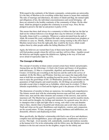With regard to the continuity of the Islamic community, certain points are noteworthy. It is the duty of Muslims to do everything within their means to insure that continuity. The rules of marriage and inheritance, the duties of Zakah and Hajj, the mutual rights and obligations of kin, the individual conscientiousness and social belonging – all these are oriented to the healthy continuity of the community of Islam. On the other hand, Allah has pledged to prophet this continuity in several ways. First, He has pledged to preserve the Qur' an and protect it purity (15:9).

This means that there shall always be a community to follow the Qur'an; the Qur'an shall not be without followers even though there may be followers of other books. Secondly, Islam itself is a continuity. Whenever a nation deviated from the path of Allah, He restated His word, reaffirmed His truth, and commissioned new prophets or reformers to carry on. Thirdly, Allah has issued a strong warning to the effect that if Muslims turned away from the right path, they would be the losers; Allah would replace them by other people unlike the failing Muslims (47:38).

Again, the believers are warned that if any of them turns back from his Faith, soon will God produce people whom He will love and they will love Him, - humble toward the believers and mighty against the disbelievers, fighting in the way of God and never afraid of reproaches (Qur'an, 5:57).

#### *The Concept of Morality*

The concept of morality in Islam centers around certain basic beliefs and principles. Among these are the followings: (1) God is the Creator and Source of all goodness, truth and beauty. (2) Man is a responsible, dignified, and honorable agent of his Creator. (3) God has put everything in the heavens and the earth in the service of mankind. (4) By His Mercy and Wisdom, God does not expect the impossible from man or hold him accountable for anything beyond his power. Nor does God forbid man to enjoy the good things of life. (5) Moderation, practicality, and balance are the guarantees of high integrity and sound morality. (6) All things are permissible in principle except what is singled out as forbidden, which must be avoided. (7) Man's ultimate responsibility is to God and his highest goal is the pleasure of his Creator.

The dimensions of morality in Islam are numerous, far-reaching and comprehensive. The Islamic morals deal with the relationship between man and God, man and his fellow men, man and the other elements and creatures of the universe, man and his innermost self. The Muslim has to guard his external behavior and his manifest deeds, his words and his thoughts, his feelings and intentions. In a general sense, his role is to champion what is right and fight what is wrong, seek what is true and abandon what is false, cherish what is beautiful and wholesome and avoid what is indecent. Truth and virtue are his goal. Humbleness and simplicity, courtesy and compassion, are his second nature. To him, arrogance and vanity, harshness and indifference, are distasteful, offensive and displeasing to God.

More specifically, the Muslim's relationship with God is one of love and obedience, complete trust and thoughtfulness, peace and appreciation, steadfastness and active service. This high – level morality will, undoubtedly, nourish and reinforce morality at the human level. For in his relationship with his fellow men, the Muslim must show kindness to the kin and concern for the neighbor, respect for the elderly and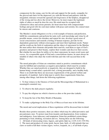compassion for the young, care for the sick and support for the needy, sympathy for the grieved and cheer for the depressed, joy with the blessed and patience with the misguided, tolerance toward the ignorant and forgiveness of the helpless, disapproval of the wrong and rise above the trivial. Moreover, he must respect the legitimate rights of others as much he does his own. His mind must be occupied with constructive ideas and serious pursuits; his heart must beat with compassionate feelings and good will; his soul must radiate with peace and serenity; his counsel must be sincere and courteous.

The Muslim's moral obligation is to be a vivid example of honesty and perfection, fulfill his commitments and perform his tasks well, seek knowledge and virtue by all possible means, correct his mistakes and repent his sins, develop a good sense of social consciousness and nourish a feeling of human response, provide for his dependents generously without extravagance and meet their legitimate needs. Nature and the world are the field of exploration and the object of enjoyment for the Muslim. He must utilize their elements and ponder their marvels, read them as signs of God's greatness and preserve their beauty, explore their wonders and discover their secrets. But whether he uses them for utility or for sheer enjoyment, he must avoid waste and excess. As a responsible agent of God and a conscientious trustee, he must always be mindful of others who share the world with him and who will succeed him in the future.

The moral principles of Islam are sometimes stated as positive commitments which must be fulfilled and sometimes as negative prescriptions which must be avoided. Whether they are stated positively or negatively, they are designed to build in the human being a sound mind, a peaceful soul, a strong personality, and a healthy body. There is no doubt that these are necessary requirements of the general welfare and prosperity of mankind. And to help man to satisfy these requirements Islam has, among other things, laid down the following regulations:

1. To bear witness to the Oneness of God and the Messengership of Muhammad in a meaningful commital way;

- 2. To observe the daily prayers regularly;
- 3. To pay the religious tax which is known as alms or the poor-due (zakah);
- 4. To keep the fast of the Holy Month of Ramadan;
- 5. To make a pilgrimage to the Holy City of Mecca at least once in his lifetime.

The moral and social implications of these regulations will be discussed later in detail.

Besides these positive measures, there are others which may be called preventive and precautionary ones. To protect man from insanity and degeneration, from weakness and indulgence, from indecency and temptation, Islam has prohibited certain things pertaining to food, drinking, recreation and sex. Among these are the following:

1. All kinds of intoxicating wines, liquors, and spirits (Qur' an, 2:219; 4:43; 5:93-94); 2. The meat and products of swine (pork, bacon, ham, lard), of wild animals that use claws or teeth to kill their victims (tigers, wolves, leopards, etc.), of all birds of prey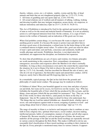(hawks, vultures, crows, etc.), of rodents, reptiles, worms and the like, of dead animals and birds that are not slaughtered properly (Qur'an, 2:172-173; 5:4-6);

3. All forms of gambling and vain sports  $(Our' an, 2:219; 5:93-94);$ 

4. All sexual relations out of wedlock and all manners of talking, walking, looking and dressing in public that may instigate temptation, arouse desire, stir suspicion, or indicate immodesty and indecency (Our' an 23:5-7; 24:30-33; 70:29-31).

This Act of Prohibition is introduced by God for the spiritual and mental well-being of man as well as for the moral and material benefit of humanity. It is not an arbitrary action or a self-imposed intrusion from God. On the contrary, it is a sign of God's interest in the welfare of humanity and an indication of His good care for man.

When God prohibits certain things, it is not because He wants to deprive man of anything good or useful. It is because He means to protect man and allow him to develop a good sense of discrimination, a refined taste for the better things in life, and a continued interest in higher moral values. To achieve this, good care must be taken of man's spirit and mind, soul and body, conscience and sentiments, health and wealth, physique and morale. Prohibition, therefore, is not deprivation but enrichment, not suppression but discipline; not limitation but expansion.

To show that all prohibitions are acts of mercy and wisdom, two Islamic principles are worth mentioning in this connection. First, extraordinary circumstances, emergencies, necessities and exigencies allow the Muslim to do what is normally forbidden. As long as these circumstances exist and to the extent that he cannot help the situation, he is not to blame if he fails to observe the moral rules of God (see Qur' an, 2:173; 5:4). Secondly, God has inscribed for Himself the rule of mercy: any who do evil out of ignorance, but thereafter repent and amend their conduct, will be forgiven; surely God is Merciful and Oft-forgiving (Our'an, 6:54).

In a remarkable, typical passage, the Qur' an has laid down the grounds and philosophy of sound moral conduct. The passage may be rendered as follows:

O Children of Adam! Wear your beautiful apparel at every time and place of prayer; eat and drink, but waste not by excess, for God loves not the wasters. Say: 'Who has forbidden the beautiful gifts of God, which He has produced for His servants, and the things, clean and pure (which He has provided) for sustenance?' Say: 'They are, in the life of this world, for those who believe, (and) purely for them on the Day of Judgement.' thus do We explain the Signs in detail for those who understand, Say: 'The things that my Lord has indeed forbidden are: shameful deeds, whether open or secret, sins and trespasses against truth or reason; assigning of partners to God – and saying things about God of which you have no knowledge' (Qur'an 7:31-33).

The range of morality in Islam is so inclusive and integrative that it combines at once faith in God, religious rites, spiritual observances, social conduct, decision making, intellectual pursuits, habits of consumption, manners of speech, and all other aspects of human life. Because morality is such an integral part of Islam, the moral tone underlies all the passage of the Qur' an and the moral teachings are repeatedly stressed in various contexts throughout the Holy Book. This makes it difficult to devise any reasonably brief classification of these moral teachings according to their citations in the Qur' an. Every principle is mentioned many times in various contexts. It appears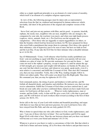either as a single significant principle or as an element of a total system of morality, which itself is an element of a complete religious supersystem.

In view of this, the following passages must be taken only as representative selections from the Qur'an, rendered and interpreted by human endeavors which, inevitably, fall short of the perfection of the original and complete version of the Book.

Serve God, and join not any partners with Him; and do good; - to parents, kinsfolk, orphans, the needy ones, neighbors who are near, neighbors who are strangers, the companion by your side, the wayfarer (you meet), and what your right hands possess (captives, slaves, animals, birds, etc.): For God loves not the arrogant, the vainglorious; - (Nor) those who are niggardly or enjoin niggardliness on others, or hide the bounties which God has bestowed on them; for We have prepared for those who resist Faith a punishment that steeps them in contempt; (Nor) those who spend of their substance, (out of hypocrisy) just to be seen of men, but have no faith in God and the Last Day. If any take the Evil One for their intimate what a dreadful intimate he is! (4:36-38).

Say (O Muhammad): 'Come, I will rehearse what God has (really) prohibited you from': join not anything as equal with Him; be good to your parents; kill not your children on a plea of want; for We provide sustenance for you and for them; … . And come not near to the orphan's property, except to improve it, until he attains the age of full strength; give measure and weight with full justice; no burden do We place on any soul, but that which it can bear; and whenever you speak, speak justly, even if a near relative is concerned; and fulfill the Covenant of God. Thus does He Command you, that you may remember. Verily, this is My Way, leading straight; follow it; follow not (other) paths: They will scatter you about from His Right path. Thus does He command you, that you may be righteous (6:151-153).

God commands justice, the doing of good, and kindness to kith and kin; and He forbids all shameful deeds, and injustice and rebellion: He instructs you, that you may receive admonition. Fulfill the Covenant of God when you have entered into it, and break not your oaths after you have confirmed them; indeed you have made God your surety; for God knows all that you do . . . . Whoever works righteousness, man or woman, and has Faith, verily, to him will We give a new Life, a life that is good and pure, and We will bestow on such (workers) their reward according to the best of their actions (16: 90-91, 97).

Invite (all) to the way of your Lord with wisdom and beautiful preaching; and argue with them in ways that are best and most gracious; for your Lord knows best, who have strayed from His Path, and who are truly guided (16:125).

Who is better in speech than one who calls (others) to God, works righteousness, and says: 'I am one of those who bow in Islam'. Nor can Goodness and Evil be equal. Repel (Evil) with what is best. Then the one between whom and you there was hatred will become as it were your friend and intimate! (41:33-34).

Whatever is given to you (here) is (only) a convenience of this Life. But that which is with God is better and more lasting. (It is) For those who believe and put their trust in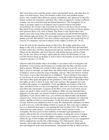their Lord; those who avoid the greater crimes and shameful deeds, and when they are angry even then forgive; those who hearken to their Lord, and establish regular prayer; who (conduct) their affairs by mutual consultation; who spend out of what We bestow on them for sustenance; and those who, when an oppressive wrong is inflicted on them, (are not cowed but) help and defend themselves. The recompense for an injury is an injury equal to it (in degree), but if a person forgives and makes reconciliation, his reward is due from God, for God loves not those who do wrong. But indeed if any do help and defend themselves after a wrong (done) to them, against such (persons) there is no cause of blame. The blame is only against those who oppress men with wrong doing and insolently transgress beyond bounds through the land, defying right and justice. For such (oppressors and transgressors) there will be a penalty grievous. But indeed if any show patience and forgive, that would truly be an exercise of courageous will and resolution in the conduct of affairs (42: 36-43).

If any do wish for the transitory things (of this Life), We readily grant them such things as We will, to such persons as We will, but in the end We have provided Hell for them where they will burn, disgraced and rejected. And those who do wish for the (things of) the Hereafter, and strive therefor with all due striving, and have Faith, they are the ones whose striving is appreciable (by God.). Of the bounties of your Lord We bestow freely on all-these as well as those: the bounties of your Lord are not closed (to anyone). (17:18-20)

Take not with God another object of worship: or you (man!) will sit in disgrace and destitution. Your Lord has decreed that you worship none but Him, and that you be kind to parents. Whether one or both of them attain old age in your life, say not to them a word of contempt, nor repel them, but address them in terms of honor. And out of kindness, lower to them the wing of humility, and say: 'My Lord! bestow on them Your mercy even as they cherished me in childhood.' Your Lord knows best what is in your hearts. If you do deeds of righteousness, verily He is Most Forgiving to those who turn to Him again and again (in true penitence). After render to the kindred their due rights, as (also) to those in want, and to the wayfarer. But squander not (your wealth) in the manner of a spendthrift. Verily spendthrifts are brothers of the Evil Ones; and the Evil One is to his Lord ungrateful. And even if you have to turn away from them (the said people), in pursuit of the Mercy from your Lord which you do expect, yet speak to them words of easy kindness. Make not your hand tied (like a niggard's) to your neck, nor stretch it forth to its utmost reach (like an irresponsible squanderer, if you choose either way), you will become blameworthy and destitute (respectively). Verily your Lord does provide sustenance in abundance for whom He pleases, and He provides in a just measure; for He does know and regard all His servants. Kill not your children for fear of want. We shall provide sustenance for them as well as for you, verily the killing of them is a great sin. Nor come near to adultery; for it is a shameful deed and an evil, opening the road (to other evils). Nor take life – which God has made sacred – except for just cause. And if anyone is slain wrongfully, We have given his heir authority (to demand equal punishment or to forgive). But let him not exceed bounds in the matter of taking life; for he is helped (by the Law). Come not near to the orphan's property except to improve it, until he attains the age of full strength; and fulfill (every) engagement: for (every) engagement will be enquired into (on the Day of Reckoning). Give full measure when you measure, and weigh with a balance that is straight. That is the most fitting and the most advantageous in the final determination. And pursue not that of which you have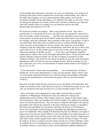no knowledge (idle and useless curiosity); for every act of hearing, or of seeing or of (feeling in) the heart will be enquired into (on the Day of Reckoning). Nor walk on the earth with arrogance; for you cannot rend the earth asunder, nor reach the mountains in height. Of all such things evil is hateful in the sight of your Lord. These are among the (precepts of) wisdom, which your Lord has revealed to you. Take not, with God, another object of worship, lest you should be thrown into Hell, blameworthy and rejected (17:22-39).

We bestowed wisdom on Luqman: 'Show your gratitude to God'. Any who is grateful does so to the profit of his own soul. But if any are ungrateful, verily God is free of all needs, worthy of all praise … ..And We have enjoined on man (to be good) to his parents. In travail upon travail did his mother bear him, and in years twain was his weaning. (hear the command), show gratitude to Me and to your parents. To Me is your final Goal. But if they strive to make you join in worship with Me things of which you have no knowledge (or do any wrong), obey them not; yet bear them company in this life with justice (and consideration), and follow the way of those who turn to Me (in love). In the end the return of you all is to Me, and I will tell you the truth (and meaning) of all that you did … … O my Son! (said Luqman): Establish regular prayer, enjoin what is just (and right) and forbid what is wrong; and bear with patient constancy whatever betide you; for this is firmness (of purpose) in (the conduct of) affairs. And swell not your cheek (for pride) at men, nor walk in insolence through the earth; for God loves not any arrogant boaster. And be moderate in your pace, and lower your voice; for the harshest of sounds without doubt is the braying of the ass (31:12-19)

O you who believe! Intoxicants and gambling . . . are an abomination, of Satan's handiwork. Avoid such (abomination), so that you may prosper. Satan's plan is only to excite enmity and hatred between you, with intoxicants and gambling, and hinder you from the rememberance of God and from prayer. Will you not then abstain? (5:90-91).

But seek, with that which God has bestowed on you, the Home of the Hereafter. Nor forget your portion in this world. But you do good, as God has been good to you, and seek not mischief in the land; for God Loves not the mischief makers (28:77).

These selections can be supported by many others from the Qur'an and the Traditions of Muhammad. In themselves they are sufficient to portray the fundamental morals of Islam. These Islamic morals are unique in their nature under all circumstances. They are introduced by God not simply to be admired occasionally but to be enforced and effective. They are meant to help the individual to develop his personality and cultivate his character in the most wholesome manner, to strengthen his bonds and consolidate his association with God, the Source of all Goodness. Never were the Islamic morals designed to intimidate the individual and make him passive or indifferent. One example will illustrate the point. If a Muslim is wronged or oppressed, he has the free choice either to resist and retaliate in an equal measure or to forgive and entrust God with the results of his deed. He knows that he is authorized to take either action, and he equally knows that it is better for him to forgive. So when he forgives, he does so with his own free choice for the love of God. Similarly, when he retaliates he is not violating the Law or acting unjustly; he is defending his rights, an attitude which is a sacred duty in itself, and is helping the rightful authorities to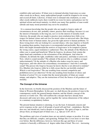establish order and justice. If Islam were to demand absolute forgiveness as some other creeds do in theory, many undisciplined people would be tempted to do wrong and exceed all limits. Likewise, if Islam were to demand only retaliation, as some other creeds ruthlessly teach, there would be no room for mercy and patience nor for spiritual reform and moral maturity, in which case many fine qualities of man would subside and many moral potentials may never be actualized.

It is common knowledge that the people who are taught to forgive under all circumstances do not, and probably cannot, practice their teachings, because it is not the interest of humanity in the long run, nor is it in the interest of morality itself. Likewise, the people who are taught to practice stern retaliation have little or no respect for human virtues and care less for moral values as universal rules. But Islam, the Divine foster of human nature, has given the right answer to human problems. To those wrong doers who are looking for a second chance, who may improve or benefit by granting them pardon, forgiveness is recommended and preferable. But against those who might misunderstand the motives of forgiveness or be tempted to pursue the wrong course, equal retaliation is authorized. Thus, the attitude of the Muslim in either case is sound and beneficial. When he forgives, he pleases God, retains the upper hand and contributes to the reformation of the delinquent. And when he retaliates, he defends the right, establishes order and justice, and helps to arrest evil. Now, which is sound morality? The attitude of the person who is a ruthless avenger indiscriminately? Or the attitude of a Muslim who makes room for mercy and forgiveness, and who allows for extraordinary circumstances? And who is normally sound? The person who forgives because he knows that he is not allowed to retaliate? Or a Muslim who forgives while he is fully aware that he can lawfully retaliate? Which is real forgiveness? The one resulting from external compulsion and prohibition not to act otherwise? Or the one resulting from freedom of choice and freedom of action? It is no wonder that the moral principles of Islam are sound, unique, and adaptive. They are the instructions of God, the Source of all goodness and morality.

# *The Concept of the Universe*

In the foreword, we briefly discussed the position of the Muslims and the future of Islam in Western Hemisphere. In this part, we shall discuss the position of man in the contemporary world, the general human situation, and the Islamic concept of the universe or world view. This will reaffirm the concepts that have already been discussed, add some new ideas, and tie together the various dimensions of the subject in a summary recapitulatory fashion.

The present human situation is alarming, to say the least. It demands concern and active response on the part of all people of good will and God – mindedness. But this does not, and should not, lead to despair or resignation. The spirit of hope is, and has always been, an integral part of Islam (see, e. g., Qur,an 12:87; 65:3)

The problems and crises of modern times are not entirely unique or peculiar. It is true that they are difficult, complex, and agonizing. Perhaps this is even more so now than ever before. But the difference, however, between this age and those of yester centuries is basically a difference of degree rather than of kind. The ever – increasing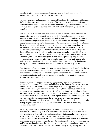complexity of our contemporary predicaments may be largely due to a similar, proportionate rise in our expectations and capacities.

For many centuries and in numerous regions of the globe, the chief source of the most difficult crises has essentially been a kind of inflexible, exclusive, and intolerant attitude toward the unfamiliar, the different, and the foreign. This orientation fostered racism, elitism, bigotry, prejudice, and a whole host of other equally distasteful attitudes.

Few people can really deny that humanity is facing an unusual crisis. This present human crisis seems to emanate from a serious imbalance between our external, outward, material explorations and our internal, inward, moral gropings. Nothing is simpler than calling for the maintenance of an equilibrium, advocating a "middle range," or crusading for the "golden means." Yet nothing has been harder to attain. In the past, utterances such as man cannot live by bread alone were sometimes so distorted as to connote disregard for man's material welfare. Similarly, trust in God has been misunderstood; it is often taken to mean helpless fatalism or categorical denial of human free will and self-realization. An overemphasis on spirituality and resignation is bound to give rise to a counter emphasis on materialism, rationalism, " free will", and so on. Stressed beyond certain limits, spirituality may become superstition, and confusion. Likewise, a counter stress may turn materialism into laxity, free will into libertinism, and rationalism into sheer vanity. The intellectual history of the last few centuries demonstrates these tendencies only too well.

Over the years of recent decades, the spiritual scale tipped up and down. In the sixties, and now in the seventies, the news-making events are those of the unsurpassed, unprecedented, outerspace explorations. Equally sensational are the unprecedented explorations in the inward, internal realms of being, however faddish, cultic, or neurotic they may seem to be.

The rise of these two unprecedented and unbalanced types of exploration is exceptionally alarming. The reason probably lies in the fact that the two types do not seem to relate to each other, let alone converge. There is no apparent reciprocity, mutual reinforcement, or crossfertilization. Besides, their precarious, unbalanced existence is a constant threat to the majority of people. It may very well drive them into ambivalence and confusion which may, in turn, intensify the problems of society and harden the lot of modern man. But such a precarious course can be changed if the outward scientific explorations and the inward moral gropings are somehow reconciled. Man does not live by bread alone. That is true enough. But neither does he live by prayers only. He is both a political or materialistic animal and a religious explorer of the holy.

As already mentioned, the contemporary world is clearly baffled by numerous problems. But it is equally baffled by the conflicting diagnoses and prescriptions to cope with these problems. Some people sing along with the popular lyric, " what the world needs now is love . . .etc." Some call for a human rebirth. Others turn to Marxism, Humanism, Satanism, or Scientism as the ultimate solution. Still more are awaiting the arrival of some future Savior. Yet this long list does not even include the indifferent, the hopeless, and the apathetic who may in fact outnumber the optimist clubs combined. But it seems that the greatest need today is the pressing need for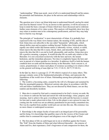"understanding." What man needs most of all is to understand himself and his nature, his potentials and limitations, his place in the universe and relationships with its elements.

The question now is how can Islam help man to understand himself, unclog his mind, and clear his blurred vision? To try an answer to this question, it will be necessary to keep in mind the basic concepts of Islam which have been discussed and to elaborate further some elements of its value system. This analysis will hopefully show how they may relate to modern man in his contemporary predicament, and how they may help him to find his way through.

The principle of "moderation" is most characteristic of Islam. It is probably best expressed in the way Islam views human nature, the meaning of life, and the idea of God. Islam does not subscribe to the one-sided "humanistic" philosophy, which almost deifies man and recognizes nothing beyond. Neither does Islam endorse the equally one-sided verdict that human nature is inherently vicious, wicked, or sinful, Islam rejects the idea that life is nasty, brutal, short, and miserable. But it equally rejects the idea that life is an end in itself, pleasurable, and carefree. Islam does give life a positive meaning, a purpose. It would devalue life on earth only relative to the Hereafter. It is not concerned exclusively with the here and now, the instant hedonism, and the immediate pleasures. Nor does it completely bypass the here and now in pursuit of a future paradise in a hereafter. It addresses itself to both the human condition here on earth and the human destiny in the Hereafter. Such concern is, of course, proportionate; it values each phase of existence according to its relative effect on the general well-being of man (Qur'an 7:33; 17:18-21; 28:77; 57:20-21).

In the Qur'an, there is a passage  $(2: 27-39)$  which is typical of so many others. This passage contains some of the fundamental principles of Islam, and represents the foundations of the world view of Islam. Outstanding among these principles are the following:

1. The world is a becoming entity, created by the will of a Designer and sustained by Him for meaningful purposes. Historical currents take place in accordance with His will and follow established laws. They are not directed by blind chance, nor are they random and disorderly incidents

2. Man also is created by God and is commissioned to be God's viceroy on earth. He is so chosen to cultivate the land and enrich life with knowledge, virtue, purpose, and meaning. And to achieve this goal, everything in the earth and the heavens is created for him and is made subservient to him. Life on this planet is not a prison for man; his coming into the world was not an arbitrary punishment for previously committed sins. Nor was he expelled from another world and cast out into this one. His existence was no mere chance or undesigned occurrence

3. Knowledge is the unique faculty of man and is an integral part of his personality and his being. It is knowledge that qualifies man to be the viceroy of his Creator and entitles him to command the respect and allegiance even of the angels of God

4. The first phase of life on earth began not in sin or rebellion against the Creator. The "Fall" from the Garden of Eden and what followed thereafter – the remorse of Adam and Eve, their repentance, God's forgiveness of and compassion for them, the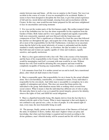enmity between man and Satan – all this was no surprise to the Creator. Nor was it an accident in the course of events. It was too meaningful to be accidental. Rather, it seems to have been designed to discipline the first man, to give him actual experience of fall and rise, moral defeat and triumph, straying from and reconciliation with the Creator. In this way, man would become better prepared for life and more enlightened to face its uncertainties and trying moments

5. Eve was not the weaker party of the first human couple. She neither tempted Adam to eat of the forbidden tree nor was she alone responsible for the expulsion from the Garden of Eden. Both Adam and Eve were equally tempted and equally responsible; both were remorseful, repented, and were blessed with the forgiveness and compassion of God. This is significant as it liberates Eve from the curse that followed her and her sex throughout the ages, and acquits her of the charge that she alone bears all or most of the responsibility for the Fall. Furthermore, it declares in no uncertain terms that the belief in the moral inferiority of women is unfounded and the double standard is totally unjustifiable. Here, as elsewhere, the Qur'an makes it very clear that both man and women are equally capable of virtue and weakness, equally sensitive, and equally meritorious

6. Man is a free agent endowed with a free will. This is the essence of his humanity and the basis of his responsibility to his Creator. Without man's relative free will life would be meaningless and God's covenant with man would be in vain. Without human free will, God would be defeating His own purpose and man would be completely incapable of bearing any responsibility. This, of course, is unthinkable

7. Life emanates from God. It is neither eternal nor an end in itself, but a transitional phase, after which all shall return to the Creator

8. Man is responsible agent. But responsibility for sin is borne by the actual offender alone. Sin is not hereditary, transferable, or communal in nature. Every individual is responsible for his own deeds. And while man is susceptible to corruption, he is also capable of redemption and reform. This does not mean that Islam prefers the individual to the group. Individualism means little or nothing when severed from social context. What it means is that the individual has different sets of roles to play. He must play them in such a way as to guard his moral integrity, preserve his identity, observe the rights of God, and fulfill his social obligations

9. Man is a dignified honorable being. His dignity derives from the fact that he is infused with the spirit of his Creator. What is more important is that such dignity is not confined to any special race, color, or class of people. It is the natural right of man, every man, the most honorable being on earth

10. The passage, finally, points to the deep-seated roots of the Oneness of God and the unity of mankind. It shows, further, that man's highest virtues are piety and knowledge, that when such knowledge is acquired and invested according to the divine guidance, man's blissful destiny will be assured and his life will be serene.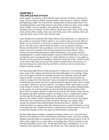# **CHAPTER 3** *THE APPLICATION OF FAITH*

In this chapter we propose to deal with the major exercises of Faith as laid down by Islam. They are Prayers (Salah), Fasting (Sawm), Alms-giving or "Charity" (Zakah) and Pilgrimage (Hajj). The way God has enjoined these exercises makes them serve all spiritual purposes and satisfy human needs. Some of them are daily; some weekly; some monthly; some bi-annually; some annually; and some are required as a minimum once in a lifetime. So they embrace all the days of the week, all the weeks of the month, all the months of the year, and all the years of life, and they, above all, mark the whole course of life with a Divine touch

It has already been mentioned that Faith without action and practice is a dead end, as far as Islam is concerned. Faith by nature is very sensitive and can be most effective. When it is out of practice or out of use, it quickly loses its liveliness and motivating power. The only way to enliven Faith and make it serve its purpose is practice. Practice provides Faith with nourishment, survival and effectiveness. In return, Faith inspires man to be constant in his devotion and persistent in his practice. This is because the interrelationship between Faith and practice is very strong, and their interdependence is readily understandable. A person without Faith has no real source of inspiration and, consequently, has no worthy objectives to attain or even aspire to. The life of such a person is meaningless, and he lives from day to day, which is no life at all. On the other hand, the person who confesses Faith but does not practice it is self-deceiving person, and in fact has no Faith, in which case he is no more than a helpless straying wanderer

The interrelationship between Faith and practice in Islam has vivid reflections on the entire setup of the religion and manifests the deep philosophy of its teachings. Islam does not recognize any kind of separation between soul and body, spirit and matter, religion and life. It accepts man the way God has created him and recognizes his nature as composed of soul and body. It does not neglect his spiritual nature; else he would be like any animal. Nor does it underestimate his physical needs; else he would be an angel, which he is not and cannot be. According to Islam, man stands in center of the stream of creation. He is not purely spiritual because the purely spiritual beings are the angels, nor is he beyond that, because the Only Being beyond that is God alone. He is not entirely material or physical, because the only beings of this class are the animals and other irrational creatures. So being of such a complementary nature, man has parallel demands and parallel needs: spiritual and material, moral and physical. The religion which can help man and bring him close to God is the religion which takes into consideration all these demands and needs, the religion which elevates the spiritual status and disciplines the physical desires. And this is the religion of Islam. To oppress either side of human nature, or upset the balance, or lean to one direction only, would be an abusive contradiction to human nature as well as an irresponsible defiance of the very nature in which God has created man

Because Islam grants complete recognition of human nature as it is, and takes deep interest in the spiritual as well as the material well-being of man, it does not consider religion a personal affair or a separate entity from the current general course of life. In other words, religion has no value unless its teachings have effective imprints on the personal and public course of life. On the other hand, life is meaningless, if it is not organized and conducted according to the Divine Law. This explains why Islam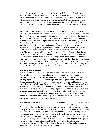extends its sense of organization to all walks of life: individual and social behavior, labor and industry, economics and politics, national and international relations, and so on. It also demonstrates why Islam does not recognize "secularism" or separation of religion from man's daily transactions. The interaction between true religion and meaningful life is vital. And this is why Islam penetrates into all walks of life to conduct all human activities in a sound and wholesome manner, acceptable to God and benevolent to man

As a result of this necessary correspondence between true religion and daily life, Islam does not attend to the doctrine of "six days for me or the world and one day for the Lord". This doctrine amounts to nothing in the long run, and makes the liveliness of religion turn pale and faint. Besides, it shows serious injustice to God on man's part and afflicts detrimental injuries on the latter's soul. It is a serious negligence of the spiritual and moral needs which are as important as, if not greater than, the material desires. It is a dangerous disruption of the nature of man, and any such imbalance is a symptom of degeneration. Similarly, if man earmarks six days for monkery or exclusive meditation and one day for himself, he would be better in no way. The balance would still be upset. The natural and logical course, then, is the course which Islam has offered. Being of a complementary nature and standing in the center of the stream of creation, man will plunge into serious troubles, if he neglects either his soul or his body, or if he lets either one outweigh the other. To nourish both, to foster both in a well-balanced and sound manner is the hardest test of man's sense of justice and integrity as well as of his willpower and truthfulness. And to help man to pass this test, Islam has come to his rescue with the regular exercises of faith.

#### *The Purpose of Prayer*

Prayer constitutes one pillar of Islam and is considered the Foundation of Religion. Any Muslim who fails to observe his prayers and has no reasonable excuse is committing a grave offense and a heinous sin. This offense is so grave because it is not only against God, which is bad enough, but is also against the very nature of man. It is an instinct of man to be inclined to adore the great beings, and to aspire to lofty goals. The greatest being and the loftiest goal of all is God. The best way to cultivate in man a sound personality and actualize his aspirations in a mature course of development is the Islamic Prayer. To neglect prayer is to oppress the good qualities in human nature and unjustifiably deny it the right to adore and love, the right to aspire and ascend, the right to excel in goodness and achieve noble aims. Such oppression and denial constitute a very serious and destructive offense. Here lies the significance and vitality of prayer in the life of man

It should always be borne in mind that God does not need man's prayer, because He is free of all needs. He is only interested in our prosperity and well-being in every sense. When He emphasizes the necessity of prayer and charges us with any duty, He means to help us; because whatever good we do is for our own benefit, and whatever offence we commit is against our own souls. Here, too, man is the center of gravity, and his common interest is the main concern. The benefit which man can derive from the Islamic prayer is immeasurable and the blessing of prayer is beyond imagination. This is not just a "theory" or conventional assumption; it is a fascinating fact and a spiritual experience. Here is an explanation of the effectiveness of the Islamic prayer :- 1. It strengthens the belief in the Existence and Goodness of God and transmits this belief into the innermost recesses of man's heart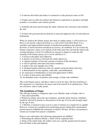2. It enlivens this belief and makes it constructive in the practical course of life

3. It helps man to realize his natural and instinctive aspirations to greatness and high morality, to excellence and virtuous growth

4. It purifies the heart and develops the mind, cultivates the conscience and comforts the soul

5. It fosters the good and decent elements in man and suppresses the evil and indecent inclinations

When we analyze the Islamic prayer and study its unique nature, it will reveal to us that it is not merely a physical motion or a void recital of the Holy Book. It is a matchless and unprecedented formula of intellectual meditation and spiritual devotion, of moral elevation and physical exercise, all combined. It is an exclusively Islamic experience where every muscle of the body joins the soul and the mind in the worship and glory of God. It is difficult for anyone to impart in words the full meaning of the Islamic prayer yet it can be said that it is :-

1. A lesson in discipline and willpower;

- 2. A practice in devotion to God and all worthy objectives;
- 3. A vigilant reminder of God and constant revelation of His Goodness;
- 4. A seed of spiritual cultivation and moral soundness;
- 5. A guide to the most upright way of life;
- 6. A safeguard against indecency and evil, against wrong deviation and stray;
- 7. A demonstration of true equality, solid unity, and brotherhood;
- 8. An expression of thankfulness to God and appreciation of Him;
- 9. A course of inner peace and stability;
- 10. An abundant source of patience and courage, of hope and confidence

This is the Islamic prayer, and that is what it can do for man. The best testimony to this statement is to experience the prayer and avail oneself of its spiritual joys. Then one will know what it really means

# *The Conditions of Prayer*

The offering of prayer is obligatory upon every Muslim, male or female, who is: 1. Sane and responsible;

2. Relatively mature and in the age of puberty, normally about fourteen. (Children should be advised by parents to start practice at the age of seven and strongly urged by the age of ten);

3. A Muslim is required to pray even in a state of sickness in a manner he is capable. However, women are exempted from performing prayers during their menstruation period and post-childbirth the minimum of which is 40 days. In these circumstances women are exempt from prayers completely

Prayer is not valid unless the following requirements are fulfilled:

1. Performing the ablution (Wudu'), which will be explained later;

2. Purity of the whole body, the clothes worn on it, and the ground used for prayer from all kinds of dirt and impurity;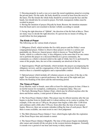3. Dressing properly in such a way as to meet the moral regulations aimed at covering the private parts. For the male, the body should be covered at least from the navel to the knees. For the female the whole body should be covered except the face and the hands, feet should also be covered in prayer. For both, transparent clothes must be avoided in prayer;

4. Having the intention of prayer (Niyyah) by heart; Reason: the intention emanates from the heart and is not essential to declare verbally according to sunnah

5. Facing the right direction of " Qiblah", the direction of the Ka' bah at Mecca. There are many ways to decide the right direction. If a person has no means of telling, he would follow his best judgement

### *The Kinds of Prayer*

The following are the various kinds of prayer:

1. Obligatory (Fard), which includes the five daily prayers and the Friday's noon congregational prayer. Failure to observe these prayers on time is a serious and punishable sin. However, funeral prayer which is known as "Farad Kifayah" in Arabic, which is a collective duty, is also obligatory in the sense that if no one comes out to perform the prayer on a deceased Muslim in a given community, the community as a whole is deemed sinful in the sight of Allah, but if it is performed by some of the people, then, the rest of the community are absolved of the sin

2. Supererogatory (Wajib and Sunnah), which includes the prayers accompanying the obligatory services, and the congregations of the two great festivals (Eeds). Failure to observe these is a harmful negligence and a reproachable conduct

3. Optional prayer which includes all voluntary prayers at any time of the day or the night. Two periods have a special preference: the later part of the night until just before the breaking of the dawn and the mid-morning period.

#### *The Times of Prayer*

Every Muslim, male or female, must offer at least five daily prayers in time, if there is no lawful reason for exemption, combination, or temporary delay, They are: 1. The Early Morning Prayer (Salatu-l-Fajr), which may be offered anytime after the dawn and before sunrise, a total period of about two hours

2. The Noon Prayer (Salatu-l-Zuhr). This prayer may be offered anytime after the sun begins to decline from its Zenith until it is about midway on its course to setting. For example, if the sun sets at 7:00 p.m. the prayer time begins a little after 12:00 noon and continues until a little after 3:30 p.m. Soon after that, the time of next prayer begins. However, there are accurate calendars telling the time of each prayer. But if there is none available, one must resort to one's best judgement

3. The Mid-Afternoon Prayer (Salatu-l-'Asr), which begins right after the expiration of the Noon Prayer time and extends to sunset

4. The Sunset Prayer (Salatu-l-Maghrib). The time of this prayer begins immediately after sunset and extends till the red glow in the western horizon disappears. Normally it extends over a period of one hour and twenty to thirty minutes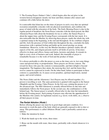5. The Evening Prayer (Salatu-l-'Isha'), which begins after the red glow in the western horizon disappears (nearly one hour and thirty minutes after sunset) and continues till a little before the dawn

It is noticeable that Islam has set the times of prayers in such a way that our spiritual recreation remarkably coincides with our physical nourishment, and combines the peace of mind with the relaxation of the body. The Early Morning Prayer is due in the regular period of breakfast; the Noon Prayer coincides with the lunch period; the Mid-Afternoon Prayer falls about the breaktime for tea or coffee; the Sunset Prayer is about the supper time; and the Evening Prayer corresponds with the late snack. It is also noticeable that the Muslim, by observing these prayers, marks the whole day with a spiritual stamp in the beginning, at the end and throughout. So he combines religion and life, feels the presence of God within him throughout the day, concludes his daily transactions with a spiritual feeling and builds up his moral prestige on strong foundations. Moreover, in this way the Muslim introduces spiritual vitality into all aspects of his life, and religion presents itself to all fields of activity. It becomes effective in shops and offices, homes and farms, factories and plants. It extends its light to every circle of business and work. Indeed, this timetable of prayer is remarkable because it is the work of God and the product of Islam

It is always preferable to offer the prayer as soon as the times sets in, lest some things cause unexpected delay or postponement. These prayers are Divine contests. The reward for those who pass the contests is immeasurable, and their delight is beyond imagination. The happiness they attain, the rejoicing they feel, and the honor they receive cannot be expressed in words. On the other hand, failure to participate in these contests is a punishable sin. It causes severe penalties, spiritual deprivation, mental agony, and social isolation

The Noon (Zuhr) and the Afternoon ('Asr) Prayers may be offered together, if a person is travelling or sick. The same permission is granted with regards to the Sunset (Maghrib) and the Evening ('Isha) Prayers. In the first case, joining the prayers is of the advanced type. The Mid-Afternoon is actually offered before its due time and immediately follows the Noon prayer. In the second case, the combination is of the belated type. The Sunset prayer is actually offered after its due time but immediately before the Evening prayer. Such joining of prayers may alleviate the apprehension of the Muslims who cannot, for legitimate reasons (e.g. travel, work shifts, etc.), observe all their prayers in time.

# *The Partial Ablution (Wudu')*

Before offering the prayer one must be in good shape and pure condition. It is necessary to wash the parts of the body which are generally exposed to dirt or dust or smog. This performance is called Ablution (Wudu') and is preferably carried out as follows:

1. Make the intention by heart

2. Wash the hands up to the wrists, three times

3. Rinse out the mouth with water, three times, preferably with a brush whenever it is possible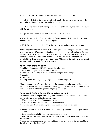4. Cleanse the nostrils of nose by sniffing water into them, three times

5. Wash the whole face three times with both hands, if possible, from the top of the forehead to the bottom of the chin and from ear to ear

6. Wash the right arm three times up to the far end of the elbow, and then do the same with the left arm

7. Wipe the whole head or any part of it with a wet hand, once

8. Wipe the inner sides of the ears with the forefingers and their outer sides with the thumbs. This should be done with wet fingers

9. Wash the two feet up to the ankles, three times, beginning with the right foot

At this stage the ablution is completed, and the person who has performed it is ready to start his prayer. When the ablution is valid a person may keep it as long as he can, and may use it for as many prayers as he wishes. But it is preferable to renew it as often as possible. It is also preferable to do it in the said order, although it will be accepted from those who fail to keep this order. Ablution in the said way is sufficient for prayer unless it is nullified by any reason.

# *Nullification of the Ablution*

The ablution becomes nullified by any of the following:

- 1. Natural discharges, i.e. urine, stools, gas, etc
- 2. The flow of blood or pus and the like from any part of the body:
- 3. Vomiting
- 4. Falling asleep;
- 5. Losing one's reason by taking drugs or any intoxicating stuff

After the occurrence of any of these things the ablution must be renewed for prayer. Also, after natural discharges, water should be applied because the use of toilet tissues may not be sufficient for the purpose of purity and worship.

# *Complete Substitute for the Ablution (Tayammum)*

Tayammum or resort to pure earth may substitute for the ablution and even the bath. This is allowed in any of the following cases:

- 1. When a person is sick and cannot use water;
- 2. When he has no access to water in sufficient quantity;
- 3. When the use of water is likely to do him harm or cause any disease;

In any of these instances it is permissible to make 'Tayammum' which is performed as follows:

1. Strike both hands slightly on pure earth or sand or stone

2. Shake the hands off and wipe the face with them once in the same way as done in the ablution

3. Strike the hands again and wipe the right arm to the elbow with the left hand then the left arm with the right hand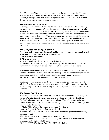This 'Tayammum' is a symbolic demonstration of the importance of the ablution, which is so vital for both worship and health. When Islam introduced this repeatable ablution, it brought along with it the best hygienic formula which no other spiritual doctrine or medical prescription had anticipated

# *Special Facilities in Ablution*

With regard to the ablution Islam has offered certain facilities. If socks or stockings are on and have been put on after performing an ablution, it is not necessary to take them off when renewing the ablution. Instead of taking them off, the wet hand may be passed over them. They should be removed, however, and the feet washed at least once in every twenty-four hours. The same practice may be resorted to if the boots are on their soles and appearances are clean. Similarly, if there is a wound in any of the parts which must be washed in the ablution, and if washing that particular part is likely to cause harm, it is permissible to wipe the dressing bandage of the wound with a wet hand.

# *The Complete Ablution (Ghusl/Bath)*

The whole body with the nostrils, mouth and head must be washed by a complete bath before entering prayer in any of the following cases:

- 1. After intimate intercourse;
- 2. After wet dreams;
- 3. Upon expiration of the menstruation period of women;

4. At the end of the confinement period of nursing women, which is estimated at a maximum of forty days. If it ends before, complete ablution should be done

It should be pointed out that at the start of the bath or ablution the intention must be clear that it is for the purpose of purity and worship. Also, a person who is performing an ablution, partial or complete, should combine his performance with some utterances glorifying God and praying him for true guidance.

The forms of such utterances are described in detail in the elaborate sources of the religion. One, however, can say one's own best utterances if one does not know the exact wording. That is sufficient as long as it is in the praise of God and is said with sincerity

# *The Prayer Call (Adhan)*

Now the worshipper has performed his ablution as explained above and is ready for prayer. When the time of prayers comes, it is good practice, after the Traditions of Prophet Muhammad, to say the Prayer call (Adhan). The caller stands facing the  $Q$ iblah (the direction of Ka' bah at Mecca), raising both hands to his ears and says, in a loud voice, the following:

1. Allahu Akbar (God is the greatest), (repeated four times);

Çááå ÃßÈÑ Çááå ÃßÈÑ Çááå ÃßÈÑ Çááå ÃßÈÑ

Ashhadu An La illaha-ila-lah (I bear witness that there is no god but the One God), (repeated twice);

ÃÔåÏ Ãä áÇ Åáå ÅáÇ Çááå ÃÔåÏ Ãä áÇ Åáå ÅáÇ Çááå

Ashhadu Anna Muhammadan Rasulu - l - lah (I bear witness that Muhammad is the Messenger of God), (repeated twice);

ÃÔåÏ Ãä ãÍãÏÇð ÑÓæá Çááå ÃÔåÏ Ãä ãÍãÏÇð ÑÓæá Çááå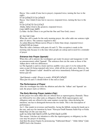Hayya 'Ala-s-salah (Come fast to prayer), (repeated twice, turning the face to the right); Íí Úáì ÇáÕáÇÉ Íí Úáì ÇáÕáÇÉ Hayya 'Ala-l-falah (Come fast to success), (repeated twice, turning the face to the left); Íí Úáì ÇáÝáÇÍ Íí Úáì ÇáÝáÇÍ Allahu Akbar (God is the greatest), (repeated twice); Çááå ÃßÈÑ Çááå ÃßÈÑ La Ilaha -ila-lah (There is no god but the One and True God), (once)

áÇ Åáå ÅáÇ Çááå

When the call is made for the early morning prayer, the caller adds one sentence right after (5) above. The sentence required is this:

As-salatu Khayrun Minan-nawm (Prayer is better than sleep), (repeated twice) ÇáÕáÇÉ ÎíÑ ãä Çáäæã

Then the caller continues with parts (6) and (7). This exception is made in the morning only because it is the time when people are asleep and in need for a reminder of prayer

# *Entrance Into Prayer (Iqamah)*

When this call is uttered, the worshippers get ready for prayer and inaugurate it with an announcement called 'Iqamah' . The sentences here are the same as those of the Adhan above with two differences:

(a) The Iqamah is said in a faster and less audible voice; part (1) to be reduced the same as part (6) being repeated only twice, while all the rest only once. However, the words " Qad Qamati-s-salah" should be said twice immediately following part (5) and before part (6)

'Qad Qamati-s-salah' (Prayer is ready). ÞÏ ÞÇãÊ ÇáÕáÇÉ Then part (6) and (7) should follow to the end as usual.

# *The Performance of Prayer*

After the worshipper has done the ablution and after the 'Adhan' and 'Iqamah' are said, the prayer starts as follows.

# *The Early Morning Prayer (salatu-l-Fajr)*

In this prayer two units (Rak' ahs) are offered first as supererogatory (Sunnah). These are followed by two other units as obligatory (Fard). Both supererogatory and obligatory units are offered in the same manner except that, when declaring the intention, one has to distinguish between the two kinds. This is the description of performance:

Act 1. One stands in reverence and humility, facing the Qiblah, raising his hands up to the ears, and says his intention by heart " Nawaytu Osalli Sunnata Salati-Fajr or Farda Salati-Fajr (As the case may be);

äæ íÊ Ãä ÃÕáí  ÕáÇÉ ÇáÝÌÑ Ãæ ÝÑÖ ÕáÇÉ ÇáÝÌÑ

This means: I declare my intention to offer the supererogatory or obligatory (as the case may be) prayer of morning.

And then the prayer begins by pronouncing "Takberatul-Ihram": "Allah Akbar" Çááå ÃßÈÑ God is the Greatest .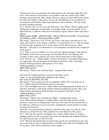Then he lowers his arm and places the right hand over the left hand, right above the navel. (This position of the hands is in accordance with one school of law. Other positions are preferred by other schools. However, these are minor differences and do not affect the validity of the prayer. In fact, all such differences are considered as conveniences and facilities rather than hindrances and restriction.) This the waquf position (standing position).

Act 2. He then says in a low voice the following: "Du'a Thana" (Praise supplication): " Subhanaka-l-lahumma wa bihamdik, wa tabaraka-smuk, wa ta' ala jadduk, wa La Ilaha Ghayruk. A' udhu bi-l-lahi mina-sh-shaytani-r-rajeem. Bismi-l-lahi-r-rah-mani-rraheem

ÓÈÍÇß Çááåã æÈÍãÏß , æÊÈÇÑß ÇÓãß , æÊÚÇáì ÌÏß æáÇ Çáå ÛíÑß , ÃÚæÐ ÈÇááå ãä ÇáÔíØÇä ÇáÑÌíã , ÈÓã Çááå ÇáÑÍãä ÇáÑÍíã .

This means: "Glory be to You, O God, and Yours is the praise and blessed is Your name, and exalted is Your majesty, and there is no god besides You. I seek the refuge of God from the condemned devil. In the name of God, Most Gracious, Most Merciful." (This part is recommended. It is not absolutely essential for the completion of the prayer.)

Act 3. Then in a low or audible voice he recites the Opening Chapter of the Qur'an (al-Fatihah), followed by any passage from the Holy Book. (The Opening and examples of these short chapters and verses will be found later in this chapter.) Act 4. Then he says: " Allahu Akbar," (God is the Greatest ), bowing his trunk down at a right angle, placing the palms of his hands on the knees. This is the Ruku' position (bowing position), and saying in a low voice:

" Subhana Rabbiya-l-Azeem".

ÓÈÍÇä ÑÈí ÇáÚÙíã

This means: "Glory to my Lord the Great", (repeated three times)

After that the standing position is resumed with these words:

" Sami' a-l-ahu Liman Hamidah; Rabbana Laka-l-Hamd

ÓãÚ Çááå áãä ÍãÏå ÑÈäÇ áß ÇáÍãÏ

This means: ("God accepts any who are thankful to Him; Our Lord, praise be to You"). When saying this the hands remain on the sides.

Act 5. The worshipper then says: Allahu Akbar, prostrating himself with the toes of both feet, both knees, both hands and the forehead touching the ground. This is the Sujud position (prostration position) and is accompanied with these words: "Subhana Rabbiya-l-A'La"

ÓÈÍÇä ÑÈí ÇáÃÚáì

This means: "Glory to my Lord the most High", ( repeated three times).

Act 6. Then with the utterance of Allahu Akbar comes the Julus position (sitting position), a short rest in sitting posture: the outer side of the left foot and the toes of the right one, which are in an erect position, touching the ground and the two hands are placed on the knees.

After this a second prostration (Sujud) is repeated in the same way with the same utterances as in the first one. This completes one unit (Rak' ah) of the prayer.

Act 7. After the first unit the worshipper rises, saying Allahu Akbar, to assume a standing position for the second unit and recites the Opening (the Fatihah) followed by a Qur' anic passage as in the first unit.

Act 8. When he has finished the second bowing and the two prostrations in the same way as the first, he takes a sitting position as in Julus and recites the Tashahhud with its two parts. (This will be found later in this chapter.)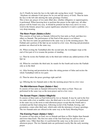Act 9. Finally he turns his face to the right side saying these word: " Assalamu 'Alaykum wa rahmatu-l-Lah (peace be on you and the mercy of God). Then he turns his face to the left side uttering the same greetings (Taslim).

This is how any prayer of two units (Rak' ahs), whether obligatory or supererogatory, is performed. When knowing how to perform this prayer in the right way, all other prayers will be found very easy. It should be pointed out that every move or every word in the Islamic prayer has a great significance attached to it and is symbolic of a very deep meaning.

# *The Noon Prayer (Salatu-z-Zuhr)*

This consists of four units as Sunnah, followed by four units as Fard, and then two others as Sunnah. The performance of the Fard of this prayer is as follows: (a). The first two units are performed in the same way as in the morning prayer. The Fatihah and a portion of the Qur' an are recited in a low voice. Bowing and prostration postures are observed in the same way

(b). When reciting the Tashahhud after the second unit, the worshipper stops at the end of first part of it to resume the posture of standing

(c). Then he recites the Fatihah only in the third unit without any added portion of the Qur'an

(d). When he concludes the third unit, he stands for the fourth and recites the Fatihah only as in the third

(e). After bowing and prostration he takes the sitting posture of Julus and recites the whole Tashahhad with its two parts

(f). Then he utters the peace greetings right and left

(g). Offering the two Sunnah units is like the morning prayer but in a low voice

# *The Mid-Afternoon Prayer (Salatu-l-'Asr)*

It consists of four units as Sunnah followed by four others as Fard. These are performed in the same way as the noon prayer and in a low voice.

# *The Sunset Prayer ( Salatu-l-Maghrib)*

It consists of three units as Fard followed by two as Sunnah. It may be said in the first two units with a low or audible voice; the third unit is in a low voice. It is performed in the same way as the noon or mid-afternoon prayer except that the fourth unit is excluded and the final sitting here, following recital of the Fatihah, bowing, and prostration, comes after third unit, which ends with the utterances of peace greetings. The two Sunnah units are offered in the same way as the Early Morning Prayer.

# *The Evening Prayer (Salatu-l-'Isha')*

It consists of four units as Fard, two as Sunnah and three as Witr (higher than Sunnah and lower than Fard). The first two units of the four Fard may be said in a low or audible voice. Other than that, it is performed the same way as the noon or midafternoon prayer. The two Sunnah units are performed exactly like the early morning prayer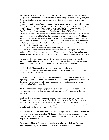As for the three Witr units, they are performed just like the sunset prayer with two exceptions: (a) in the third unit the Fatihah is followed by a portion of the Our'an, and (b) while standing after bowing and before prostration the worshipper says these words:

Çááåã ÅäÇ äÓÊÚíäß æ äÓÊåÏíß , æ äÓÊÛÝÑß æ äÊæ È Åáíß æ äÄãä Èß æ äÊæ ßá Úáíß , æ äËäí Úáíß ÇáÎíÑßáå , äÔßÑß æ áÇ äßÝÑß , æ äÎáÚ æ äÊÑß ãä íÝÌÑß , Çááåã ÅíÇß äÚÈÏ , æ áß äÕáí æ äÓÌÏ , æ Çáíß äÓÚì æ äÍÝÏ . äÑÌæ ÑÍãÊß , æ äÎÔì ÚÐÇÈß Åä ÚÐÇÈß ÈÇáßÝÇÑ ãáÍÞ æ Õá Çááåã Úáì ãÍãÏ æ Úáì Âáå æ ÕÍÈå æ Óáã

" Allahumma inna nasta 'eenuk, wa nastahdeek wa nastaghifiruk, wa natubu ilayk, wa nu'minu bik, wa natawakkalu 'alayk, wa nuthni 'alayka-l-Khayra kullah. Nashkurk, wa la nakfruk, wa nakhla'u wa natruku man yafjuruk. Allahumma iyyaka na' bud, wa laka nusalli wa laka nasjud, wa ilayka nas'a wa nahfid. Narju rahmatak, wa nakhsha 'adhabak; inna adhabaka bi-l-Kuffari mulhaq wa salli-l-llahumma 'ala Muhammad wa 'ala alihi wa sahbihi wa sallim."

This supplication is called Qunut and may be interpreted as follows:

" O God! We beseech You for help and guidance, and seek Your protection and believe in You and rely on You, and extol You and are thankful to You and are not ingrate to You, and we declare ourselves clear of, and forsake, him who disobeys You

" O God! To You do we pray and prostrate ourselves, and to You do we betake ourselves and to obey You we are quick, and Your mercy do we hope for and Your punishment do we fear, for Your punishment overtakes the unbelievers

" O God! Exalt Muhammad and his people and its true followers." If this Qunut cannot be commanded by memory, it sufficient to say any recitation similar to it till it is mastered

There are minor differences of interpretation between the various schools of law regarding the wordings and times of qunut. Some require no qunut; others require it in the Early Morning prayer with slight variations. However, following any of the authentic schools is acceptable

All the Sunnah (supererogatory) prayers are to be said individually, that is, not in congregation except the 'Eed prayers, and Taraweeh and Witr prayers in the month of Ramadan

The Sunnah Prayers are not required from a person who has missed some Fard Prayers. Instead, he must make up for what he has missed and offer the obligatory services. Also the Sunnah prayers are not required if the due time of the accompanying Fard Prayers has expired. So if a person misses any prayer and wants to make up for it, he has to offer the Fard only

If a worshipper does not know how to say his whole prayers in the Arabic version, he should simply say Subhaan Allah, Al-Hamdu Lillaah and Allaahu Akbar, this means: Glory to God, Praise be to God, God is greatest of all, until he learns to recite the prayers in Arabic language

Explanations: Non-Arabic speakers can always read the translations of the Qur' an in other languages they understand since believers are requested to concentrate in their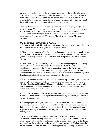prayers and to understand or at least grasp the meanings of the words to be recited. However, when it comes to prayers they are required to recite the prayer in Arabic. Allah revealed His Message choosing the Arabic language which means that His Message (Words) must only be read in its original form especially when we consider that Arabic words have no exact equivalents in any language

The Fard Prayer is much more preferable when offered in a congregation (Jama' ah) led by an Imam. The congregation is best when it is held in a mosque, but it may be held in other places. Those who arrive at the mosque before the Iqamah announcement of the Fard prayer are recommended to offer a two units Sunnah (supereragatory) prayer called "Tahiyatu al Masjid" which means "Moosque greetings"

#### *The Congregational (Jama'ah) Prayers*

1. The congregation is led by an Imam from among the present worshippers. He must be chosen on his merits of religious knowledge and piety

2. After the announcement of the Iqamah, the Imam of the congregation stands in the front by himself while the followers stand behind him in straight lines, all facing the Qiblah. A congregation can be made up even with two persons: the Imam and one follower

3. After declaring the intention of prayer and after beginning the prayer (i.e., saying takberatul-Ihram and du'a Thana) the Imam recites the Fatihah and the complementary passage of the Qur' an in an audible voice in the Early Morning Prayer and in the first two units of the Sunset and Evening Prayers. When the Imam is reciting the Qur' an aloud, the followers listen to him in meditation and humility. They do not recite the Fatihah nor the other passage after the Imam

4. When the Imam concludes the Fatihah the followers say 'Ameen' . (this means: "O God accept our invocation") After the Imam stands from bowing posture he says: "Sami'a-l-lahu liman Hamidah" (this means: "God accepts any who are thankful to Him"), and the followers respond in these words: "Rabbana laka-l-Hamd" (this means: "our Lord praise be to You")

5. The followers should follow the Imam is his movements without anticipating him in any act. Should any follower supercede the Imam in any movement, this person's prayer will become void

6. The congregational prayer is not valid unless the Imam declares his intention that he is acting in the service in the capacity of Imam. The followers also must declare their intention that they are following that particular Imam in the same particular prayer he is offering. All intentions, be it by the Imam or by the followers must be done by heart

7. When a person comes after the start of prayer, he should pronounce the Takbeeratul-Ihram (standing) and then, join the congregation. He should follow the Imam / congregation whatever be the stage of their prayer. However, after the Imam has completed the service by uttering the final peace greetings, if this late comer has missed one unit or more, he must take standing position to make up the earlier unit /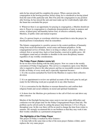units he has missed until he completes his prayer. When a person joins the congregation in the bowing position, before rising, he is considered as having joined from the start of this particular unit. But if he joins the congregation in any position after bowing, he has missed the unit and must make up for it individually right after the Imam has concluded the prayer

8. Whenever there is an opportunity for praying in congregation, a Muslim should not miss it. Prayer in congregation is a handsome demonstration of unity in purpose and action, of plural piety and humility before God, of effective solidarity among Muslims, of public order and mutual response

Also, if a person forgets or oversleeps which has caused him to miss the prayer, he should perform it immediately when he remembers

The Islamic congregation is a positive answer to the acutest problems of humanity rising from racial discrimination, social castes and human prejudices. In the congregational service of Islam, there is no king or subject, rich or poor, white or colored, first or second class, back or front benches, reserved or public pews. All worshippers stand and act shoulder to shoulder in the most disciplinary manner regardless of any worldly considerations.

#### *The Friday Prayer (Salatu-l-Jumu'ah)*

So far we have been dealing with the daily prayers. Now we come to the weekly convention of Friday Congregation. This service is compulsory upon every Muslim who is required to observe the other prayers and has no reasonable excuses to abstain. It falls on Friday of every week and is especially important because:- 1. It is the occasion earmarked by God for the Muslims to express their collective devotion

2. It is an appointment to review our spiritual accounts of the week gone by and get ready for the following week just as people do in any other business

3. It is a convention for the Muslims to reassure themselves and confirm their religious bonds and social solidarity on moral and spiritual foundations

4. It shows how the Muslims give preference to the call of God over and above any other concern

Muslim of the Daylight Saving time zones seem to run into some difficulties and confusion over the proper time for the Friday Congregational Prayer (Jum'ah). The problem can be solved easily by setting the prayer time between 1:15 to 2.30 p.m. throughout year. In this way there will be no need to change the time from winter to summer. We strongly recommend this to our brethren so that they may work it into their weekly schedules as a permanent arrangement

#### *The Highlights of the Friday Prayer*

This prayer of Friday is marked by these features:-

1. Its time falls in the same time as that of the noon prayer (Salatu-z-Zuhr), and it replaces the very same prayer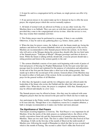2. It must be said in a congregation led by an Imam, no single person can offer it by himself

3. If any person misses it, he cannot make up for it; Instead, he has to offer the noon prayer, the original prayer which this service normally replaces

4. All kinds of normal work are allowed on Friday as on any other week day. For Muslims there is no Sabbath. They can carry on with their usual duties and activities provided they come to the congregational service in time. After the service is over, they may resume their mundane activities

5. This Friday prayer must be performed in a mosque, if there is one available. Otherwise, it may be said at any gathering place e.g. homes, farms, parks. etc

6. When the time for prayer comes, the Adhan is said, the Imam stands up, facing the audience and delivers his sermon (khutbah) which is an essential part of the service. Muslims are recommended to offer Sunnah prayers before the sermon. As for those who will arrive at the Mosque during the sermon they should offer the two brief units of the Sunnah prayer "Tahiyatu al Masjid" (Mosque greetings) and then sit down to listen. While the Imam is talking nobody should talk, everyone present should take a sitting position and listen to the sermon quietly to the end

7. The sermon (khutbah) consists of two parts each beginning with words of praise of God and prayers of blessing for Prophet Muhammad. In the first part some Qur'anic passage must be recited and explained for the purpose of exhortation and admonition. At the end of the first part the Imam takes a short rest in the sitting posture, then stands up to deliver the second part of his sermon. General affairs of the Muslims may be stated in either or both parts of the sermon. In the second part, especially, the Imam prays for the general welfare of all Muslims

8. After that, the Iqamah is made and the two obligatory units are offered under the leadership of the Imam who recites the Fatihah and the other Qur' anic passage in audible voice. When this is done, the prayer is completed. After that, Sunnah prayers may be offered individually in a low voice.

The Sunnah prayers may be offered at home. Also they may be replaced with some obligatory prayers that one has missed in the past and for which one has to make up.

Any participant in the Friday weekly congregation or 'Eed Prayers should do his best to be neat and tidy. Though there is no compulsory reason for a complete ablution, a bath is strongly recommended as it makes one fresher and more pleasant

#### *The Significance of 'Eed Prayers*

'Eed means recurring happiness or festivity. The 'Eed Prayer is very important for all Muslims. It has the merits of the daily prayers as explained above, the effects of the weekly convention (Jumu'ah) and the characteristics of annual reunions between Muslims. There are two such 'Eeds. The first is called 'Eed-l-Fitr (the Festival of Fast – Breaking). It falls on the first day of the month of Shawwal the tenth month of Muslim year, following the month of Ramadan in which the Qur' an was revealed and which is the month of Fasting. The second is called 'Eed-l-Adha (the Festival of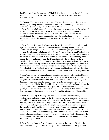Sacrifice). It falls on the tenth day of Thul-Hijjah, the last month of the Muslim year, following completion of the course of Hajj (pilgrimage to Mecca), an extremely devotional course

The Islamic 'Eeds are unique in every way. To them there can be no similar in any other religion or any other sociopolitical system. Besides their highly spiritual and moral characteristics, they have matchless qualities:

1. Each 'Eed is a wholesome celebration of remarkable achievement of the individual Muslim in the service of God. The First 'Eed comes after an entire month of " absolute" fasting during the days of the month. The second 'Eed marks the completion of Hajj to Mecca, a course in which the Muslim handsomely demonstrates his renouncement of the mundane concerns and hearkens only to the eternal voice of God

2. Each 'Eed is a Thanksgiving Day where the Muslim assemble in a brotherly and joyful atmosphere to offer their gratitude to God for helping them to fulfill their spiritual obligations prior to the 'Eed. This form of thanksgiving is not confined to spiritual devotion and verbal expression. It goes far beyond that to manifest itself in a handsome shape of social and humanitarian spirit. The Muslims who have completed the fasting of Ramadan express their thanks to God by means of distributing alms among the poor and needy on the First 'Eed. Similarly, the Muslims who have completed the course of Hajj at Mecca, as well as those who are at home, offer their sacrifices by slaughtering oblations to be distributed among the poor and needy. The distribution of alms and oblations constitutes a major part of the 'Eed's highlights. This Islamic form of thanksgiving is a wholesome combination of spiritual devotion and humanitarian benevolence, a combination which cannot be found except in Islam

3. Each 'Eed is a Day of Remembrance. Even in their most joyful times the Muslims make a fresh start of the Day by a plural session of worship to God. They pray to Him and glorify His name to demonstrate their remembrance of His favors. Along with that course, they remember the deceased by prayer for their souls, the needy by extending a hand of help, the grieved by showing them sympathy and consolation, the sick by cheerful visits and utterances of good wishes, the absentees by cordial greetings and sincere considerateness, etc. Thus the meaning of Remembrance on the Day transcends all limits and expands over far-reaching dimensions of human life

4. Each 'Eed is a Day of Victory. The individual who succeeds in securing his spiritual rights and growth receives the 'Eed with a victorious spirit. The individual who faithfully observes the duties, which are associated with the 'Eed, is a triumphant one. He proves that he holds a strong command over his desires, exercises a sound self – control and enjoys the taste of disciplinary life. And once a person acquires these qualities he has achieved his greatest victory; because the person who knows how to control himself and discipline his desires is free from sin and wrong, from fear and cowardice, from vice and indecency, from jealousy and greed, from humiliation and all other causes of enslavement. So, when he receives the 'Eed, which marks the achievement of this freedom, he is in fact celebrating his victory, and the 'Eed thus becomes a Day of Victory

5. Each 'Eed is a Harvest Day. All the good workers in the service of God all the faithful believers reap the fruits of their good deeds on the Day, as God grants His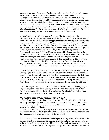mercy and blessings abundantly. The Islamic society, on the other hand, collects the due subscriptions to religious brotherhood and social responsibility, in which subscriptions are paid in the form of mutual love, sympathy and concern. Every member of the Islamic society will be reaping some fruits or collecting some revenue in one way or another. God gives infinitely, especially to those who are sincerely concerned with the general welfare of their fellow believers. Those beneficiaries who cannot give will receive, along with God's enormous grants, the contributions of their fellow benefactors. The haves and have-nots will all enjoy the providence of God in a most plural fashion, and the Day will indeed be a Good Harvest Day

6. Each 'Eed is a Day of Forgiveness. When the Muslims assemble in the congregation of the Day, they all wholeheartedly pray for forgiveness and strength of Faith. And God has assured those who approach Him with sincerity of His mercy and forgiveness. In that pure assembly and highly spiritual congregation any true Muslim would feel ashamed of himself before God to hold any enmity or ill feelings toward his brethren. A true Muslim would be deeply impressed by this brotherly and spiritual assembly, and would overcome his ill feelings if he has been exposed to any. Consequently, he would find himself moving along with others responding to the spirit of the Day to purify his heart and soul. In this case, he would forgive those who might have wronged him; because he himself would be praying for God's forgiveness, and would do his best to acquire it. The spirit of this highly devotional assembly would teach him that if he forgives he will be forgiven. And when he forgives, the virtue of forgiveness will be mercifully exercised by God, and widely exchanged between the Muslims. And that marks the Day as a Day of Forgiveness

7. Each 'Eed is a Day of Peace. When the Muslim establishes peace within his heart by obeying the law of God and leading a disciplinary life, he has certainly concluded a most inviolable treaty of peace with God. Once a person is at peace with God, he is at peace with himself and, consequently, with the rest of the universe. So when he celebrates the 'Eed in the right manner, he is actually celebrating the conclusion of a Peace Treaty between himself and God, and this marks the 'Eed as a day of Peace.

That is the proper meaning of an Islamic 'Eed: a Day of Peace and Thanksgiving, a Day of Forgiveness and Moral Victory, a Day of Good Harvest and remarkable Achievements, and a Day of festive Remembrance. An Islamic 'Eed is all this and much more; because it is a Day of Islam, a Day of God

#### *The Performance of 'Eed Prayers (Salatu-l-'Eed)*

1. As on Friday, every worshipper should go to the 'Eed Congregation in his best, neat, tidy and high – spirited. In the mosque or the place of assembly a certain verbal prayer is said before the actual prayer begins. This is know as Takbeer and will be found at the end of this Chapter

2. The time of the 'Eed prayers is any time after sunrise and before noon. No Adhan or Iqamah is required. The prayer consists of two units with the Imam reciting in each the Fatihah and another passage from the Qur' an audibly

3. The Imam declares his intention to lead the prayer saying Allahu Akbar (God is the Greatest of all), then he repeats the same utterance seven times, raising his hands up to the ears and dropping them by his sides at the end of each utterance. On completion of the seventh Takbeer (utterance) he places the right hand over the left one under the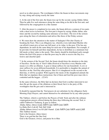navel as in other prayers. The worshippers follow the Imam in these movements step by step, doing and saying exactly the same

4. At the end of the first unit, the Imam rises up for the second, saying Allahu Akbar. Then he adds five such utterances doing the same thing as he did in the first unit, and followed by the congregation in a like manner

5. After the prayer is completed in two units, the Imam delivers a sermon of two parts with a short recess in between. The first part is begun by saying Allahu Akbar, nine times and the second by making same utterance seven times. The rest of the sermon goes along the lines of exhortation and advice like those of the Friday sermon

6. We must draw the attention to the matter of Sadaqatu-l-Fitr (the Charity of breaking the Fast). This is an obligatory tax, whereby every individual Muslim who can afford it must give at least one full meal, or its value, to the poor. If he has any dependents, he must do the same thing for each one of his dependants. For example, if he provides for himself and three dependents, he has to distribute as a minimum four full meals or their value to the needy. This charity should be distributed early enough before the Eed-l-Fitr prayer so that the poor may be able to receive the Day in a festive and cheerful spirit

7. In the sermon of the Second 'Eed, the Imam should draw the attention to the duty of Sacrifice. On the day of 'Eed-l-Adha (Festival of Sacrifice) every Muslim with means is to offer an oblation. A goat or sheep suffices for one household. A cow or steer suffices for seven different households. It is preferable to slaughter the animal of Sacrifice on the 'Eed Day after prayers. But if it is slaughtered on the second or the third day, it will be accepted. With regard to the meats of the slaughtered animals the Holy Qur' an stipulates these instructions: Eat of them and feed the poor man who is contented and the beggar… (22:63)

In the same reference, the Holy Qur' an declares that God is neither interested in nor does He get the meats of the oblations or their blood; but it is the piety of His worshippers that He gets and is interested in

It should be repeated that the 'Eed prayers do not substitute for the obligatory Early Morning (Fajr) Prayers, and cannot themselves be substituted for by any other prayers

The Takbeer, which is said before the Prayers of both 'Eeds and after the ordinary congregations prayers offered during the three days following the second 'Eed, is called Takbeeru-t-Tashreeq. It goes as follow: Allahu Akbar, (thrice) Çááå ÃßÈÑ Çááå ÃßÈÑ Çááå ÃßÈÑ La illaha illa-L-Lah áÇ Åáå ÅáÇ Çááå Allahu Akbaru (twice) wa lil-Lahi-l-hamd . Çááå ÃßÈÑ Çááå ÃßÈÑ æ ááå ÇáÍãÏ This Takbeer means: God is the Greatest, (three times) There is no god but the One God. God is the Greatest, (twice), and praise be to Him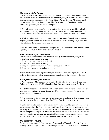# *Shortening of the Prayer*

1. When a person is travelling with the intention of proceeding fortyeight miles or over from his home he should shorten the obligatory prayers of four units to two each. The curtailment is applicable to the Noon (Zuhr) Prayer, the Mid-Afternoon (Asr) Prayer, and the Evening (Isha) Prayer. The Early Morning (Fajr) Prayer and the Sunset (Maghrib)Prayers remain unchanged

2. This advantage remains effective even after the traveler arrives at his destination, if he does not intend to prolong his stay there for fifteen days or more. Otherwise, he should offer the reducible prayers in their original and complete number of units

3. While traveling under these circumstances, he is exempt from all supererogatory prayers (Sunnah) except the two Sunnah units of the Early Morning (Fajr) and Witr which follows the Evening (Isha) prayers

There are some minor differences of interpretation between the various schools of law regarding the travel distance and the travel duration

# *Times When Prayer is Forbidden*

The Muslim is forbidden to offer either obligatory or supererogatory prayers at:

- 1. The time when the sun is rising;
- 2. The time when the sun is at its Zenith;
- 3. The time when the sun is setting;
- 4. The period of menstruation or confinement due to childbirth
- 5. The time of impurity, partial or complete

It must be clarified that if a person forgets, oversleeps or misses a prayer, he must perform it immediately when he remembers regardless of the position of the sun.

# *Making Up For Delayed Prayers*

1. As a rule, every Muslim, male or female, should offer the prayer in its due time. Failing to do so is a punishable sin unless there is a reasonable excuse for delay

2. With the exception of women in confinement or menstruation and any who remain insane or unconscious for some time, every Muslim must make up for his or her delayed obligatory prayers

3. When making up for the delayed prayers one must offer them in their original form, e.g., if they were due shortened they should be offered so and vice-versa

4. Order between the delayed prayers and between these and the present ones should be maintained, i.e., the first in dueness is offered first unless the missed prayers are too many to remember their exact dates, or the time available is not sufficient for both missed and present prayers. In this case, the present prayer comes first and the missed ones may be offered later. At any rate, the Muslim must make certain that his record is clear to the best of his knowledge, and that there are no missed prayers.

# *The Taraweeh Prayers*

These prayers are special characteristic of the month of Ramadan. They follow the Evening ('Isha') Prayers. They consist of eight to twenty units (Rak' ahs) offered two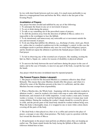by two with short break between each two units. It is much more preferable to say them in a congregational form and before the Witr, which is the last part of the Evening Prayer.

# *Invalidation of Prayers*

Any prayer becomes invalid and nullified by any act of the following:

- 1. To anticipate the Imam in any act or movement of prayer;
- 2. To eat or drink during the prayer;
- 3. To talk or say something out of the prescribed course of prayers;

4. To shift the position away from the direction of Qiblah in Mecca; unless it is impossible to the worshipper to face the Qiblah;

5. To do intentionaly and unnecessary any noticeable act or movement outside the acts and movements of prayer;

6. To do any thing that nullifies the ablution, e.g., discharge of urine, stool, gas, blood, etc.; unless due to a medical condition not in the worshipper's control, in this case the worshipper needs to perform ablution only once for every Fard (obligatory) prayer, and he should not repeat the ablution to perform the Sunnah prayer relative to that Fard prayer

7. To fail in observing any of the essential acts of prayers, like standing, reciting the Qur'an, Ruk'u, Sujud, etc.; unless for reasons of disability or physical ailment

8. To uncover the body between the navel and knees during the prayer in the case of males; and in the case of females, to uncover any part of the body, except the face and the hands

Any prayer which becomes invalidated must be repeated properly

# *The Funeral Prayers (Salatu-l-Janazah)*

1. The prayer to God for the deceased Muslim is a common collective duty (Fard Kifayah). This means that some Muslims should offer this prayer, and when it is offered by some of the Muslims present at the time it is sufficient, and the other Muslims become exempt from responsibility

2. When a Muslim dies, the Whole body - beginning with the exposed parts washed in ablution (wudu') - must be washed a few times with soap or some other detergent or disinfectant, and cleaned of all visible impurities. A man washes a man and a women washes a woman. A woman may wash her husband, and a man or woman may wash young children. During the washing the washer's hands should be covered by gloves or cloth, and the private parts of the dead body should be washed without being seen. When the body is thoroughly clean, it is wrapped in one or more white cotton sheets covering all the parts of the body

3. The dead body is then placed on a bier or in a coffin and carried to the place of prayer, a mosque or any other clean premises. The body is put in a position with the face toward the direction of Mecca

4. All participants in the prayer must perform an ablution unless they are keeping an earlier one. The Imam stands beside the body facing the Qiblah at Mecca with the followers behind him in lines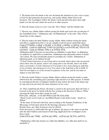5. The Imam raises his hands to the ears declaring the intention in a low voice to pray to God for that particular deceased one, and saying Allahu Akbar (God is the Greatest). The worshippers follow the Imam's lead and after him place their right hands over the left ones under the navel as in others prayers

6. Then the Imam recites in a low voice the " Du' a Thana" and the Fatihah only

7. Then he says Allahu Akbar without raising his hands and recites the second part of the Tashahhud (from " ' Allahumma salli 'ala Muhammad" to the end). (This will be found later in this chapter)

8. Then he makes the third Takbeer saying Allahu Akbar without raising the hands and offers a supplication (Du'a') in any suitable words he knows preferably these Çááåã ÇÛÝÑáÍíäÇ æ ãíÊäÇ æ 슂 æ ÛÇÆÈäÇ æ ÐßÑäÇ æ ÇäËÇäÇ æ ÕÛíÑäÇ æ ßÈíÑäÇ . Çááåã ãä ÃÍííÊå ãäÇ ÝÃÍíå Úáì ÇáÇÓáÇã æ ãä Êæ ÝíÊå ãäÇ ÝÊæ Ýå Úáì ÇáÇÓáÇã . Çááåã áÇ ÊÍÑãäÇ ÃÌÑå æ áÇ ÊÝÊäÇ ÈÚÏå

Allahumma-ghfir li hayyina wa mayyitina wa shahidina wa gha' ibina' wa dhakarina wa unthana wa sagheerina wa kabeerina. Allahumma man ahyaytahu minna fa ahyihi 'ala-l-Islam. Wa man tawaffaythu minna fa tawafahu ala'-l-Islam. Allahumma la tahrimina ajrah, wa la taftinna ba' dah.

" O God! Grant forgiveness to our living and to our dead, and to those who are present and to those who are absent. And to our young and to our old folk, and to our males and to our females. O God! whomsoever You grant to live, from among us, help him to live in Islam, and whomsoever of us You cause to die, help him to die in Faith. O God! Do not deprive us of the reward for patience on his loss, and do not make us subject to trial after him."

9. Then the fourth Takbeer (saying Allahu Akbar) without raising the hands is made followed by the concluding peace greetings right and left as in other prayers. It should be remembered that the worshippers behind in lines follow the lead of the Imam step by step and recite privately the same utterances in low voice.

10. After completing the Prayer, the body is carried to the graveyard, there the body is lowered in the grave for burial with the face resting in the direction of Mecca. When lowering the body down these words are said:

ÈÓã Cááå , æÈCááå , æ Úáì ãáÉ ÑÓæá Cááå Õáì Úáíå æÓáã

" Bismi-l-Lahi wa bi-l-Lahi wa 'ala Millati Rasuli-l-Lahi Salla-l-Lahu ' Alayhi wa Sallam."

" In the name of God and with God, and according to the Sunnah (Traditions) of the Messenger of God upon whom be the blessings and peace of God."

Besides these, any other fit prayers may be offered.

If the deceased is a child under the age of puberty, the prayer is the same except that after the third Takbeer and instead of that long supplication the worshippers recite these words:

Çááåã ÇÌÚáå áäÇ ÝÑØÇ , æ ÇÌÚáå áäÇ ÐÎÑÇ , æ ÇÌÚáå áäÇ ÔÇÝÚÇ æ ãÔÝÚÇ

" Allahumma-j-alhu lana faratan wa j' alhu lana dhukhra, wa j' alhu lana shafi' an wa mushaffa'a."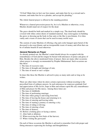" O God! Make him (or her) our fore-runner, and make him for us a reward and a treasure, and make him for us a pleader, and accept his pleading."

The whole funeral prayer is offered in the standing position

Whenever a funeral procession passes by, be it of a Muslim or otherwise, every Muslim should stand out of respect for the dead.

The grave should be built and marked in a simple way. The dead body should be covered with white cotton sheets of standard material. Any extravagance in building the grave or dressing up the body in fine suits or the like is non-Islamic. It is false vanity and a waste of assets that can be used in many useful ways.

The custom of some Muslims of offering a big and costly banquet upon burial of the deceased is also non-Islamic and an irresponsible waste of money and effort that can be of infinite benefit If used otherwise

### *General Remarks on Prayer*

As already pointed out, the Muslim's mind should always be occupied with the remembrance of God and his tongue be busied with utterances of praise and glory of Him. Besides the above mentioned forms of prayer, there are many other occasions where prayer is strongly recommended by Prophet Muhammad. Such occasions are like these:

- 1. The time of excessive rain;
- 2. The time of drought and shortage of rain;
- 3. The time of moon or sun's eclipse

In times like these the Muslim is advised to pray as many units and as long as he wishes.

There are other times where he utters certain expressions without resorting to the prescribed form of ordinary prayers. In such utterances he expresses gratitude God and appreciation of His favors, hope in Him and reliance upon His aid, remembrance of Him and prayer for His mercy. Among these times are:

- 1. The time of childbirth;
- 2. The time of performing marriage;
- 3. The time when going to and rising from bed;
- 4. The time of leaving the house and returning to it;
- 5. The time of entering and leaving toilet;
- 6. The time of starting a journey or entering a city;
- 7. The time of riding or driving;
- 8. The time of entering a boat;
- 9. The time of distress;
- 10. Before a looking glass or facing a mirror;
- 11. After bath or ablution;
- 12. When receiving the first fruits of the harvest;
- 13. When visiting the graveyard

On each of these occasions the Muslim is advised to remember God with proper and fitting utterances expressing his feelings and thoughtfulness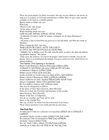There are given prayers for these occasions, but one can use whatever one knows as long as it is in praise of God and remembrance of Him. Here we give more specific examples to be used as a suitable pattern: Before meals or drinks one says: ÈÓã Çááå " Bismi-l-Lahi" this means " In the name of God" When finishing meals one says: ÇáÍãÏ ááå ÇáĐì ÃØÚãäÇ æÓÞÇäÇ æÌÚáäÇ ãÓáãíä " Al-Hamdu Lil-Lahi-L-Ladhi At' amana, wasaqana, wa Ja' alana Muslimeen." This means " All praise is due to God Who has given us to eat and drink, and Who has made us Muslims." When visiting the Sick, one says: ÃÐåÈ ÇáÈÃÓ ÑÈ ÇáäÇÓ , æ ÇÔÝ ÃäÊ ÇáÔÇÝí , áÇ ÔÝÇÁ ÅáÇ ÔÝÇÄß ÔÝÇÁÇð áÇ íÛÇÏÑ ÓÞãÇ " Adhhibi-l-ba'sa Rabba-n-nas Wa-shfi Anta-Sh-shafi; la shifa e' lla shifa-uk-shifaan layughadiru Saqama" this means " Take away the sickness, O Lord of all people! And restore to health, You are the Healer; there is no healing but the healing You give; grant recovery which leaves no ailment behind." The Fatihah (The Opening or Al-Hamd) Bismi-l-Lahi Rahmani-r-Raheem ÈÓã Çááå ÇáÑÍãä ÇáÑÍíã Al-Hamdu li-l-lahi Rabbi-l-ala-meen ÇáÍãÏ ááå ÑÈ ÇáÚÇáãíä Ar-Rahmani-r-Raheem ÇáÑÍãä ÇáÑÍíã Maliki yawmi-d-Deen ãCáß íæã Cálíä Iyyaka na' budu wa lyyaka nasta' een ÅíÇß äÚÈÏ æ ÅíÇß äÓÊÚíä Ihdina-s-Sirata-l-Mustaqeem ÅåÏäÇ ÇáÕÑÇØ ÇáãÓÊÞíã Sirata-l-ladheena an' amta 'alayhim ÕÑÇØ ÇáÐíä ÃäÚãÊ Úáíåã Ghayri-l-maghdubi 'alahim ÛíÑ ÇáãÛÖæ È Úáíåã Wa la-d-dalleen (Ameen) æáÇ ÇáÖÇáíä (Âãíä) This may be interpreted as follows: In the name of God, Most Gracious, Most Merciful. Praise be to God, the Cherisher and Sustainer of the worlds, Most Gracious, Most Merciful, Master of the Day of Judgement. You do we worship; and Your aid we seek. Show us the straight Way, The way of those on whom You have bestowed Your Grace, Those whose (portion) is not wrath and who go not astray. *The First Part* At-tahiyyato-li-l-lah wa-s-salawato wa-t-tayyibat ÇáÊÍíÇÊ ááå æ ÇáÕáæÇÊ æ

ÇáØíÈÇÊ As-salamu' alayka ayyuha-n-nabiy ÇáÓáÇã Úáíß ÃíåÇ ÇáäÈí Wa rahmatu-l-lahi wa barakatuh æ ÑÍãÉ Çááå æÈÑßÇÊå Alsalamu 'alayna ÇáÓáÇã ÚáíäÇ Wa 'ala 'ibadi–l-lahi-s-salihen Úáì ÚÈÇÏ Çááå ÇáÕÇáÍíä Ashhadu an la ilaha-illa-l-lah ÃÔåÏ Ãä áÇ Åáå ÅáÇ Çááå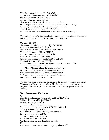Wahdahu la shareeka lahu æ Í lå áÇ ÔÑíß áå Wa ashadu ana Muhammadan æ ÃÔåÏ Ãä ãÍãÏÇð Abdahu wa rasulahu ÚÈÏå æ ÑÓæ áå This may be interpreted as follows: All reverence, all worship, all sanctity are due to God. Peace be upon you, O prophet and the mercy of God and His blessings. Peace be upon us all and on the righteous servants of God. I bear witness that there is no god but God alone, And I bear witness that Muhammad is His servant and His Messenger

(This part is recited after the second unit in every prayer consisting of three or four units and then the worshipper stands up for the third unit.)

#### *The Second Part*

Allahumma salli 'ala Muhammad Çááåã Õá Úáì ãÍãÏ Wa 'ala ale Muhammad æ Úáì Âá ãÍãÏ Kama sallayta 'ala Ibraheem ßãÇ ÕáíÊ Úáì ÇÈÑÇåíã Wa 'ala ale Ibraheem æ Úáì Âá ÇÈÑÇåíã Wa Barek ala Muhammad æ ÈÇÑß Úáì ãÍãÏ Wa ala ale Muhammad æ Úáì Âá ãÍãÏ Kama barakta al Ibraheem ßãÇ ÈÇÑßÊ Úáì ÇÈÑÇåíã Wa 'ala ale Ibrahem æ Úáì Âá ÇÈÑÇåíã Fil –'ala Meena innaka hameeddun majeed Ýí ÇáÚÇáãíä Åäß ÍãíÏ ãÌíÏ This may be interpreted as follows: O God! Exalt Muhammad and the people of Muhammad, As You did exalt Abraham and the people of Abraham. And bless Muhammad and the people of Muhammad As You did bless Abraham and the people of Abraham Indeed You are praiseworthy, and glorious

(The two parts of the Tashahhud are recited in the last unit concluding any prayer, With the end of the second part followed by the peace greetings, the prayer is completed. The second part alone is recited in the funeral prayer after the third Takbeer.)

# *Short Passages of The Qur'an*

(a) Bismi-l-lahi-r-Rahmani-r-Raheem ÈÓã Çááå ÇáÑÍãä ÇáÑÍíã Qul huwa-l-lahu Ahad Þá åæ Çááå ÃÍÏ Al-lahu-s-Samad Çááå ÇáÕãÏ Lam yalid wa lam yulad áã íáÏ æ áã íæáÏ Wa lam yakun lahu kufwan ahad æ áã íßä áå ßÝæCð ÃÍÏ This may be interpreted as follows: In the name of God, Most Gracious, Most Merciful. Say: He is God, the One and Only God, the eternally besought of all. He gives no birth, nor is He born And there is none like unto Him (Qur'an, 112). (b) Bismi-l-lahi-r-Rahmani-r-Raheem ÈÓã Çááå ÇáÑÍãä ÇáÑÍíã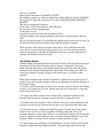Wa-l-asr æ ÇáÚÕÑ Inna-l-insana lafee khusr Åä ÇáÅäÓÇä áÝí ÎÓÑ Illa-l-ladheena amanu wa 'amilu as-salihat ÅáC CáĐíä ÂãäæC æ ÚãáæC CáÕCáÍCÊ Wa tawasaw bi-l-haq sabr wa tawasaw bi-s-sabr  $\mathcal{R}$  E $\mathcal{R}$ C $\mathcal{C}$  EC $\mathcal{S}$ ip  $\mathcal{R}$  E $\mathcal{R}$ C $\mathcal{C}$ ÈÇáÕÈÑ This may be interpreted as follows: In the name of God, Most Gracious, Most Merciful By (the token of) time (through ages) Verily man is in loss Except those who have Faith, and do righteous deeds And join together in the mutual teaching of truth and of constant patience (Qur'an, 103) One of such short passages is recited after the Fatihah in each of the first two units. In the third and fourth units no recitation other than the Fatihah is required

There are many short and easy passages in the Qur' an. Every Muslim must make some efforts to learn by heart as many passages as he can. Also he must read and study the instructions of the Qur'an. Reading the Qur'an is in itself a high form of worship and fruitful session of devotion.

#### *The Fasting (Sawm)*

Another unique moral and spiritual characteristic of Islam is the prescribed institution of Fasting. Literally defined, fasting means to abstain " completely" from foods, drinks, intimate intercourses and smoking, before the break of the dawn till sunset, during the entire month of Ramadan, the ninth month of the Islamic year. But if we restrict the meaning of Islamic Fasting to this literal sense, we would be sadly mistaken

When Islam introduced this matchless institution, it planted an ever-growing tree of infinite virtue and invaluable products. Here is an explanation of spiritual meaning of the Islamic Fasting:

1. It teaches man the principle of sincere Love; because when he observes the Fasting he does it out of deep love for God. And the man who loves God truly is a man who really knows what love is

2. It equips man with a creative sense of Hope and an optimistic outlook on life; because when he fasts he is hoping to please God and is seeking His Grace

3. It imbues man with a genuine virtue of effective Devotion, honest Dedication and closeness to God; because when he fasts he does so for God and for His sake alone

4. It cultivates in man a vigilant and sound Conscience; because the fasting person keeps his Fast in secret as well as in public. In Fasting, especially, there is no mundane authority to check man's behavior or compel him to observe the Fasting. He keeps it to please God and satisfy his own conscience by being faithful in secret and in public. There is no better way to cultivate a sound conscience in man

5. It indoctrinates man in Patience and Unselfishness; because when he fasts he feels the pains of deprivation but endures patiently. Truly this deprivation may be only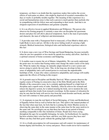temporary, yet there is no doubt that the experience makes him realize the severe effects of such pains on others, who might be deprived of essential commodities for days or weeks or probably months together. The meaning of this experience in a social and humanitarian sense is that such a person is much quicker than anybody else in sympathizing with his fellow men and responding to their needs. And that is an eloquent expression of unselfishness and genuine sympathy

6. It is an effective lesson in applied Moderation and Willpower. The person who observes his Fasting properly is certainly a man who can discipline his passionate desires and place his self above physical temptations. Such is the man of personality and character, the man of willpower and determination

7. It provides man with a Transparent Soul to transcend, a Clear Mind to think and a Light Body to move and act. All this is the never failing result of carrying a light stomach. Medical instructions, biological rules and intellectual experience attest to this fact

8. It shows man a new way of Wise Savings and Sound Budgeting; because normally when he eats less quantities or less meals he spends less money and effort. And this is a spiritual semester of home economics and budgeting

9. It enables man to master the art of Mature Adaptability. We can easily understand the point once we realize that Fasting makes man change the entire course of his daily life. When he makes the change, he naturally adapts himself to a new system and moves along to satisfy the new rules. This, in the long run, develops in him a wise sense of adaptability and a self-created power to overcome the unpredictable hardships of life. A man who values constructive adaptability and courage will readily appreciate the effects of Fasting in this respect

10. It grounds man in Discipline and Healthy Survival. When a person observes the regular course of Fasting in consecutive days of the Holy Month and in the Holy Months of the consecutive years, he is certainly applying himself to a high form of discipline and a superb sense of order. Similarly, when he relieves his stomach and relaxes his digestive system, he is indeed insuring his body, not to mention the soul, against all harm that results from stomach overcharge. In this manner of relaxation he may be sure that his body will survive free from the usual disorder and break, and that his soul will continue to shine purely and peacefully

11. It originates in man the real Spirit of Social Belonging, of Unity and Brotherhood, of Equality before God as well as before the Law. This spirit is the natural product of the fact that when man fasts, he feels that he is joining the whole Muslim society in observing the same duty in the same manner at the same time for the same motives to the same end. No sociologist can say that there has been at any period of history anything comparable to this fine institution of Islam. People have been crying throughout the ages for acceptable belonging, for unity, for brotherhood, for equality, but how echoless their voice has been, and how very little success they have met! Where can they find their goals without the guiding light of Islam?

12. It is a Godly prescription for self-reassurance and self-control, for maintenance of human dignity and freedom, for victory and peace. These results never fail to manifest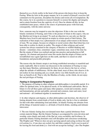themselves as a lively reality in the heart of the person who knows how to keep the Fasting. When he fasts in the proper manner, he is in control of himself, exercises full command over his passions, disciplines his desires and resists all evil temptations. By this course, he is in a position to reassure himself, to restore his dignity and integrity and to attain freedom from the captivity of evil. Once he obtains all this, he has established inner peace, which is the source of permanent peace with God and, consequently, with the entire universe

Now, someone may be tempted to raise the objection: If this is the case with the Islamic institution of Fasting, and if this is the picture of Islam in this aspect, why are the Muslim not living in an utopia? To such an objection we can only say that the Muslims have lived in and enjoyed an utopia in certain epoch of their history. The realization of that utopia was a phenomenon of an unique achievement in the history of man. We say unique, because no religion or social system other than Islam has ever been able to realize its ideals in reality. The utopia of other religions and social systems has always remained in the category of theories or wishful thinking and dreams – sometimes clear, sometimes vague, sometimes near, most of the time far. But the utopia of Islam was realized and put into practice and production at full capacity. In a human and practical sense this means that the utopia of Islam can be reestablished once again right here on this earth, and that it is raised on solid foundations and practicable principles.

The reason why the Islamic utopia is not being established nowadays is manifold and easily explicable. But to restrict our discussion to the institution of Fasting we may say that many Muslims, unfortunately for them, do not observe the fast or, at best, adopt the attitude of indifference. On the other hand, most of those who observe it do not realize its true meaning and, as a result, derive very little benefit out of it or, in fact, no benefit at all. That is why the Muslims of today, on the whole, do not enjoy the real privileges of Fasting

#### *Fasting in Comparative Perspective*

1. The purpose of Fasting in other religions and philosophies is invariably partial. It is either for spiritual aims, or for physical needs, or for intellectual cultivations. But in Islam it is for all these gains and many other purposes, social and economic, moral and humanitarian, private and public, personal and common, inner and outer, local and national – all combined together as mentioned above

2. In other religions and dogmas, in other philosophies and doctrines, the observer of fasting abstains from certain kinds of food or drinks only, but he is free to substitute for that with other substituting food and drinks. In Islamic Fasting one abstains from all the things of material nature i.e. all kinds of food  $&$  drinks, smoking and intimate intercourse

3. The non–Islamic fasting does not demand more than a partial abstinence from certain material things. But the Islamic Fasting is accompanied by extra devotion and worship, extra charity and study of the Qur'an, extra sociability and liveliness, In particular Islamic Fasting demands extra self-discipline and conscience-awakening: The Prophet said "Whoever does not give up lying speech and acting on those lies and evil actions [i.e. if one does not eschew lies and false conduct], God is not in need of his leaving his food and drink [i.e. God will not accept his fasting]"; also The Prophet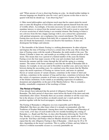said " When anyone of you is observing Fasting on a day , he should neither indulge in obscene language nor should he raise his voice; and if anyone reviles him or tries to quarrel with him he should say: 'I am observing Fast'"

4. Other moral philosophies and religions teach man that he cannot attain his moral aims or enter the Kingdom of God unless and until he uproots himself from the stem of worldly affairs. Accordingly, it becomes necessary for such a man to divorce his mundane interest, to retreat from the normal course of life and to resort to some kind of severe asceticism of which fasting is an essential element. But Fasting in Islam is not a divorce from life but a happy marriage with it, not a retreat but a penetration with spiritual armaments, not a negligence but a moral enrichment. The Islamic Fasting does not divorce religion from daily life or separate the soul from body. It does not break but harmonizes. It does not dissolve but transfuses. It does not disintegrate but bridges and redeems

5. The timetable of the Islamic Fasting is a striking phenomenon. In other religions and dogmas the time of Fasting is fixed at a certain time of the year. But in Islam the time of Fasting comes with the month of Ramadan, the ninth month of the year. The Islamic Calendar is lunar one, and months go according to the various position of the moon. This means that over a period of a limited number of the years the Islamic Fasting covers the four major seasons of the year and circulates back and forth between the summer and the winter through the fall and the spring in a rotating manner. The nature of the lunar calendar is such that the month of Ramadan falls in January, for example, in one year and in December in another year, and at any time in between during the succeeding years. In a spiritual sense this means that the Muslim enjoys the moral experience of Fasting on various levels, and tastes its spiritual flavors at variant seasons of variant climates, sometimes in the winter of short and cold days, sometimes in the summer of long and hot days, sometimes in between. But this variety of experience remains at all times an impressive feature of the liveliness of the Islamic institution. It also stands as an unfailing expression of readiness, dynamism and adaptability on the part of the Muslim believer. This is certainly a healthy, remarkable component of the teachings of Islam

### *The Period of Fasting*

It has already been indicated that the period of obligatory Fasting is the month of Ramadan. The daily period of observance starts before the break of the dawn and ends immediately after sunset. Normally there are accurate calendars to tell the exact time, but in the absence of such facilities on should consult one's watch and the sun's position together with the local newspapers, weather bureau, etc

The Fasting of Ramadan is obligatory on every responsible and fit Muslim (Mukallaf). But there are other times when it is strongly recommended, after the Traditions of Prophet Muhammad. Among these times are Mondays and Thursdays of every week, a few days of each month in the two months heralding the coming of Ramadan, i.e., Rajab and Sha' ban, six days after Ramadan following the 'Eed-l-Fitr Day. Besides, it is always compensating to fast any day of any month of the year, except the 'Eed Days and Fridays when no Muslim should fast. However, we may repeat that the only obligatory Fasting is that of Ramadan – which may be 29 or 30 days, depending on the moon's positions. This is a pillar of Islam, and any failure to observe it without reasonable excuses is a severely punishable sin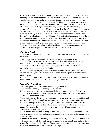Knowing what Fasting can do for man, God has enjoined, as an alternative, the fast of three days on anyone who breaks an oath. Similarly, if someone declares his wife as forbidden for him as his mother, - an old pre-Islamic custom, he must pay for his carelessness and irresponsibility. To expiate for this sin he has, as an alternative, to observe the fast of two consecutive months (Our'an,  $2:183-185$ ;  $5:92$ ;  $58:1-4$ ). [It is interesting to note that expiation for breaking an earnest oath is the feeding, or clothing of ten indigent persons. If that is not possible the offender must emancipate a slave or ransom his freedom. If that also is not possible then the fasting of three days is the last resort (Qur'an, 5:92). In the case of that thoughtless use of words, that distasteful pre-Islamic custom, the offender's first obligation is to emancipate a slave or ransom his freedom. If he cannot afford that, then must observe the fast of two consecutive months before he resumes intimacy with his wife. If he cannot fast, then he must feed sixty needy person or distribute sixty average meals among the poor. There are other occasions where fasting is either required or recommended to substitute for unmanageable tasks (Qur'an, 58:1-4; cf  $- 2:196$ )].

# *Who Must Fast?*

The Fasting of Ramadan is compulsory upon every Muslim, male or female, who has these qualifications:

1. To be mentally and physically fit, which means to be sane and able;

2. To be of full age, the age of puberty and discretion, which is normally about fourteen. Children under this age should be encouraged to start this good practice on easy levels, so when they reach the age of puberty they will be mentally and physically prepared to observe the Fasting;

3. To be present at your permanent settlement, you home town, your farm, your business premises, etc. This means not to be travelling on a journey of about fifty miles or more;

4. To be fairly certain that the Fasting is unlikely to cause you any harm, physical or mental, other than the normal reactions to hunger, thirst, etc

# *Exemption From Fasting*

These said qualifications exclude the following categories:

1. Children under the age of puberty and discretion;

2. The insane people who are unaccountable for their deeds. People of these two categories are exempted from the duty of fast, and no compensation or any other substitute is enjoined on them:

3. Men and women who are too old and feeble to undertake the obligation of fast and bear its hardships. Such people are exempted from this duty, but they must offer, at least, one needy poor Muslim an average full meal or its value per person per day. This compensation indicates that whenever they can fast even for one day of the month, they should do so, and compensate for the rest. Otherwise they are accountable for their negligence;

4. Sick people whose health is likely to be severely affected by the observance of fast. They may postpone the fast, as long as they are sick, to a later date and make up for it, a day for a day;

5. People in the course of travelling of distances about fifty miles or more. In this case such people may break the fast temporarily during their travel only and make up for it in later days, a day for a day. But it is better for them, the Qur' an tells, to keep the fast if they can without causing extraordinary hardships;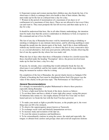6. Expectant women and women nursing their children may also break the fast, if its observance is likely to endanger their own health or that of their infants. But they must make up for the fast at a delayed time a day for a day;

7. Women in the period of menstruation (of a maximum of ten days) or of confinement (of a maximum of forty days). These are not allowed to fast even if they can and want to. They must postpone the fast till recovery and then make up for it, a day for a day

It should be understood that here, like in all other Islamic undertakings, the intention must be made clear that this action is undertaken in obedience to God, in response to His command and out of love for Him

The fast of any day of Ramadan becomes void by intentional eating or drinking or smoking or indulgence in any intimate intercourses, and by allowing anything to enter through the month into the interior parts of the body. And if this is done deliberately without any lawful reason, the penalty is to observe the fast of sixty consecutive days or, as a second alternative, feed sixty poor persons sufficiently, besides observing the fast of one day against the day whose fast was made void

When the fast of days other than those of Ramadan is broken for a lawful reason like those classified under the heading "Exemption" above, the person involved must make up for that fast later, a day for a day

If anyone, by mistake, does something that would ordinarily break the fast, his observance is not nullified, and his fast stands valid, provided he stops doing that thing the moment he realizes what he is doing

On completion of the fast of Ramadan, the special charity known as Sadqatu-l-Fitr (Charity of breaking the Fast) must be distributed before Eed-l-Fitr prayer (see the value of this charity in the previous topic "The Performance of 'Eed Prayers").

#### *General Recommendations*

It is strongly recommended by prophet Muhammad to observe these practices especially during Ramadan:

1. To have a light meal before the break of the dawn, known as Suhoor;

2. To eat three dates and have a drink of water right after sunset, saying this prayer: Al-lahumma laka sumna wa 'ala rizqika aftarna (O God! For Your sake we have fasted and now we break the fast with the food You have given us)

3. To make your meals as light as possible because, as the prophet put it, the worst thing man can fill is his stomach,

4. To observe the supererogatory prayer known as Taraweeh;

5. To exchange social visits and intensify humanitarian services;

6. To increase study and recitation of the Qur' an;

7. To exert the utmost in patience and humbleness;

8. To be extraordinarily cautious in using the senses, the mind and especially, the tongue; to abstain from careless and gossipy chats and avoid all suspicious motions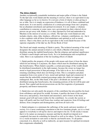# *The Alms (Zakah)*

Another exceptionally remarkable institution and major pillar of Islam is the Zakah. To the Qur' anic word Zakah and the meaning it conveys, there is no equivalent in any other language as far as we known. It is not just a form of charity or alms-giving or tax or tithe. Nor is it simply an expression of kindness; it is all of these combined and much more. It is not merely a deduction of a certain percentage from one's property, but an abundant enrichment and spiritual investment. It is not simply a voluntary contribution to someone or some cause, nor a government tax that a shrewd clever person can get away with. Rather, it is a duty enjoined by God and undertaken by Muslims in the interest of society as a whole. The Qur'anic word Zakah not only includes charity, alms, tithe, kindness, official tax, voluntary contributions, etc., but it is also combines with all these God-mindedness and spiritual as well as moral motives. That is why there can be no equivalent to the word Zakah because of the supreme originality of the Our' an, the Divine Book of God

The literal and simple meaning of Zakah is purity. The technical meaning of the word designates the annual amount in kind or coin which a Muslim with means must distribute among the rightful beneficiaries. But the religious and spiritual significance of Zakah is much deeper and more lively. So is its humanitarian and sociopolitical value. Here is an explanation of the far-reaching effects of Zakah:

1. Zakah purifies the property of the people with means and clears it from the shares which do not belong to it anymore, the shares which must be distributed among the due beneficiaries. When Zakah is payable, a certain percentage of the wealth should be distributed immediately in the right manner, because the owner no longer has moral or legal possession of that percentage. If he fails to do so, he is obviously retaining something which does not belong to him. This is corruption and plain usurpation from every point of view, moral and spiritual, legal and commercial. It means that the unlawfully retained percentage makes the whole lot impure and endangered. But, on the other hand, if the poor's dividends are assorted and distributed among due beneficiaries, the remaining portions of the lot will be pure and decent. Pure capital and decent possessions are the first requisites of permanent prosperity and honest transactions

2. Zakah does not only purify the property of the contributor but also purifies his heart from selfishness and greed for wealth. In return, it purifies the heart of the recipient from envy and jealousy, from hatred and uneasiness; and it fosters in his heart, instead, good will and warm wishes for the contributor. As a result, the society at large will purify and free itself from class warfare and suspicion, from ill feelings and distrust, from corruption and disintegration, and from all such evils

3. Zakah mitigates to a minimum the sufferings of the needy and poor members of society. It is a most comforting consolation to the less fortunate people, yet it is a loud appeal to everybody to roll up his sleeves and improve his lot. To the needy it means that it is by nature an emergency measure and that he should not depend on it completely but must do something for himself as well as for others. To the contributor it is a warm invitation to earn more so that he can benefit more. To all parties concerned, it is, directly as well as indirectly, an open treasure for spiritual investment that compensates abundantly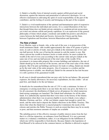4. Zakah is a healthy form of internal security against selfish greed and social dissension, against the intrusion and penetration of subversive ideologies. It is an effective instrument in cultivating the spirit of social responsibility on the part of the contributor, and the feeling of security and belonging on the part of the recipient

5. Zakah is a vivid manifestation of the spiritual and humanitarian spirit of responsive interactions between the individual and society. It is a sound illustration of the fact that though Islam does not hinder private enterprise or condemn private possessions, yet it does not tolerate selfish and greedy capitalism. It is an expression of the general philosophy of Islam which adopts a moderate and middle but positive and effective course between the Individual and Society, between the Citizen and the State, between Capitalism and Socialism, between Materialism and Spirituality.

### *The Rate of Zakah*

Every Muslim, male or female, who, at the end of the year, is in possession of the nisab (minimum Zakah - able wealth) approximately the value of 85 grams of gold or more, in cash or articles of trade, must give Zakah at the minimum rate of two and one-half percent. In the case of having the amount in cash the matter is easy. But when a person has wealth in business stocks or trade articles, he must evaluate his wealth at the end of every year according to the current value and give Zakah at the same rate of two and one-half percent of the total value of the wealth. If his investment is in immovable property like revenue buildings and industries, the rate of Zakah should go by the total net of the income, and not of the total value of the whole property. But if he puts up buildings and houses for trade or selling, Zakah rate should go by the total value of the entire property. Also if someone is a creditor and the indebted person is reliable, one should pay Zakah for the amount he has lent because it is still a portion of his guaranteed wealth

In all cases it should remembered that one pays only for his net balance. His personal expenses, his family allowances, his necessary expenditures, his due credits – all are paid first, and Zakah is for the net balance

It should also be remembered that the rate of 2.5% is only a minimum. In times of emergency or arising needs there is no rate limit; the more one gives, the better it is for all concerned, the distribution of Zakah serves all purposes for which numerous fund-raising campaigns are launched. The Zakah fund substitutes for all the other funds. It is authentically reported that there were times in the history of the Islamic administration when there was no person eligible to receive Zakah; every subject – Muslim, Christian, and Jew - of the vast Islamic empire had enough to satisfy his needs, and the rulers had to deposit the Zakah collections in the Public Treasury. This shows that when the Zakah law is enacted properly it minimizes the needs of the citizens and enriches the Public Treasury to such an extent that there may be no needy or poor, and that enormous amounts of surplus are available

The unfailing power of this effective measure of public interest stems from the fact that it is a Divine injunction, an ordinance from God Himself. It is not a personal matter or a voluntary contribution; rather, it is an obligation for the fulfillment of which one will be responsible to God directly. Because Zakah is the legislation of God Himself to be enforced in the common interest, no Muslim is allowed to neglect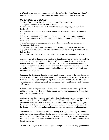it. When it is not observed properly, the rightful authorities of the State must interfere on behalf of the public to establish the institution and see to it that it is enforced

### *The Due Recipients of Zakah*

The Holy Qur'am classifies the due recipients of Zakah as follows:

1. The poor Muslims, to relieve their distress;

2. The needy Muslims, to supply them with means whereby they can earn their livelihood;

3. The new Muslim converts, to enable them to settle down and meet their unusual needs;

4. The Muslim prisoners of war, to liberate them by payment of ransom money;

5. The Muslim in debt, to free them from their liabilities incurred under pressing necessities;

6. The Muslim employees appointed by a Muslim governor for the collection of Zakah to pay their wages;

7. The Muslims in service of the cause of God by means of research or study or propagation of Islam. This share is to cover their expenses and help them to continue their services;

8. The Muslim wayfarers who are stranded in a foreign land and in need of help

The due recipient of Zakah is one who has nothing to meet his necessities or has little (less than the nissab) at the end of the year. If one has approximately the nissab or more he must be a contributor, not a recipient of Zakah. If a recipient receives his share and finds that it is sufficient for his immediate needs with a balance of about the nissab he should not accept any more, he should return whatever he may receive to other eligible recipients.

Zakah may be distributed directly to individuals of one or more of the said classes, or to welfare organizations which look after them. It may also be distributed in the form of scholarships to bright and promising Muslim students and researchers, or in the form of grants to welfare organizations and public service institutions which patronize such causes

A disabled or invalid poor Muslim is preferable to one who is able and capable of making some earnings. The contributor should use his best judgement in finding the most deserving beneficiaries.

The taxes we pay to governments nowadays do not substitute for this religious duty; it must be earmarked as a special obligation and paid separately, aside from the government taxes. However, the Muslims of North America may take advantage of the tax laws that allow certain deductions for charity. They should pay their Zakah to the deserving beneficiaries and then claim the sums paid as proper legal deductions.

The contributor should not seek pride or fame by carrying out this duty. He should make it as covert as possible so that he may not be victimized by hypocrisy or passion for vanity which nullifies all good deeds. However, if the disclosure of his name or the announcement of his contribution is likely to encourage others and stimulate them, it is all right to do so.

Zakah is also obligatory on cattle and agricultural products. The shares payable in this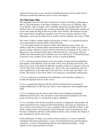regard vary from case to case, and need a detailed discussion. So the reader may be advised to consult the elaborate sources of law and religion

### *The Pilgrimage (Hajj)*

The final pillar and one of the finest institutions of Islam is the Hajj or pilgrimage to Mecca. The performance of the Hajj is obligatory, at least once in a lifetime, upon every Muslim, male or female, who is mentally, financially and physically fit. The Muslim who is of responsible age, in fairly good health, and is financially capable and secure must make the Hajj at least once in his or her lifetime. The financial security here means that he should have enough to cover his own expenses and those of his dependents, and to pay his debts, if he is in debt, until he completes the course of Hajj

The course of Hajj is another unique characteristic of Islam, it is enjoined by God to serve many purposes among which are the following:

1. It is the largest annual convention of Faith where Muslims meet to know one another, study their common affairs and promote their general welfare. It is also the greatest regular conference of peace known in the history of mankind. In the course of Hajj peace is the dominant theme; peace with God and one's soul, peace with one another and with animals, peace with birds and even with insects. To disturb the peace of anyone or any creatures in any shape or form is strictly prohibited

2. It is a wholesome demonstration of the universality of Islam and the brotherhood and equality of the Muslims. From all walks of life, from all trades and classes, and from every corner of the globe the Muslims assemble at Mecca in response to the call of God. They dress in the same simple way, observe the same regulations, utter the same supplications at the same time in the same way, for the same end. There is no royalty, but loyalty of all to God. There is no aristocracy, but humility and devotion

3. It is to confirm the commitment of the Muslims to God and their readiness to forsake the material interests in His service

4. It is to acquaint the pilgrims with the spiritual and historical environment of Prophet Muhammad, so that they may derive warm inspirations and strengthen their Faith

5. It is to commemorate the Divine rituals observed by Abraham and Ishmael (Ibraheem and Isma' eel), who are known to have been the first pilgrims to the first house of God on earth, i.e., the Ka' bah at Mecca (Makkah)

6. It is a reminder of the Grand Assembly on the day of Judgement when people will stand equal before God, waiting for their Final Destiny, and where no superiority of race or stock can be claimed. It is also a reminder of the fact that Mecca alone, in the whole existing world, was honored by God in being the center of monotheism since the time of Abraham, and that it will continue to be the center of Islam, the religion of pure monotheism, till the end of time

In the performance of Hajj it can easily be observed that it is a course of spiritual enrichment and moral rearmament, a course of intensified devotion and disciplinary experience, a course of humanitarian interests and inspiring knowledge – all put together in one single institution of Islam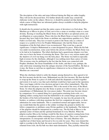The description of the rules and steps followed during the Hajj are rather lengthy. They will not be discussed here. For further details the reader may consult the elaborate works on the subject. However, it should be pointed out that during the whole course of Hajj there are informed guides always available to help the pilgrims with right instructions

It should also be pointed out that the entire course of devotion is to God alone. The Muslims go to Mecca in glory of God, not to kiss a stone or worship a man or a semidivinity. Kissing or touching the Black Stone at the Ka' bah is an optional action, not an obligation or a prescription. Those who kiss the Black Stone or touch it do not do it because they have faith in the Stone or attribute any superstitious qualities to it. Their Faith is in God only. They kiss or touch or point to the Stone only as a token of respect or a symbol of love for Prophet Muhammad, who laid the Stone at the foundation of the Ka' bah when it was reconstructed. That event has a special significance. It depicts Muhammad as a man designated for peace. When the Ka' bah was under reconstruction, some years before the advent of Islam, the Black Stone was to be laid at its foundation. The tribal chieftains had a quarrelsome dispute over him who was to have the honor of restoring the Stone. This was a very serious matter and the shadows of civil war hung over the holy place. The Stone was held in especially high reverence by the chieftains, although it was nothing more than a piece of stone. This reverence may be attributed to the fact that the Stone was connected with Prophet Abraham, the Great Grandfather of the Arabs, and that it was, perhaps, the only solid stone remaining from the antique structure of the Sacred Edifice. Be that as it may, the Stone as such has no significance whatsoever as far as Islam and the Muslims are concerned

When the chieftains failed to settle the dispute among themselves, they agreed to let the first incomer decide the issue. Muhammad was the first incomer. He then decided to wrap up the Stone in a piece of cloth and asked the disputants to hold it together and restore it in such a way that each chieftain would have had a part in the operation. They were happy with his wise decision and put it into effect immediately. Thus the issue died out and peace was maintained. This is the moral of the story of the Black Stone. So when the pilgrims kiss the Stone or point at it with reverence, they do so in remembrance of Muhammad, the wise peace-maker. The point may become clearer by comparison. It is a natural thing for a good patriot returning from exile, or a fighting soldier coming back from the battlefield to do certain things upon reaching the borders of his beloved homeland. For example, he may kiss the ground at the borders, or embrace with deep emotions the first few compatriots he meets, or show admiration for some landmarks. This is considered normal and appreciable, but no one would think that the patriot or the soldier worships the ground or deifies his fellow compatriots or attributes some Divine qualities to the landmarks. The behavior of the pilgrims should be interpreted in a similar way. The Ka' bah at Mecca is the spiritual center of Islam and the spiritual homeland of every Muslim. When the pilgrim reaches Mecca his feelings would be like those of a patriot coming home from exile or a triumphant soldier returning from a decisive battle. This is not a figurative interpretation. It corresponds with the facts of history. The early Muslims were expelled out of their home and forced to live in exile for years. They were denied the right to worship in the Ka' bah, the most sacred house of God in existence. When they returned from exile, the Ka'bah was their main destination. They joyfully entered the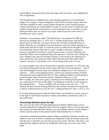Sacred Shrine, destroyed all the idols and images that were there, and completed the rites of pilgrimage

This interpretation is enlightened by some unusual experiences of extraordinary people. For example, a famous Hungarian writer fled his invaded country and took with him a handful of earth. Literary annals tell that the writer found his greatest comfort and deepest joy in that handful of earth. It was his source of inspiration and symbol of hope that he would return to a free homeland at last. (I read this account during the fifties and very much to my regret, cannot locate the exact source or remember the writer's name)

Similarly, a documentary called "The Palestinians" was prepared by CBS and televized on Saturday June 15, 1974. In it, a wealthy businessman, who fled the Zionist terror in Palestine, was interviewed at his extremely fashionable home in Beirut. When he was reminded of his good fortune in exile he smiled, pointing to a small bottle half-full of earth. To make his point, he added that he brought it with him from Jerusalem when he fled; that it is more valuable to him than anything he possesses; and that he would give up all his possessions to return to Palestine, his homeland. What is more significant about this interview is that the man's family was more emphatic and expressed stronger feelings. It will not be at all surprising if it turns out that this man represents many others like him and if that small "earth" treasure" becomes a very special, even a sacred, thing in the years to come

In a more tangible sense, the Associated Press reported on October 14, 1973, that " the Last Israeli strong points on the eastern bank of the Suez Canal surrendered … and 37 tired and bedraggled Israeli troops were paddled in dinghies across the waterway to captivity. … Some of the Egyptian troops, carried away with the emotion of finally liberating this last stronghold (the Bar-Lev line), grabbed handfuls of sand and put it in their mouths. Others kissed the ground." (Dispatch Observer, p. 2A) More recently, the same news agency, reporting on the returning Syrian prisoners of war, said that the first man off the plane "sat upright on a stretcher on the stumps of his amputated legs . . . 'Legs are nothing. We are ready to give our soul . . .' he shouted. He then insisted on being lifted from his stretcher and placed on the ground so that he could bend down to kiss the soil." ( Dispatch Observer, June 2, 1974, p. 3A)

It is in this human perspective that the Black Stone story should be viewed. And it is in the light of such human experiences under extraordinary circumstances that it is best understood

#### *Concluding Remarks about the Hajj*

The visit of to the tomb of Prophet Muhammad at Medina (Madeenah) is not an essential obligation in making the Hajj valid and complete. But it is always advisable and strongly recommended that whoever can reach Medina should visit the Prophet's tomb to pay his respect to the greatest teacher that humanity has ever known

It should be remembered that the climax of Hajj is marked by offering a sacrifice, an oblation in the way of God, to celebrate the completion of this devotional course and feed the poor so that they may feel the universal joy of the 'Eed Day. This duty is not undertaken by pilgrims only but by all Muslims with means in every corner of the globe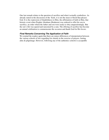One last remark relates to the question of sacrifice and what it actually symbolizes. As already stated in the discussion of the 'Eeds, it is not the meat or blood that pleases God. It is the expression of thankfulness to Him, the affirmation of faith in Him, that historic event when Prophet Abraham (Ibraheem) was ordered to offer his son in sacrifice, an order which the father and son were ready to obey unquestioningly. But the son's life was spared and ransomed by a ram. The offering of sacrifice has become an annual celebration to commemorate the occasion and thank God for His favors.

### *Final Remarks Concerning The Application of Faith*

We remind the readers again that there are minor differences of interpretation between the various schools of law regarding few details in the exercise of prayers, fasting, alms & pilgrimage. However, following any of the authentics schools is acceptable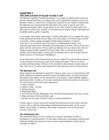# **CHAPTER 4** *THE APPLICATION OF ISLAM TO DAILY LIFE*

The Muslims rightfully maintain that Islam is not simply an abstract ideal conceived just for nominal adoration or a stagnant idol to be frequented by admirers every now and then. Islam is a code of life, a living force manifest in every aspect of human Life. The Muslims also maintain that the individual is the center of gravity and is the launching instrument which can put Islam, or any other system for that matter, into full action on a full scale. And this is why Islam always begins with the individual and invariably prefers quality to quantity

Let us begin, where Islam when begins, with the individual. Let us examine the nature of the individual and find out how Islam views this nature. To clarify things as much as possible, without getting entangled in philosophical disputes or abstract controversy, we can define man as having two complementary natures, very intimately interrelated and continually interacting upon each other. These are the inner nature and the outer nature. Or one might say that man has one nature only with two bridged sections hardly separable from each other. One is internal and another external. The internal nature of man refers to the Ruh (soul or self or heart) and Aql (mind or power of reasoning or intelligence)

In our illustration of the internal nature of man we shall have to deal with two aspects: (1) the spiritual or moral aspect and (2) the intellectual aspect. The rest of man's activities and transactions will have to be classified as the external or outer nature of man. After all, it is a universally admitted fact that man does not live by bread alone

# *The Spiritual Life*

Islam organizes the spiritual or moral life of man in such a way as to provide him with all the spiritual nourishment needed for piety and righteousness, for safety and peace. The Islamic prescription for the spiritual life of man grants, when faithfully applied, maximum positive results as far as man's spiritual growth and maturity are concerned. The main items in this Islamic prescription are:

- 1. Prayers (Salah);
- 2. Zakah or Alms giving;
- 3. Fasting (Sawm);
- 4. Pilgrimage (Hajj);
- 5. Love for God and His Messenger, love for truth and humanity for the sake of God;
- 6. Hope and trust in God at all times; and
- 7. Sacrifice for the sake of God by virtue of actual unselfishness

Various aspects of these items have already been discussed in some detail, and here we have only to add that without these fundamental elements there can be no true Faith as far as Islam is concerned. The reader is advised to refer to the previous sections of this work.

# *The Intellectual Life*

The intellectual nature of man is made up, as already mentioned, of mind or intelligence or reasoning power. To this aspect Islam pays extraordinary attention and builds the intellectual structure of man on most sound foundations which may be classified as follows: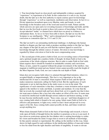1. True knowledge based on clear proofs and indisputable evidence acquired by " experience" or experiment or by both. In this connection it is safe to say, beyond doubt, that the Qur' an is the first authority to enjoin zealous quest for knowledge through "experience" as well as experiment, meditation and observation. In fact it is a Divine injunction incumbent upon every Muslim, male and female, to seek knowledge in the broadest sense of the word and search for truth. Nature and the whole universe are open and ever revealing treasures of knowledge and truth, and the Qur' an was the first book to point to these rich sources of knowledge. It does not accept inherited "truths" or claimed facts which have no proof or evidence to substantiate them. As far as we have been able to know, the Our' an was the first Scripture to say intelligently: "Why" and to demand proof in support of any conviction or contention (Qur' an, 2:111 and 21:24)

The Qur' an itself is an outstanding intellectual challenge; it challenges the human intellect to dispute any Qur'anic truth or produce anything similar to the Qur'an. Open any chapter of the Qur'an and you will find the warmest appeal to search for knowledge through the infinite sources of nature. Devotion to true knowledge is regarded by Islam a devotion to God in the most compensating sense

2. The second part of this point is faith in God, an ever-revealing source of knowledge and a spiritual insight into countless fields of thought. In Islam Faith in God is the cornerstone of the whole religious structure. But in order to make Faith in God valid, Islam requires that it should be founded on unshakable certainty and convictions. These, in turn, cannot be acquired without the proper investment of the intellect. Any stagnant or indifferent mind and any limited vision cannot possibly reach the height of the Most Supreme Truth, God, nor can it attain the real depth of Faith

Islam does not recognize faith when it is attained through blind imitation, when it is accepted blindly or unquestioningly. This fact is very important as far as the intellectual life of man is concerned. Islam requires Faith in God; and the Qur' an makes numerous statements calling for Faith in God. But the significance of such statements is not in shelving them in the study room or even in the mind. The significance of such statements is that they constitute a warm invitation and an urgent appeal to the intellect to wake and think, to ponder and meditate. It is true that the Qur' an reveals the essential truth and facts about God, yet it is equally true that it does not want man to behave like a lazy heir who makes no effort of his own. It wants man to enrich his intellectual wealth through serious endeavor and honest earning, so that he may become intellectually secure. "Easy come, easy go," and Islam disapproves of easy coming faith which is bound to be easy going. Islam wants Faith in God to be effective and permanent, to light every corner in man's heart and prevail in every aspect of his life. Easy coming faith cannot possibly do that, and Islam would not accept anything less

When Islam demands Faith in God on the basis of knowledge and research, it leaves wide open all fields of thought before the intellect to penetrate as far as it can reach. It lays down no restrictions against the free thinker who is seeking knowledge to widen his vision and broaden his mind. It urges him to resort to all methods of knowledge, be they purely rational or experimental. By calling on the intellect in this way, Islam shows its high regard for and confidence in the intellectual abilities of man and wishes to free his mind from the tight shackles and limits of tangibility. It wants to elevate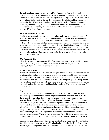the individual and empower him with self-confidence and Heavenly authority to expand the domain of his mind into all fields of thought: physical and metaphysical, scientific and philosophical, intuitive and experimental, organic and otherwise. That is how Faith in God nourishes the intellect and makes the intellectual life prosperous and productive. When the spiritual and intellectual activities of man are organized according to the teachings of Islam as mentioned above, the internal nature of man becomes sound and healthy. And when man is internally secure and sound, his external life will be of the same nature.

### *THE EXTERNAL NATURE*

The External nature of man is as complex, subtle and wide as his internal nature. We need to re-emphasize the fact that the soundness of the former is greatly dependent upon that of the latter and vice versa, because man's complete nature is made up of both aspects. For the sake of clarification, once more, we have to classify the external nature of man into divisions and subdivisions. But we should always bear in mind that any imbalance in the system of human nature may become destructive and fatal. The fact of the matter is that both the internal and external natures of man act and interact responsively, and that Islam has extended its Divine touch to the internal as well as the external aspects of life

### *The Personal Life*

Islam deals with the very personal life of man in such a way as to insure his purity and cleanliness; as to give him a healthy diet and show him the proper manners of clothing, behavior, adornment, sports and so on.

#### Purity and Cleanliness

It is an Islamic injunction that before offering the Prayer the Muslim must perform an ablution, unless he has done one earlier and kept it valid. This obligatory ablution is sometimes partial, sometimes complete, depending on his or her condition. Now, if we remember that a Muslim has to offer at least five obligatory prayers every day in pure heart and mind, in clean body and clothes, on pure ground and intention – we can very well realize the vital effect and beneficial results of this single act for man (cf. Qur' an, 4:43, 5:7).

#### Diet

To maintain a pure heart and a sound mind, to nourish an aspiring soul and a clean healthy body, special attention should be given to the diet on which man lives. And this is exactly what Islam does. Some superficial or self-deceived persons may imagine that food and drinking stuff has no direct or important effect on the general condition of the person who fills his stomach regularly. But this is certainly not the viewpoint of Islam which takes the matter in a most serious way. The general principle of Islam in this respect is this: All the things which are pure in themselves and good for man are lawful for diet as long as they are taken in moderate quantities. And all the things which are impure and bad or harmful are unlawful under all ordinary circumstances. There is always room and flexibility for exceptions to meet cases of absolute necessity (Qur' an, 7:157; see the section on Islamic Morals above)

Beyond this general principle, there are certain foods and drinks specified by God as forbidden. Among these are: meat of dead animals and birds, the flesh of swine and that of anything slaughtered with the invocation of any name other than that of God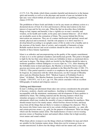(2:173; 5:4). The drinks which Islam considers harmful and destructive to the human spirit and morality as well as to the physique and morale of man are included in the Qur' anic verse which forbids all intoxicants and all forms of gambling or games of chance (5:93-94)

The prohibition of these foods and drinks is not by any means an arbitrary action or a dictatorial decree of God. It is first and foremost a Divine intervention in the best interest of man and for his own sake. When the Qur' an describes these forbidden things as bad, impure and harmful, it has a vigilant eye on man's morality and wisdom, on his health and wealth, on his piety and common behavior – all of which are invaluable assets in the estimation of Islam. The reasons behind this Divine intervention are numerous. They are of a nature intellectual and spiritual, moral and mental, physical and economical. And the sole purpose is to show man how to develop himself according to an upright course of life in order to be a healthy unit in the structure of the family, then of society, and eventually of humanity at large. Reliable medical doctors and social scientists should be able now to verify the benefits of these Islamic legislations

Islam is as orthodox and uncompromising on the quality of the organic nourishment of man as it is on his spiritual soundness and intellectual growth. This point is brought to light by the fact that some dietary items are forbidden in kind, as mentioned above, and some in degree. The things which are lawful for the Muslim should be taken in moderate quantities without indulgence or excess (Qur'an, 7:31). After shunning all the forbidden items in kind and degree, the Muslim is invited by God to enjoy His gracious provisions and to experience gratitude to the Merciful Provider (2:168, 172; 5:90-91). (This partial repetion is meant to re-emphasize the point and may therefore be forgiven. In connection with the whole discussion, see the Concept of Morality above and also Ebrahim Kazim, M.D. " Medical Aspects of Forbidden Foods in Islam," Al-Ittihad - The Muslim Students Association of the United States and Canada - 1391/1971, vol. 8, no 1, pp. 4-6. This article concludes with an excellent bibliography of medical and religious sources.)

### Clothing and Adornment

In man's clothing and adornment Islam takes into serious consideration the principles of decency, modesty, chastity and manliness. Anything in clothing or adornment incompatible with the attainment, maintenance and development of these qualities is inhibited by Islam. The clothing material and the dressing manners which may stimulate arrogance or false pride and vanity are strictly prohibited. So are the adornments which may weaken the morality of man or undermine his manliness. Man should remain loyal to his manly nature, which God has chosen for him, and keep away from all the things that are likely to weaken or endanger his character. This is the reason why Islam warns man not to use certain clothing materials, e.g., pure silk, and certain precious stones, e.g., gold, for the purpose of adornment. These are things which suit the feminine nature alone. The handsomeness of man is not in wearing precious stones or flaunting in pure and natural silken clothes but in high morality, sweet nature and sound conduct

When Islam allows woman to use the things which are forbidden for man and which are suitable for the feminine nature alone, Islam does not let woman go loose or wander unrestricted. It allows her the things which suit her nature and, at the same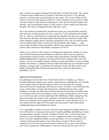time, cautions her against anything that might abuse or upset that nature. The manner in which women should dress up, beautify, walk and even look is a very delicate question, and Islam pays special attention to the matter. The vision of Islam in this respect is focused on the general welfare of women. Islam has served advice to both man and woman to help women in particular to retain and develop their dignity and chastity, safe from being the subject of idle gossip or vicious rumors and suspicious thoughts. The advice is imparted in these Qur' anic verses:

Say to the believing men that they should lower their gaze and guard their modesty; that will make for greater purity for them. And God is well-acquainted with all that they do. And say to the believing women that they should lower their gaze and guard their modesty; that they should not display their beauty and ornaments except what (must ordinarily) appear thereof; that they should draw their veils over their bosoms and not display their beauty except before their husbands, their fathers … . (and certain other members of the household); and that they should not strike their feet in order to draw attention to their hidden ornaments (24:30-31)

Islam is very sensitive to the manners of clothing and ornaments. It makes it crystal clear that both man and woman should be confined to their respective natures to safeguard their natural instincts and endow them with modesty and high morality. Prophet Muhammad is reported as having said that God condemns those men who behave or act in a womanlike fashion, and those women who behave or act in manlike fashion. Nevertheless, it should be borne in mind that Islam lays no restrictions on the harmless or proper items of clothing and ornaments. In fact, the Qur'an calls such things the beautiful gifts of God and reproaches those who look upon them as forbidden (7:32-33)

#### Sports and Amusements

It is gratifying to notice that most of the Islamic forms of worship, e.g., Prayers, Fasting, Pilgrimage, display some sportive characteristics, although they are basically and by nature meant for spiritual purposes. But who would deny the constant interaction between the physique and morale of man? Yet that is not all that Islam has to say on the subject of sports and amusements. Anything that provokes sound thinking or refreshes the mind and revitalizes the body to keep man in healthy shape is encouraged and invited to by Islam so long as it does not anticipate or involve any sin, or cause any harm or delay and hamper the fulfillment of other obligations. The general precept in this matter is the statement in which the Prophet said that all believers in God have good qualities but the strong one is better than the weak. It is also reported that he approved of the sports and amusements which build up the enduring physique and strengthen the morale

It is a regrettable mistake to associate with sports and amusements things which are not really sportive or amusing. Some people consider gambling and drinking as sports and amusements, but this is not the viewpoint of Islam. Life is worth living and is granted to us for a definite purpose. No one is supposed to abuse it by letting it go loose or become dependent entirely on luck and chance. So it is no intrusion on or violation of the personal rights of man when Islam extends its Divine touch to organize life even in its very personal aspects. Because life is man's most valuable asset and is designed for noble purposes, Islam has shown man the way to live it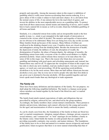properly and enjoyably. Among the measures taken in this respect is inhibition of gambling which is really more tension-accelerating than tension-reducing. It is a grave abuse of life to make it subject to luck and mere chance. It is a deviation from the normal course of life, if one entrusts his lot to the mad wheel of games, and invests his abilities in the most unpredictable moves on a gambling table. To protect man from all these unnecessary mental strains and shattering of nerves, and to enable him to lead a natural life in means as well as in ends, Islam has forbidden gambling of all forms and kinds

Similarly, it is a shameful retreat from reality and an irresponsible insult to the best quality in man, i.e., mind, to get entangled in the tight strands of intoxication or cornered in the vicious whirl of alcohol. The menaces and tragedies of intoxication are too obvious to be elaborated. Many lives are being lost every day on this account. Many families break up because of this menace. Many billions of dollars are swallowed in the drinking channel every year. Countless doors are closed on misery and unhappiness arising from the drinking habits. Besides the destruction of health, the depression of mind, the dullness of soul, the absorption of wealth, the disintegration of families, the abuse of human dignity, the sabotage of morality, the humiliating retreat from realty; everyone of the so-called social drinkers is a highly potential alcoholic. Islam cannot tolerate these menaces or let man abuse the very sense of life in this tragic way. That is the reason why Islam does not associate gambling and drinking with good sports and refreshing amusements and, instead, has banned them once and for all. To appreciate the viewpoint of Islam in this respect one has only to check any news medium, read any medical report, visit any social service agency, or watch any court proceedings. Of all the agonizing social problems, alcoholism is by far the most serious. More than one-half million Americans become alcoholics every year. One in every ten to twelve people who take their first drink in any given year is destined to become alcoholic. All these painful tragedies and real losses speak much louder than any theological or trade arguments

# *The Family Life*

There have been many definitions and descriptions of the family. For our purpose, we shall adopt the following simplified definition. The family is a human social group whose members are bound together by the bond of the blood ties and / or marital relationship

The family bond entails mutual expectations of rights and obligations that are prescribed by religion, enforced by law, and observed by the group members. Accordingly, the family members share certain mutual commitments. These pertain to identity and provision, inheritance and counsel, affection for the young and security for the aged, and maximization of effort to ensure the family continuity in peace

As can be clearly seen from this, the foundations of the family in Islam are blood ties and / or marital commitments. Adoption, mutual alliance, clientage, private consent to sexual intimacy, and "common law" or "trial" marriages do not institute a family in the Islamic sense. Islam builds the family on solid grounds that are capable of providing reasonable continuity, true security, and mature intimacy. The foundations of the family have to be so firm and natural as to nurture sincere reciprocity and moral gratification. Islam recognizes that there is no more natural relationship than that of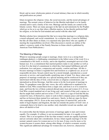blood, and no more wholesome pattern of sexual intimacy than one in which morality and gratification are joined

Islam recognizes the religious virtue, the social necessity, and the moral advantages of marriage. The normal course of behavior for the Muslim individual is to be family oriented and to seek a family of his own. Marriage and the family are central in the Islamic system. There are many passages in the Qur' an and statements by the Prophet which go as far as to say that when a Muslim marries, he has thereby perfected half his religion; so let him be God-minded and careful with the other half

Muslim scholars have interpreted the Qur'an to mean that marriage is a religious duty, a moral safeguard, and social commitment. As a religious duty, it must be fulfilled; but like all other duties in Islam, it is enjoined only upon those who are capable of meeting the responsibilities involved. (This discussion is merely an outline of the author's extensive study of the Family Structure in Islam which is published by American Trust Publications.)

#### The Meaning of Marriage

Whatever meanings people assign to marriage, Islam views it as a strong bond (mithaqun ghaleez), a challenging commitment in the fullest sense of the word. It is a commitment to life itself, to society, and to the dignified, meaningful survival of the human race. It is a commitment that married partners make to one another as well as to God. It is the kind of commitment in which they find mutual fulfillment and selfrealization, love and peace, compassion and serenity, comfort and hope. All this is because marriage in Islam is regarded first and foremost as a righteous act, an act of responsible devotion. Sexual control may be a moral triumph, reproduction a social necessity or service, and sound health a gratifying state of mind. Yet, these values and purposes of marriage would take on a special meaning and be reinforced if they are intertwined with the idea of God, conceived also as religious commitments, and internalized as divine blessings. And this seems to be the focal point of marriage in Islam. To paraphrase some Qur' anic verses, the call is addressed to mankind to be dutiful to God, Who created them from a single soul, and from it or of it created its mate, and from the two of them scattered abroad many men and women (4:1). It was God Who created mankind out of one living soul, and created of that soul a spouse so that he might find comfort and rest in her (7:107). And it is a sign of God that He has created for men, of themselves, mates to seek in their company peace and tranquillity, and has set between them mutual love and mercy. Surely, in that are signs for those who contemplate (30:21). Even at the most trying times of married life, and in the midst of legal disputes and litigation, the Qur' an reminds the parties of God's law; it commands them to be kind to one another, truly charitable toward one another, and above all dutiful to God

It is noteworthy that the Islamic provisions of marriage apply to men and women equally. For example, if celibacy is not recommended for men, it is equally so for women. This is in recognition of the fact that women's needs are equally legitimate and are seriously taken into consideration. In fact, Islam regards marriage to be the normal, natural course for women just as it is for men. It may even be more so for women because it assures them, among other things, of relative economic security. This significant additional advantage for women does not, however, characterize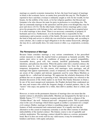marriage as a purely economic transaction. In fact, the least focal aspect of marriage in Islam is the economic factor, no matter how powerful this may be. The Prophet is reported to have said that a woman is ordinarily sought as wife for her wealth, for her beauty, for the nobility of her stock, or for her religious qualities; but blessed and fortunate is he who chooses his mate for piety in preference to everything else. The Qur' an commands marriage to the spouseless and the pious even thought they may be poor and slaves (24:32). On the other hand, whatever dowry (marriage gifts) a man gives his prospective wife belongs to her; and whatever she may have acquired prior to or after marriage is hers alone. There is no necessary community of property of husbands and wives. Furthermore, it is the husband who is responsible for the maintenance and economic security of the family. He must even provide the wife with the kind of help and service to which she was used before marriage, and, according to some scholars, she is under no legal obligation to do the routine housework, although she may do so, and usually does, for some reason or other, e.g. cooperation, economy, etc

### *The Permanence of Marriage*

Because Islam considers marriage a very serious commitment, it has prescribed certain measures to make the marital bond as permanent as humanly possible. The parties must strive to meet the conditions of proper age, general compatibility, reasonable dowry, good will, free consent, unselfish guardianship, honorable intentions, and judicious discretion. When the parties enter into a marital contract, the intention must be clear to make the bond permanent, free from the casual and temporary designations. For this reason, trial marriages, term marriages, and all marriages that appear experimental, casual, or temporary are forbidden in Islam. (We are aware of the complex and intricate arguments used by some Sheea Muslims as regards the so – called mut' ah marriage. We appreciate the scholarly dimension of the problem but see no purpose in pursuing it here. Interested readers are referred to the detailed discussion of the whole matter in our book The Family Structure in Islam.). In one of his most unequivocal statements, the Prophet declared that condemned are the men and women who relish the frequent change of marital partners, that is, the " tasters" who enjoy one partner for a while, then shift to another, then to a third, and so on.

However, to insist on the permanent character of marriage does not mean that the marital contract is absolutely indissoluble. Muslims are designated by the Qur'an as a Middle Nation ??? ? ???? (ummatan wasatan) and Islam is truly a religion of the " Golden Mean", the well – balanced and well – integrated system. This is particularly clear in the case of marriage which Islam regards as neither a sacrament nor a simple civil contract. Rather, marriage in Islam is something unique with very special features of both sacramental and contractural nature. It is equally true that the alternative to this casual or temporary extremity is not the other extreme of absolute indissolubility of the marital contract. The Islamic course is one of equitable and realistic moderation. The marriage contract should be taken as a serious, permanent bond. But if it does not work well for any valid reason, it may be terminated in kindness and honor, with equity and peace.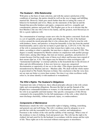### *The Husband – Wife Relationship*

With piety as the basis of mate selection, and with the earnest satisfaction of the conditions of marriage, the parties should be well on the way to happy and fulfilling married life. However, Islam goes much further than this in setting the course of behavior for husbands and wives. Many are the statements of the Our' an and the Sunnah that prescribe kindness and equity, compassion and love, sympathy and consideration, patience and good will. The Prophet goes as for as to declare that the best Muslim is the one who is best to his family, and the greatest, most blessed joy in life is a good, righteous wife

The consummation of marriage creates new roles for the parties concerned. Each role is a set of equitable, proportionate rights and obligations. The role of the husband evolves around the moral principle that it is his solemn duty of God to treat his wife with kindness, honor, and patience; to keep her honorably or free her from the marital bond honorably; and to cause her no harm or grief (Qur'an, 2:229-232; 4:19). The role of the wife is summarized in the verse that women have rights even as they have duties, according to what is equitable; but men have a degree over them (2:228). This degree is usually interpreted by Muslim scholars in conjunction with another passage which states, among other things, that men are trustees, guardians, and protectors of women because God has made some of them excel others and because men expend of their means (Our' an, 4:34). This degree may be likened to what sociologists call " instrumental leadership" or external authority in the household due to the division of labor and role differentiation. It does not, however, mean any categorical discrimination or superiority of one sex to the other. (This degree question has been misunderstood by Muslims and non – Muslims alike. We dealt with the whole matter in great detail in The Family Structure in Islam. Our conclusion is that the verse does not say men are better or worse than women. Nor does it say what excellence really refers to, let alone identify it with manhood or womanhood.)

# *The Wife's Rights: The Husband's Obligations*

Translated into rules of behavior, these ethical principles allocate to the wife certain rights and corresponding obligations. Because the Qur' an and the Sunnah of the Prophet have commanded kindness to women, it is the husband's duty to consort with his wife in an equitable and kind manner. One specific consequence of this Divine command is his responsibility for the full maintenance of the wife, a duty which he must discharge cheerfully, without reproach, injury, or condescendence.

### *Components of Maintenance*

Maintenance entails the wife's incontestable right to lodging, clothing, nourishing, and general care and well-being. The wife's residence must be adequate so as to provide her with the reasonable level of privacy, comfort, and independence. Foremost is the welfare of the wife and the stability of the marriage. What is true of the residence is true of clothing, food and general care. The wife has the right to be clothed, fed and cared for by the husband, in accordance with his means and her style of life. These rights are to be exercised without extravagance or miserliness.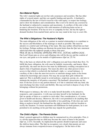### *Non-Material Rights*

The wife's material rights are not her only assurances and securities. She has other rights of a moral nature; and they are equally binding and specific. A husband is commanded by the law of God to treat his wife with equity, to respect her feelings, and to show her kindness and consideration. She is not to be shown any aversion by the husband or subjected to suspense and uncertainty. A corollary of this rule is that no man is allowed to keep his wife with intention of inflicting harm on her or hindering her freedom. If he has no love or sympathy for her, she has the right to demand freedom from marital bond, and no one may stand in her way to a new life.

# *The Wife's Obligations: The Husband's Rights*

The main obligation of the wife as a partner in marital relationship is to contribute to the success and blissfulness of the marriage as much as possible. She must be attentive to comfort and well-being of her mate. She may neither offend him nor hurt his feelings. Perhaps nothing can illustrate the point better than the Qur'anic statement which describes the righteous people as those who pray: ÑÈäÇ åÈ áäÇ ãä ÃÒæ ÇÌäÇ æ ÐÑíÇÊäÇ ÞÑÉ ÃÚíä , æ ÇÌÚáäÇ ááãÊÞíä ÇãÇãÇ . Our Lord! Grant unto us wives and offspring who will be the joy and the comfort of

our eyes, and guide us to be models of righteousness (Qur'an, 25:74)

This is the basis on which all the wife's obligation rest and from which they flow. To fulfill this basic obligation, the wife must be faithful, trustworthy, and honest. More specifically, she must not deceive her mate by deliberately avoiding conception lest it deprive him of legitimate progeny. Nor must she allow any other person to have access to that which is exclusively the husband's right, i.e. sexual intimacy. A corollary of this is that she must not receive or entertain strange males in her home without his knowledge and consent. Nor may she accept their gifts without his approval. This is probably meant to avoid jealousy, suspicion, gossip, etc., and also to maintain the integrity of all parties concerned. The husband's possessions are her trust. If she has access to any portion thereof, or if she is entrusted with any fund, she must discharge her duty wisely and thriftily. She may not lend or dispose of any of his belongings without his permission.

With respect to intimacy, the wife is to make herself desirable; to be attractive, responsive, and cooperative. A wife may not deny herself to her husband, for the Qur' an speaks of them as a comfort to each other. Due consideration is, of course, given to health and decency. Moreover, the wife is not permitted to do anything that may render her companionship less desirable or less gratifying. If she does any such thing or neglects herself, the husband has the right to interfere with her freedom to rectify the situation. To insure maximum self-fulfillment for both partners, he is not permitted to do anything on his part that may impede her gratification.

# *The Child's Rights : The Parents Duties*

Islam's general approach to children may be summarized in a few principles. First, it is a divine injunction that no child may become the cause of harm to the parents (Qur' an, 2:233). Secondly, by implication the parents should reciprocate and cause the child no harm either. The Qur' an recognizes very clearly that parents are not always immune from overprotectiveness or negligence. On the basis of this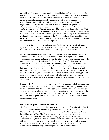recognition, it has, thirdly, established certain guidelines and pointed out certain facts with respect to children. It points out that children are joys of life as well as sources of pride, seeds of vanity and false security, fountains of distress and temptation. But it hastens to stress the greater joys of the spirit and caution parents against overconfidence, false pride, or misdeeds that might be caused by children. The religious moral principle of this position is that every individual, parent or child, relates to God directly and is independently responsible for his deeds. No child can absolve the parent on the Day of Judgement. Nor can a parent intercede on behalf of his child. Finally, Islam is strongly sensitive to the crucial dependence of the child on the parents. Their decisive role in forming the child's personality is clearly recognized in Islam. In a very suggestive statement, the Prophet declared that every child is born into the true malleable nature of faith (i.e., the pure natural state of Islam), its parents later on make it into a Jew, Christian or pagan

According to these guidelines, and more specifically, one of the most inalienable rights of the child in Islam is the right to life and equal life chances. Preservation of the child's life is the third commandment in Islam. (6:151, cf. 17:23 ff)

Another equally inalienable right is the right of legitimacy, which holds that every child shall have a father, and one father only. A third set of rights comes under socialization, upbringing, and general care. To take good care of children is one of the most commendable deeds in Islam. The Prophet was fond of children and he expressed his conviction that his Muslim community would be noted among other communities for its kindness to children. It is charity of a higher order to attend to their spiritual welfare, educational needs, and general well-being. Interest in and responsibility for the child's welfare are questions of first priority. According to the Prophet's instructions, by the seventh day the child should be given a good, pleasant name and its head should be shaved, along with all the other hygienic measures required for healthy growing. This should be made a festive occasion marked with joy and charity

Responsibility for and compassion toward the child is a matter of religious importance as well as social concern. Whether the parents are alive or deceased, present or absent, known or unknown, the child is to provided with optimum care. Whenever there are executers or relatives close enough to be held responsible for the child's welfare, they shall be directed to discharge this duty. But if there is no next of kin, care for the child becomes a joint responsibility of the entire Muslim community, designated officials and commoners alike.

#### *The Child's Rights : The Parents Duties*

Islam's general approach to children may be summarized in a few principles. First, it is a divine injunction that no child may become the cause of harm to the parents (Qur' an, 2:233). Secondly, by implication the parents should reciprocate and cause the child no harm either. The Qur' an recognizes very clearly that parents are not always immune from overprotectiveness or negligence. On the basis of this recognition, it has, thirdly, established certain guidelines and pointed out certain facts with respect to children. It points out that children are joys of life as well as sources of pride, seeds of vanity and false security, fountains of distress and temptation. But it hastens to stress the greater joys of the spirit and caution parents against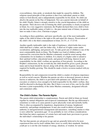overconfidence, false pride, or misdeeds that might be caused by children. The religious moral principle of this position is that every individual, parent or child, relates to God directly and is independently responsible for his deeds. No child can absolve the parent on the Day of Judgement. Nor can a parent intercede on behalf of his child. Finally, Islam is strongly sensitive to the crucial dependence of the child on the parents. Their decisive role in forming the child's personality is clearly recognized in Islam. In a very suggestive statement, the Prophet declared that every child is born into the true malleable nature of faith (i.e., the pure natural state of Islam), its parents later on make it into a Jew, Christian or pagan

According to these guidelines, and more specifically, one of the most inalienable rights of the child in Islam is the right to life and equal life chances. Preservation of the child's life is the third commandment in Islam. (6:151, cf. 17:23 ff)

Another equally inalienable right is the right of legitimacy, which holds that every child shall have a father, and one father only. A third set of rights comes under socialization, upbringing, and general care. To take good care of children is one of the most commendable deeds in Islam. The Prophet was fond of children and he expressed his conviction that his Muslim community would be noted among other communities for its kindness to children. It is charity of a higher order to attend to their spiritual welfare, educational needs, and general well-being. Interest in and responsibility for the child's welfare are questions of first priority. According to the Prophet's instructions, by the seventh day the child should be given a good, pleasant name and its head should be shaved, along with all the other hygienic measures required for healthy growing. This should be made a festive occasion marked with joy and charity

Responsibility for and compassion toward the child is a matter of religious importance as well as social concern. Whether the parents are alive or deceased, present or absent, known or unknown, the child is to provided with optimum care. Whenever there are executers or relatives close enough to be held responsible for the child's welfare, they shall be directed to discharge this duty. But if there is no next of kin, care for the child becomes a joint responsibility of the entire Muslim community, designated officials and commoners alike.

### *The Child's Duties: The Parents Rights*

The parent-child relationship is complementary. Parent and child in Islam are bound together by mutual obligations and reciprocal commitments. But the age differential is sometimes so wide as to cause parents to grow physically weak and mentally feeble. This is often accompanied by impatience, degeneration of energy, heightened sensitivity, and perhaps misjudgement. It may also result in abuses of parental authority or intergenerational estrangement and uneasiness, something similar to what is now called the " generation gap". It was probably in view of these considerations that Islam has taken cognizance of certain facts and made basic provisions to govern the individual's relationship to his parents

The fact that parents are advanced in age and are generally believed to be more experienced does not by itself validate their views or certify their standards. Similarly, youth per se is not the sole fountain of energy, idealism, or wisdom. In various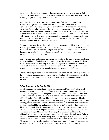contexts, the Qur' an cites instances where the parents were proven wrong in their encounter with their children and also where children misjudged the positions of their parents (see Our'an, 6:74; 11:42-46; 19:42-48)

More significant, perhaps, is the fact that customs, folkways, traditions, or the parents' value system and standards do not in themselves constitute truth and rightness. In several passages the Qur'an strongly reproaches those who may stray away from the truth just because it is new to them, or contrary to the familiar, or incompatible with the parents' values. Furthermore, it focalizes the fact that if loyalty or obedience to the parents is likely to alienate the individual from God, he must side with God, as it were. It is true, the parents merit consideration, love, compassion and mercy. But if they step out of their proper line to intrude upon the rights of God, a demarcation line must be drawn and maintained

The Qur' an sums up the whole question in the master concept of ihsan, which denotes what is right, good, and beautiful. The practical implications of the concept of ihsan to the parents entail active empathy and patience, gratitude and compassion, respect for them and prayers for their souls, honoring their legitimate commitments and providing them with sincere counsel

One basic dimension of ihsan is deference. Parents have the right to expect obedience from their children if only in partial return for what the parents have done for them. But if parents demand the wrong or ask for the improper, disobedience becomes not only justifiable, but also imperative. Obey or disobey, the children's attitude toward parents may not be categorical submissiveness or irresponsible defiance

The last integral part of ihsan to be mentioned here is that children are responsible for the support and maintenance of parents. It is an absolute religious duty to provide for the parents in case of need and help them to make their lives as comfortable as possible

#### *Other Aspects of the Family Life*

Closely connected with the family life is the treatment of "servants", other family members, relations, and neighbors. To those who keep permanent maids Prophet Muhammad has given advice and good tidings. " Masters" are enjoined to treat their servants like brothers, and not like slaves, because whoever treats his servant well, said the Prophet, God will make his death easy and pleasant, a moment which is ordinarily painful and difficult. Servants are entitled to justice, kindness, mercy, food, clothing, accommodation and other personal expenses. The Prophet goes as for as to say that they should be fed and dresses of the same stuff as used by their masters, and this is to be provided by the masters themselves as a part of their obligations to the servants. These are not to be persecuted or disdained or overcharged with work. This stipulation is designed to show how Islam dignifies humanity and honors labor without inviting the class warfare or the despotic authority of the proletariat. Being a servant or laborer does not deprive any person of his rights or affect his dignity as a human being. Nor does it make him addicted to the opium of the utopian proletariat. All citizens of a real Muslim society stands on equal footing, because Islam does not recognize the caste system or the second class citizenship. The only superiority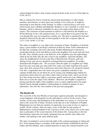acknowledged by Islam is that of piety and good deeds in the service of God (Qur' an, 9:105; 49:13)

Man is ordained by God to extend his utmost help and kindness to other family members and relations, to show them true feelings of love and care. It might be interesting to note that the world 'kinship' in Arabic is derived from a root word which means mercy (Rahim and Rahmah). Kindness to one's kinsfolk is a short cut to Paradise, which is otherwise forbidden for those who neglect their duties in this respect. The extension of kind treatment to relatives is described by the Prophet as a Divine blessing of one's life and provisions. It is a sacred duty to be good to the kin even though they may not respond in a similar way. The duty is enjoined by God and should be observed for the sake of God regardless of the kin's response (Qur'an, 2:117; 4:36; 16:90; 17:23-26)

The status of neighbors is very high in the viewpoint of Islam. Neighbors of all kinds enjoy a great number of privileges conferred on them by Islam. In his elaboration on the Qur' anic teachings relevant to this point, Prophet Muhammad is reported as saying that nobody can be true Believer unless his neighbors feel secure and safe from his side. Also, nobody can be a true Believer, if his neighbors pass the night hungry while he has his belly full. He who is best to his neighbors, stated the Prophet, will enjoy the neighborhood of God on the Day of Resurrection. Presents, gifts and sharing of joys and sorrows should be exchanged between neighbors. In another declaration the Prophet said : " Do you know what the rights of a neighbor are? Help him if he asks your help; give him relief if he seeks your relief; lend him if he needs loan; show him concern if he is distressed; nurse him when he is ill; attend his funeral if he dies; congratulate him if he meets any good; sympathize with him if any calamity befalls him; do not block his air by raising your building high without his permission; harass him not; give him a share when you buy fruits, and if you do not give him, bring your buys right to your house quietly and let not your children take them out to excite the anger of his children". Moreover, the Prophet is reported as having said that the rights of the neighbors were so much emphasized by the angel Gabriel that he thought neighbors would perhaps be entitled to partake of one's inheritance. (See also the verse number in the previous paragraph)

### *The Social Life*

The social life of the true Muslim is based upon supreme principles and designed to secure happiness with prosperity for the individual as well as for the society. Class warfare, social castes and domination of the individual over society or viceversa are alien to the social life of Islam. Nowhere in the Qur' an or the Traditions of Prophet Muhammad can one find any mention of superiority on account of class or origin or wealth. On the contrary, there are many verses of the Our' an and sayings of Muhammad to remind mankind of the vital facts of life, facts which serve at the same time as principles of the social structure of the Islamic life. Among these is the fact that humanity represents one family springing from one and the same father and mother, and aspiring to the same ultimate goals

The unity of mankind is conceived in the light of the common parentage of Adam and Eve. Every human being is a member of the universal family established by the First Father and First Mother, and is entitled therefore to enjoy the common benefits as he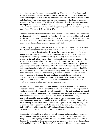is enjoined to share the common responsibilities. When people realize that they all belong to Adam and Eve and that these were the creation of God, there will be no room for racial prejudice or social injustice or second class citizenship. People will be united in their social behavior as they are united in nature by the bond of common parentage. In Qur'an and the Traditions of Muhammad there is a constant reminder of this important fact, the unity of humanity by nature and origin. This is to eliminate racial pride and claims to national or ethnic superiority, and pave the way for genuine brotherhood (Qur' an, 4:1; 7:189; 49:10-13)

The unity of humanity is not only in its origin but also in its ultimate aims. According to Islam, the final goal of humanity is God. From Him we come, for Him we live and to Him we shall all return. In fact, the sole purpose of creation as described by Qur' an is to worship God and serve His cause, the cause of truth and justice, of love and mercy, of brotherhood and morality (Quran, 51:56-58)

On this unity of origin and ultimate goal as the background of the social life in Islam, the relations between the individual and society are based. The role of the individual is complementary to that of society. Between the two there are social solidarity and mutual responsibility. The individual is responsible for the common welfare and prosperity of his society. This responsibility is not only to the society but also to God. In this way the individual works with a sound social-mindedness and genuine feeling of inescapable responsibility. It is his role to do the utmost for his society and contribute to its common welfare. On the other hand, the society is also responsible to God for the welfare of the individual. When the individual is able he is the contributor and society is the beneficiary. In return he is entitled to security and care, should he become disabled. In this case he is the beneficiary and society is the contributor. So duties and rights correspond harmoniously. Responsibility and concern are mutual. There is no state to dominate the individual and abrogate his personal entity. Likewise, there is no individual or class of individuals to exploit the society and corrupt the state. There is harmony with peace and mutual security. There is a constructive interaction between the individual and society

Besides the unity of humanity in origin and ultimate goal, and besides this mutual responsibility and concern, the social life of Islam is characterized by cooperation in goodness and piety. It is marked with full recognition of the individual and his sacred rights to life, property and honor. It is also marked with an effective role played by the individual in the domain of social morals and ethics. In an Islamic society the individual cannot be indifferent. He is enjoined to play an active part in the establishment of sound social morals by way of inviting to the good and combating the evil in any form with all lawful means at his disposal. In so doing, not only does he shun evil and do good but also helps others to do the same. The individual who feels indifferent to his society is a selfish sinner; his morals are in trouble, his conscience is in disorder, and his faith is undernourished

The structure of social life in Islam is very lofty, sound and comprehensive. Among the substantial elements of this structure are sincere love for one's fellow human beings, mercy for the young, respect for the elders, comfort and consolation for the distressed, visiting the sick, relieving the grieved, genuine feelings of brotherhood and social solidarity; respect for the rights of other people to life, property, and honor;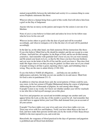mutual responsibility between the individual and society it is a common thing to come across Prophetic statements like these:

Whoever relieves a human being from a grief of this world, God will relieve him from a grief on the Day of Judgement

Anyone who has no mercy on the juniors and respect for the seniors is not one of us Muslims

None of you is a true believer in Islam until and unless he loves for his fellow man what he loves for his own self

Whoever invites others to good is like the doer of good and will be rewarded accordingly, and whoever instigates evil is like the doer of evil and will be punished accordingly

In the Qur' an, on the other hand, one finds numerous Divine instructions like these: O you who believe! Mind God as He should be minded, and die not except in a state of Islam. And hold fast, all together, by the Rope of God, and be not divided among yourselves. And remember with gratitude God's favor on you; for you were enemies and He joined your hearts in Love, so that by His Grace you have become brethren; and you were on the brink of the Pit of Fire and He saved you from it. Thus does God make His Signs clear to you that you may be guided. Let there arise out of you a band of people inviting to all that is good, enjoining what is right, and forbidding what is wrong. They are the ones to attain felicity (3:102-104)

O you who believe! Fulfill all obligations . . . and help you one another in righteousness and piety, but help you not one another in sin and rancor. Mind God; for God is strict in punishment (5:1-3)

In addition to what has already been said, the social patterns of Islam could be seen, once more, in the last sermon of Prophet Muhammad during the course of pilgrimage. Addressing the tens of thousands of pilgrims, he said among other things: O people! Listen to my words, for I know not whether another year will be vouchsafe to me after this to find myself amongst you at this place

Your lives and properties are sacred and inviolable amongst one another until you appear before the Lord, as this day of this month is sacred for all. And remember that you shall have to appear before your Lord Who shall demand from you an account of all your actions

O people! You have rights over your wives and your wives have rights over you. Treat your wives with love and kindness. Verily you have taken them as the trust of God, and have make their persons lawful unto you by the words of God. Keep always faithful to the trust reposed in you, and avoid sins

Henceforth, the vengeance of blood practiced in the days of ignorance and paganism is prohibited and all blood feud abolished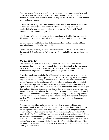And your slaves! See that you feed them with such food as you eat yourselves, and clothe them with the stuff you wear; and if they commit a fault which you are not inclined to forgive, then part from them, for they are the servants of the Lord, and are not to be harshly treated

O people! Listen to my words and understand the same. Know that all Muslims are brothers unto one another. You are One Brotherhood. Nothing which belongs to another is lawful unto his brother unless freely given out of good will. Guard yourselves from committing injustice

Like this day of this month in this territory sacred and inviolable, God has made the life and property and honor of each of you unto the other, until you meet your lord

Let him that is present tell it to him that is absent. Haply he that shall be told may remember better than he who has heard it

Verily, I have fulfilled my mission. I have left that amongst you, a plain command, the book of God, and manifest Ordinances which if you hold fast, you shall never go astray

### *The Economic Life*

The economic life of Islam is also based upon solid foundations and Divine instructions. Earning one's living through decent labor is not only a duty but a great virtue as well. Dependence of any able effortless person on somebody else for a livelihood is a religious sin, a social stigma and disgraceful humility

A Muslim is enjoined by God to be self-supporting and to stay away from being a liability on anybody. Islam respects all kinds of work for earning one's livelihood so long as there is no indecency or wrong involved. With a clear conscience and due respect from society the Muslim can roll up his sleeves and undertake any kind of work available to provide for himself and his dependents. Prophet Muhammad is reported as having said that it is far better for one even to take his rope, cut wood, pile it up and sell it in order to eat and give charity than to beg others whether they give him or not. According to Islam, the status of honest working men cannot be lowered on account of the kind of work they are doing for a living. Yet the laboring workers have no limited scope for improving their lots and raising their standards as high as possible. They have equal opportunities at their disposal and enjoy freedom of enterprise

Whatever the individual makes or earns through lawful means is his private possession, which neither the State nor anybody else can justifiably claim. In return for this right of private possession he has only to fulfill certain obligations to the society and pay certain taxes to the State. When this is done, he has full rights to protection by the State, and his freedom of enterprise is secure and guaranteed. Under the Islamic system the menace of greedy capitalism and destructive communism never arises. The enterprising individual is responsible for the prosperity of the State, and the State in turn is responsible for the security of the individual. Class conflicts are replaced by cooperation and harmony; fear and suspicion are remedied by mutual security and confidence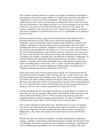The economic system of Islam is not drawn in the light of arithmetical calculations and capacities of production alone. Rather, it is drawn and conceived in the light of a comprehensive system of morals and principles. The person who is working for another person or for a firm or an institution is ordained by God to do his work with efficiency and honesty. The Prophet said that if any of you undertakes to do any work, God loves to see him do it well and with efficiency. Once the work is done, the worker is entitled to a fair wage for his services. Failure by the employer to pay the just wage, or attempts to cut it down and waver on it is a punishable act, according to the Law of God

Business transactions enjoy a great deal of attention from Islam. Honest trade is permitted and blessed by God. This may be carried out through individuals, companies, agencies and the like. But all business deals should be concluded with frankness and honesty. Cheating, hiding defects of merchandise from the dealers, exploiting the needs of customers, monopoly of stocks to force one's own prices are all sinful acts and punishable by the Islamic Law. If one is to make a decent living, it has to be made through honest ways and hard endeavor. Otherwise, easy come, easy go, and it is not only that, but anybody that is bred with unlawful provisions will be, according to the Prophet, a burning fuel to the Hell Fire on the Day of Judgement. To combat cheating and exploitation, Islam demands honesty in business, warns the cheaters, encourages decent work and forbids usury or the talking of interest just in return for lending money to the needy. This is to show man that he rightfully owns only what he works for, and that exploitation of other people's pressing needs is irreligious, inhuman and immoral. In the Qur'an God says:

Those who devour usury will not stand except as stands one whom the Evil One by his touch has driven to madness. That is because they say : 'trade is like usury' . But God has permitted trade and forbidden usury. Those who, after receiving direction from their Lord, desist, shall be pardoned for the past; their case is for God (to judge). But those who repeat (the offence) are Companions of the Fire; they will abide therein (for ever). God will deprive usury of all blessing, but will give increase for deeds of charity; for He loves not creatures ungrateful and wicked (2:274-276)

And the Firmament has He raised high, and He has set up the Balance (of Justice) in order that you may not transgress (due) balance. So establish weight with justice and fall not short in the balance (55:7-9). This is to guide man resort to justice and straightforwardness in all his dealings and transactions. The future of cheaters is grim and their doom is awful. Here is how the Qur'an looks into the matter:

Woe to those who deal in fraud, those who, when they have to receive by measure from men, exact full measure, but when they have to give by measure or weight to men give less than due. Do they not think that they will be called to account on a Mighty Day, a Day when (all) mankind will stand before the Lord of the Worlds (83:1-6)

Besides that, there are numerous Traditions of Prophet Muhammad excluding the cheaters, exploiters, monopolizers and dishonest business people from the band of the true Muslims. Any business deal that involves injustice or cheating or exploitation is strictly inhibited and cancellable by the Law even after it is concluded. The main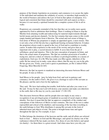purpose of the Islamic legislation on economics and commerce is to secure the rights of the individual and maintain the solidarity of society, to introduce high morality to the world of business and enforce the Law of God in that sphere of enterprise. It is logical and consistent that Islam should be concerned with such aspects as these., because it is not merely a spiritual formula but a complete system of life in all its walks

Proprietors are constantly reminded of the fact that they are in reality mere agents appointed by God to administer their holdings. There is nothing in Islam to stop the Muslim from attaining wealth and endeavoring for material improvements through lawful means and decent channels. Yet the fact remains that man comes to this world empty-handed and departs from it likewise. The actual and real owner of things is God alone of Whom any proprietor is simply an appointed agent, a mere trustee. This is not only a fact of life but also has a significant bearing on human behavior. It makes the proprietor always ready to spend in the way of God and to contribute to worthy causes. It makes him responsive to the needs of his society and gives him an important role to play, a sacred mission to fulfill. It saves him from the pit of selfishness, greed and injustice. This is the true conception of property in Islam, and that is the actual status of proprietors. The Qur' an considers possession of wealth a trying test, and not a token of virtuous excellence or privileged nobility or a means of exploitation. God says: It is He Who has made you (His) agents, inheritors of the earth: He has raised you in ranks, some above others; that He may try you in the gifts He has given you. Verily, your Lord is quick in punishment, yet He is indeed Often Forgiving, Most Merciful (6:165)

Moreover, the Qur' an reports to mankind an interesting discourse between Moses and his people. It runs as follows:

Said Moses to his people, 'pray for help from God, and wait in patience and constancy; for the earth is God's. He gives it as a heritage to such of His servants as He pleases; and the end is best for the righteous.'

They said, 'We have had nothing but trouble, both before and after you come to us.' He said: 'It may be that your Lord will destroy your enemies and make you inheritors in the earth; that so He may try you by your deeds' (7:128-129)

This discourse between Moses and his people does not imply in any sense a recognition of any privileged genus of mankind on account of racial origin or ethnic identity. Nor does it mean that the Qur' an approves completely of the conduct and conceptions of the followers of Moses in later centuries. The tone of the text is rather reproachful and critical of the doubters; and reassuring of the fact that everything in the earth belongs to God, Who distributes it among His servants in the form of inherited trusts and objects of trial. The point is brought home time and again throughout the Qur'an. For example, it says:

To Him belongs the dominion of the heavens and the earth, and all affairs are referred back to God . . . Believe in God and His Messenger, and spend (in charity) out of the (substance) whereof He has made you heirs. For, those of you who believe and spend (in charity) – for them there is a great reward. And what cause have you why you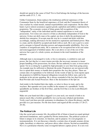should not spend in the cause of God? For to God belongs the heritage of the heavens and the earth (57:5, 7, 10)

Unlike Communism, Islam replaces the totalitarian artificial supremacy of the Communist State by the beneficial supremacy of God; and the Communist theory of class warfare by sound morals, mutual responsibilities and cooperation. On the other hand, it gives utmost assurances against greedy capitalism and ruthless exploitation by proprietors. The economic system of Islam grants full recognition of the "independent" entity of the individual and his natural aspirations to work and possessions. Yet it does not conceive of him as absolutely independent of God or the universe. It does not deify man or his capital, nor does it deify the proletariat and abolish free enterprise. It accepts man the way he is created and deals with him accordingly, making allowances for his instinctive aspirations and limited power. Man is a man, and he should be accepted and dealt with as such. He is not a god or a semigod to arrogate to himself absolute powers and unquestionable infallibility. Nor is he countless or insignificant entity. He is someone to be recognized but in his real status and nonexaggerated or belittled nature. He is not above or out of the rest of the universe but a part of a whole system, an element in the total foundation of the universe

Although man is encouraged to work, is free to enterprise, is entitled to earn and posses, the fact that he is a mere trustee provides the necessary measure to insure proper handling of his possessions, his trusts. He has authority to earn, to invest and to spend. Yet in so doing he is guided by high principles to save him from going astray. An example may be sufficient to illustrate the point. Proprietors are not unreservedly free to spend their money or handle their properties the way they please. There are certain rules of expenditure to be followed. In the words of Qur' an, God enjoins upon the proprietor to fulfill his financial obligations towards his fellow men, and to be moderate in his private spending. He is always reminded of the fact that God is the Real Provider and Actual Possessor. Here is the declaration of the Our'an:

And render to the kindred their due rights, as (also) to those in want, and to the wayfarer. But squander not (your wealth) in the manner of a spendthrift. Verily, spendthrifts are brothers of the Evil Ones, and the Evil One is to his Lord (Himself) ungrateful

Make not your hand tied (like a niggard's) to your neck, nor stretch it forth to its utmost reach (like a foolish spendthrift); lest you become rebuked and destitute. Verily your Lord does provide sustenance in abundance for whom He pleases, and He provides in a just measure. For He does know and regard all His servants (17:26-27, 29-30).

### *The Political Life*

Like the social and economic life, the political life of Islam is based on sound spiritual and moral foundations, and is guided by Divine instructions. The political system of Islam is unique in its structure, its function, and its purpose. It is not pragmatic or instrumentalistic. It is not theocracy whereby a certain class of people assumes divine rights, hereditary or otherwise, and poses above other citizens, beyond accountability. Nor is it a proletariat whereby some revengeful laborers capture power. It is not even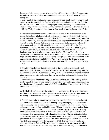democracy in its popular sense. It is something different from all that. To appreciate the political outlook of Islam one has only to know that it is based on the following principles:

1. Every deed of the Muslim individual or group of individuals must be inspired and guided by the Law of God, the Qur' an, which is the constitution chosen by God for His true servants. And if any do fail to judge (or rule) according to what God has revealed, they are the unbelievers . . . they are the wrong-doers . . . they are the rebels (5:47-50). Verily this Qur' an does guide to that which is most right and best (17:9)

2. The sovereignty in the Islamic State does not belong to the ruler nor even to the people themselves. It belongs to God, and the people as a whole exercise it by trust from Him to enforce His law and enact His will. The ruler, any ruler, is only an acting executive chosen by the people to serve them according to the Law of God. This is the foundation of the Islamic State and is only consistent with the general outlook of Islam on the universe of which God is the creator and in which He is the Sole Sovereign. In the Qur' an, one comes across statements like these: Authority, power and sovereignty belong to none but God, or Blessed be He in Whose hands is dominion, and He over all things has power (Qur' an, 67:1), or Verily God does command you to render back your trusts to those to whom they are due; and when you judge (or rule) between people that you judge with justice. Verily how excellent is the teaching which He gives you! (4:58) or And to God belongs the dominion of the heavens and the earth, and all that is between, and unto Him is the final goal (of all) (5:20)

3. The aim of the Islamic State is to administer justice and provide security and protection for all citizens, regardless of color or race or creed, in conformity with the stipulations of God in His constitution, the Qur' an. The question of religious or racial minorities does not arise so long as they are law-abiding and peaceful citizens. The Qur'an says:

O you who believe! Stand out firmly for justice, as witnesses to fair dealing, and let not the hatred of others to you make you swerve to wrong and depart from justice. Be just: that is most close to piety, and mind God for God is well-acquainted with all that you do (5:9; cf. 4:135)

Verily God will defend those who believe, - - - - , those who, if We establish them in the Land, establish regular prayers and give regular charity, enjoin the right and forbid the wrong. With God rests the end (and decision) of all affairs (22:38-41)

4. Formed for the above-mentioned purposes and established to enforce the Law of God, the Islamic State cannot be controlled by any political party of a non-Islamic platform or subjected to foreign powers. It has to be independent to exercise its due authority on behalf of God and in His cause. This originates from the principle that a Muslim is one who submits to God alone and pledges loyalty to His Law, offering utmost cooperation and support to those who administer the Law and observe its stipulations. It is incompatible with Islam, therefore, for a Muslim nation to pledge support to any political party of a non-Islamic platform or to yield to a non-Islamic government of alien origins and aims. And never will God grant to the Unbelievers a way (to triumph or rule) over the Believers  $(4:141)$ . The answer of the Believers, when summoned to God and His Messenger, in order that He may judge (or rule) between them, is no other than this: they say 'We hear and we obey' - - - - God has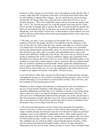promised, to those among you who believe and work righteous deeds, that He will, of a surety, make them His vicegerents in the land, as He made those before them; that he will establish in authority their religion – the one which He has chosen for them; and that He will change (their state), after the fear in which they (lived), to one of security and peace: 'They will worship Me (alone) and not associate any partner with Me.' (24:51, 55). God has decreed: It is I and My apostles who must prevail. Verily God is one full of strength, able to enforce His will. You will not find any people who believe in God and the last Day, loving those who resist God and His apostles, even though they were their fathers or their sons, or their brothers or their kindred. For such believers He has written Faith in their hearts and strengthened them with a spirit from Himself (58:21-22)

5. The ruler, any ruler, is not a sovereign over the people. He is a representative employee chosen by the people and derives his authority from his obedience to the Law of God, the Law which binds the rulers and the ruled alike by a solemn contract over which God is the Supervisor. The political contract of Islam is not concluded between the administration and the public alone. It is between these combined on one side and God on the other, and it is morally valid and binding only as long as the human sides fulfill their obligations to the Divine. The rulers who are chosen by their people to administer the words of God are entitled to support and cooperation from the public in as much as they observe the very words of God. Should the public or any member of society fail to render support to and co-operation with such administrators, their act would be considered an irresponsible offense against the administration as well as against God Himself. Likewise, if the administration swerves from the Path of God or fails to observe His Law, it is not only committing a like offense but also has no right to the support and loyalty of the public. The Qur' an says:

O you who believe! Obey God, and obey the Messenger (of God) and those charged with authority among you. If you differ in anything among yourselves, refer it to God and His Messenger, if you do believe in God and the Last Day. That is the best, and most suitable for final determination (4:59)

Obedience to those charged with authority is conditioned by their own obedience to the Law of God and the Traditions of His Messenger. In one of his conclusive statements Muhammad said that there is no obedience or loyalty to any human being, ruler or otherwise, who is not himself obedient to God and bound by His Law. The early successors of Muhammad understood this principle very clearly and declared in their first statements of policy that they were to be obeyed and helped by the public as long as they themselves obeyed God, and that they had no claims to obedience from the people if they were to depart from the way of God

6. The rulers and administrators must be chosen from among the best qualified citizens on the basis of their own merits of virtue, fitness and competence. Racial origin or family prestige and financial status do not in themselves make any potential candidates more or less qualified for high public offices. They neither promote nor hinder the merits of the individual. Every candidate must be judged on his own merits of which family prestige, wealth, race and age as such constitute no significant part. The candidates may be chosen by public consent through general elections, or they may be selected and authorized by public leaders, who are, in turn, entrusted to leadership by the free accord of the various sections of society. Thus, an Islamic State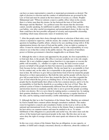can have as many representative councils or municipal governments as desired. The right of election or selection and the conduct of administration are governed by the Law of God and must be aimed at the best interest of society as a whole. Prophet Muhammad said: " Whoever entrusts a man to a public office where in his society there is a better man than this trustee, he has betrayed the trust of God and His Messenger and the Muslims". In a political sense this means that the electorate cannot, morally speaking, be indifferent to public events and that they, whenever they cast ballots, vote after careful investigations and premeditated choice. In this way the State could have the best possible safeguard of security and responsible citizenship, something which many democratic states of modernity lack

7. After the people make their choice through election or selection of their ruler, every citizen is enjoined to supervise, with his means, the conduct of the administration and question its handling of public affairs, whenever he sees anything wrong with it. If the administration betrays the trust of God and the public, it has no right to continue in office. It must be ousted and replaced by another, and it is the responsibility of every citizen to see it that this is done in the public interest. The question of hereditary power or lifetime government is therefore inapplicable to an Islamic State

8. Although the ruler is chosen and appointed by the people, his first responsibility is to God and, then, to the people. His office is not just symbolic nor is his role simply abstract. He is not a helpless puppet whose function is to sign papers or execute the public will invariably, i.e., whether it is right or wrong. He must exercise actual powers on behalf of the people for their best interest in accordance with the Law of God, because he has a dual responsibility. On the one hand, he is accountable to God for his conduct and, on the other, he is responsible to the people who have put their trust in him. He will have to give full account before God of how he treated his people themselves or their representatives. But both the ruler and his people will also have to give full account before God of how they treated the Qur' an, how they regarded the Law of God which He has given as a binding force. It is by his responsibility to the people that he should handle their affairs in the best common interest, and it is by his accountability to God that he should do so according to the Law of God. Thus, the political system of Islam is fundamentally different from all other political systems and doctrines known to mankind, and the ruler is not to govern the people according to their own desires. He is to serve them by making justice a common law, by making their genuine obedience to the Sovereign Lord of the universe a regular function of the state, and by making sound morality a noble undertaking of the administration

9. Although the Qur' an is the Constitution of the Islamic State, Muslims are ordained by God to handle their common affairs through consultative methods. This makes room for legislative councils and consultative bodies on the local as well as on the national and international levels. Every citizen in the Islamic State is enjoined to offer his best advice on common matters and must be entitled to do so. To insure fulfillment of this obligation in a practicable and useful way, the rulers must seek the advice of the learned and experienced people in the state. But this does not in any sense deny the right of average citizens who must speak out whenever the occasion arises

In this way every citizen of the Islamic State has an obligation, in one capacity, or another, to fulfill and is deeply concerned, directly or otherwise, about the conduct of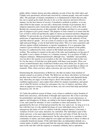public affairs. Islamic history provides authentic records of how the chief rulers and Caliphs were questioned, advised and corrected by common people, men and women alike. The principle of mutual consultation is so fundamental in Islam that not only has one to speak up his mind, but also to do so in the sincerest and most effective manner, for the best interest of society. Consultative methods in politics, or in any other field for that matter, are not only a democratic formula of government, but a religious injunction and a moral duty enjoined upon the rulers as well as the ruled. Besides his constant practice of this principle, the Prophet said that it is an essential part of religion to give good counsel. The purpose of such counsel is to insure that the Law of God is observed and that the rights of citizen are honored and their obligations fulfilled. To prevent the rise of professional politics and counteract the underground politicians of opportunist platforms, the Prophet, speaking on the authority of God, said that whoever speaks – be it in a form of counsel or any other form – must say the right and good things; or else he had better keep silent. This is to warn counselors and advisers against selfish inclinations or egoistic temptations. It is to guarantee that counsel is given with the sincerest intentions and in the best interest of the public, because it is authorized by God, carried on His behalf and aimed at the common welfare. The seeking of counsel on the part of the ruler and rendering it on the part of the public is not a matter of choice or a voluntary measure. It is an article of Faith, a religious ordinance. Muhammad himself, although wise, " infallible" and unselfish, was not above the maxim or an exception to the rule. God instructs him in this way : It is by the mercy of God that you dealt gently with them (your people). Were you severe or harsh-hearted, they would have broken away from about you. So pass over their faults, and ask for (God's) forgiveness for them; and consult them in affairs (of moment). Then, when you have taken a decision, put your trust (in Him) (3:159)

Enumerating the characteristics of Believers, the Qur' an makes clear mention of mutual counsel as an article of Faith. The Believers are those who believe in God and put their trust in their Lord, those who avoid the greater crimes and shameful deeds, and, when they are angry even then forgive; those who hearken to their Lord, and establish regular prayer, and conduct their affairs by mutual consultation, and spend out of what We bestow on them for sustenance (by way of charity); and those who, when an oppressive wrong is inflicted on them, (are not cowed but) help and defend themselves (42: 36-39)

10. Under the political system of Islam, every citizen is entitled to enjoy freedom of belief and conscience, and freedom of thought and expression. He is free to develop his potentialities and improve his lot, to work and compete, to earn and possess, to approve and disapprove of things, according to his honest judgement. But his freedom is not, and cannot be absolute; or else it amounts to chaos and anarchy. It is guaranteed by the Law of God and governed by the very same Law. As long as it is in line with this Law it is the rightful privilege of every individual citizen; but if it transgresses the limits of Law or conflicts with the common interest, it becomes a violation of God's Law must, therefore, be controlled. The individual is part of the whole universe, so he must adjust himself to the Law and order of God, the Law by which the entire universe is administered. On the other hand, he is a member of his community or nation, and must adapt his own rights and interests to those of others in a mutually beneficial manner. If the individual takes an independent attitude on a certain matter of public concern and finds the majority taking a different attitude, he must in the end side with the majority to maintain solidarity and co-operation,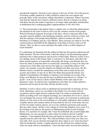provided the majority's decision is not contrary to the Law of God. Yet in the process of forming a public opinion he is fully entitled to express his own opinion and persuade others of his convictions without disturbance or distortion. When it becomes clear that the majority have chosen a different course, then he is bound to go along with them, because the matter in question is no longer under individual consideration or deliberation but is undergoing public implementation (3:102-105; 8:46)

11. The governorship of the Islamic State is a public trust, to which the administrators are entrusted by the word of God as well as by the common consent of the people. With God being the Supreme Sovereign of the State, whoever represents Him in the top office must be faithful to the Entrusting Authority, must be a believer in God. And with the majority of the people being Muslims, whoever assumes the office of Presidency or Caliphate must be a true Muslim. These measures are taken to serve the common interest and fulfill all the obligations of the State to God as well as to the citizens. They are able to secure and honor the rights of the so-called religious or racial minorities

It is unfortunate for humanity that this ruling of Islam has been poorly understood and badly distorted. The fact of the matter is that this ruling is not discriminating against minorities but is rather protective and assertive of their rights. Whoever wishes to be a law-abiding citizen of the Islamic State is welcome to it, and shares with others the duties and prerogatives of responsible citizenship. His being a non-Muslim does not lower his status or drop him down to second class citizenship, as long as he obeys the common Law of the State and exercises his rights in a responsible manner. If he wishes, for example, to pay the religious tax (Zakah) and other state taxes, like the Muslim citizens, towards the maintenance of the State and in return for his own security and welfare, he may do so. But if he thinks that paying the Islamic Tax (Zakah) is humiliating to his dignity or injurious to his feelings on account of his being a non-Muslim, he may pay his taxes in different form known as " tributes" or jizyah – so he in fact enjoys a choice which Muslims of the same state do not themselves enjoy. In return for his contributions to the State, he is fully entitled to protection and security by the State officials and the society

Similarly, if such a citizen wants to administer his personal life of marriage, divorce, foods, inheritance, and so on, according to the Islamic Law, his desire must be recognized, and his rights must be respected. But if he wishes to administer these affairs according to his own religious teachings, he is absolutely free to do so, and no one can hamper the exercise of his rights in that respect. So in personal or sentimental matters, he may resort to his own teachings or to the public regulations. But in matters of public interest and common affairs he must abide by the Law of the State, the Law of God. No matter what he chooses, he is no less entitled to protection and security than any other citizen. All this is not a dream of a heavenly kingdom yet to come. It is the teaching of the Qur'an, the practice of Muhammad and the record of Islamic history. It is reported, for example, that 'Umar ibn al-Khattab, the second Caliph after Muhammad, was once passing by a place where he found an old Jew in pitiful condition. 'Umar inquired about the man and found out what his state was like. In a regretful tone he said to the man: " We collected tributes (taxes) from you when you were able. Now you are deserted and neglected. How unjust to you 'Umar has been!" After he finished his remark, a regular pension for the old man was ordered and the order was made effective immediately. 'Umar and other rulers received their political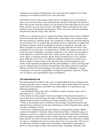orientation at the hands of Muhammad, who in turn had been taught by God. These teachings are recorded in the Qur' an in verses like these:

God forbids you not, with regard to those who do not fight you for (your) Faith nor drive you out of your homes, from dealing kindly and justly with them. For God loves those who are just. God only forbids you with regard to those who fight you for (your) Faith, and drive you out of your homes, and support others in driving you out, from turning to them for friendship and protection. Those who turn to them for friendship and protection are the wrong- doers (60:8-9)

Finally, it is a categorical error to compare the Islamic State and its need for a Muslim head with secular state where it is, theoretically, conceivable to have a head of state who may belong to a minority group. The comparison is fallacious and misleading for several reasons. First, it assumes that secularism, however superficial, is sounder than the Islamic ideology. Such an assumption or premise is pretentious. Secondly, the duties and rights of a head of state under Islam are quite different from those of his counterpart in a secular order, as outlined above. Thirdly, the modern secular spirit is for the most part a redemptive, apologetic restitution, a case which does not apply to Islam. Moreover, a head of secular state, if there can be a real one, may belong to a racial, ethnic, or religious minority. But he almost invariably has to join a majority party. What this does in fact is to substitute a political majority for a religious one, which is hardly an improvement of the minority status as such. Furthermore, the whole secular argument presupposes that the state headship is a right or privilege that may be conferred upon or denied to the individual. The Islamic position is radically different. In Islam, the state headship is first and foremost an obligation, a trying commitment, an awesome responsibility. It would be inequitable, therefore, if Islam were to impose such responsibilities upon non-Muslims.

#### *The International Life*

The international life in Islam is the course of relationships between an Islamic state or nation and other states or nations. Like the other aspects of the Islamic life, this one stems from Divine guidance and follows the Godly pattern. It is laid down on the following foundations:

1. An unshakable belief in the unity of mankind in origin, in human status, and in aims (Qur'an, 4:1; 7:189; 49:13);

2. Due respect for other people's interests and rights to life, honor and property, as long as they do not encroach upon the rights of Muslims. This is because usurpation, transgression and wrong of all kinds are strictly forbidden (2:190-193; 42:42);

3. Peace as the normal course of relations, with exchange of goodwill missions and mutually honest endeavors for the sake of humanity in which all people share equally (see above and Our'an,  $8:61$ );

4. Intolerance of appeasement and encroachment in international relations. Should someone be tempted to violate the rights of the Islamic State, or disturb its peace, or endanger its security or exploit its peaceful policies, the State must hasten to defend itself and suppress all attempts of such a nature. Only here, under such circumstances, Islam justifies war. But even then there are moral principles to be followed to confine its scope to a minimum and carry its course only as far as it is necessary. The Law of war and peace in Islam is highly moral and unique, comprehensive and sound, it deserves a special study by jurists and moralists alike, something which this work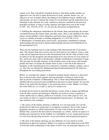cannot cover. But it should be remarked, however, that Islam neither justifies an aggressive war, nor does it make destruction of crops, animals, homes, etc., an objective of war. It neither allows the killing of non-fighting women, children and aged people, nor does it tolerate the torture of war prisoners and the imposition of its teachings on the defeated. It is only a defensive measure, justified by the practical principles of Islam, as long as wrong, injustice and aggression exist in the world (2:190 - 195, 216:218; 22:39 - 41; see also the discussion on Jihad below);

5. Fulfilling the obligations undertaken by the Islamic State and honoring the treaties concluded between the Islamic State and other states. This is only binding if the other parties remain faithful to their obligations and honor their treaties. Otherwise, there can be no validity of treaties or binding obligations (5:1; 8:55-56; 9:3-4); 6. Maintenance of internal peace and security, and genuine contribution to human understanding and universal to human understanding and universal brotherhood on the international level

These are the inspiring sources in the making of the international life of an Islamic state. The Islamic State does not live just for itself and its own subjects. It has a wide scope and an important mission in the international field. By the order of Islam it has to endeavor for the prosperity and advancement of its own citizens in every aspect of life, and by the same order it should make valuable contributions to humanity at large. This provides for friendly relations, in the broadest sense of the word, with friendly people and states. It enjoins the Islamic State to play a vital role in the interest of humanity on the international level in education, economics, industry, politics, and so on. This role was initiated by Muhammad himself and maintained by his followers throughout the succeeding generations

Before we conclude this chapter, it should be pointed out that whatever is discussed here is based on the sound, genuine and true principles of Islam as stated in the Qur' an and the Traditions of Muhammad. This is Islam which Muhammad and his faithful followers practiced and exemplified in the most excellent manner. It is not the Islam of any particular theologian or any particular jurist or ruler. Rather, it is Islam, the writer believers, as it really is, and as it is meant to be

It should also be borne in mind that the Islamic system of life is unique and different from all other systems and ideologies. Whether one looks at it from a spiritual or moral, intellectual or cultural, political or economic or any other point of view, one can readily see that it is marked with distinguished characteristics. To illustrate, one may mention a few examples:

1. The source of the Islamic ideology is different. It is not man-made. It is not the production of subversive politicians or revengeful economists. Nor is it the work of pragmatic moralists or selfish industrialists. It is the work of God, the art of the Infinite One, created in the best interest of humanity as a whole. And by its nature it is binding and venerated by all the faithful. It is intelligible to every sound mind because it is free from the puzzling mysteries, secret reservations and arrogated prerogatives

2. The aims of the Islamic ideology are also different. It is not aimed at world domination or physical expansion. Rather, it is aimed at world submission to the Will of God and world confinement to the limits of God's Law. Its principal objective is to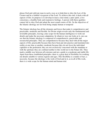please God and cultivate man in such a way as to help him to obey the Law of the Creator and be a faithful vicegerent of the Lord. To achieve this end, it deals with all aspects of life; its purpose is to develop in man a clear mind, a pure spirit, a live conscience, a healthy body and responsive feelings. A person with these qualities cannot fail to obey God and adopt the most sound course of life. So the objectives of the Islamic ideology are far from being simply human or temporal

The Islamic ideology has all the elements and forces that make it comprehensive and practicable, moderate and flexible. Its Divine origin reveals only the fundamental and inviolable principles, leaving a due scope for the human intelligence to work out details and make the necessary adaptation. In whatever way one looks at it, one can see that the Islamic ideology is composed of comprehensive, practicable and resourceful principles. They are comprehensive because they deal with all the major aspects of life; practicable because they have been put into practice and translated into reality at one time or another; moderate because they do not favor the individual capitalist or the proletariat; they are not exclusively concerned with the mundane or with the spiritual; they are confined neither to this world nor to the Future life. They mark a middle way between all extremes and are a guide to a moderate and stable life. Apart from these established principles, there is a great deal of flexibility for working out details suitable to various regions and ages. This flexibility is a matter of fact, a necessity, because the ideology is the work of God and in it, as in all of His work, there is a wide scope for the human mind and human trial.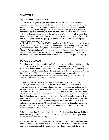# **CHAPTER 5**

# *DISTORTIONS ABOUT ISLAM*

This chapter is designed to deal with certain aspects of Islam which have been forgotten by some Muslims and distorted by practically all others. An effort will be made here to present these aspects in their true light and clear picture. In so doing, there is no attempt to be apologetic, for Islam needs no apology. Nor is there any intention to appease, condemn, or flatter anybody, because Islam does not tolerate such things but commands a straightforward course of thought as well as deed. The purpose, therefore, is to find out the truth about these aspects, present it afresh to the non-Muslin mind, and let everybody see and decide for himself, like intelligent, responsible rational beings,

Muslims living in the Western World or familiar with the Western literature are often confronted with surprising inquiries and shocking remarks made by some Westerners. Questions of the "Holy War", the "Anti-Jesus Islam", "Polygamy", "Divorce", "Status of Women in Islam", and so on, are the most frequent ones. And it is in the service of truth, and for the sake of the honest people among those innocent and misinformed inquirers, that the attempt is made to examine these questions briefly.

# *The Holy War ( Jihad )*

Was Islam spread at the point of sword? Was the Muslim emblem "The Qur'an or the sword?" Were the Muslims imperialist and after mundane power or loot ? Some people like to think about that in affirmative terms; some others in the negative, and some are undecided, perplexed and reluctant. But where does the Qur'an stand? What does the history of Muhammad reveal in this connection? It is certainly imperative on every honest person who has respect for truth and human dignity to find out for himself, and to reveal his findings to others

The Qur'an makes it clear that, whether we want it or not, war is a necessity of existence, a fact of life, so long as there exist in the world injustice, oppression, capricious ambitions, and arbitrary claims. This may sound strange. But is it not a matter of historical record that humanity – from the early dawn of history up till now – has suffered from local, civil and global wars? And is it not also a fact that, more often than not, victorious allies settle their disputes over their gains and the status of their defeated enemies through wars and threats of war? Even today humanity lives under constant fear and buzzes of war over many hot spots in the world. Could God overlook these facts of life? Or could the Qur' an fail to deal with the matter in a realistic and effective manner? Certainly not! And that is why Islam has recognized war as a lawful and justifiable course for self- defense and restoration of justice, freedom and peace. The Qur'an says:

Fighting is prescribed for you, and you dislike it. But it is possible that you dislike a thing, which is good for you, and that you love a thing, which is bad for you. God knows, and you know not (2:216)

And did not God check one set of people by means of another, the earth would indeed by full of mischief: But God is Full of bounty to all the worlds (2:251). And did not God check one set of people by means of another, there would surely have been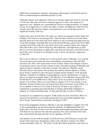pulled down monasteries, churches, synagogues and mosques in which the name of God is commemorated in abundant measure (22:40)

Although realistic in its approach, Islam never tolerates aggression from its own side or from any other side, nor does it entertain aggressive wars or the initiation of aggressive wars. Muslims are commanded by God not to begin hostilities, or embark on any act of aggression, or violate any rights of others. In addition to what has been already said in the previous chapter, some particular verses of the Qur' an are of significant bearing. God says:

Fight in the cause of God those who fight you, and do not transgress limits (begin not hostility): For God loves not transgressors. And slay them wherever you catch them, and turn them out from where they have turned you out; for tumult and oppression are worse than slaughter; but fight them not at the Sacred Mosque, unless they (first) fight you there; but if they fight you, slay them. Such is the reward of those who suppress faith. But if they cease, God is Forgiving, Most Merciful. And fight them on until there is no more persecution or oppression, and there prevail justice and faith in God; but if they cease, let there be no hostility except to those who practice oppression (2:190-193)

War is not an objective of Islam nor is it the normal course of Muslims. It is only the last resort and is used under the most extraordinary circumstances when all other measures fail. This is the actual status of war in Islam. Islam is the religion of peace: its meaning is peace; one of God's names is peace; the daily greetings of Muslims and angels are peace; paradise is the house of peace, the adjective 'Muslim' means Peaceful. Peace is the nature, the meaning, the emblem and the objective of Islam. Every being is entitled to enjoy the peace of Islam and the kindness of the peaceful Muslims, regardless of religious or geographical or racial considerations, so long as there is no aggression against Islam or the Muslims. If non-Muslims are peaceful with the Muslims or even indifferent to Islam, there can be no ground or justification to declare war on them. There is no such thing as religious war to force Islam on non-Muslims, because if Islam does not emerge from deep convictions, from within, it is not acceptable to God, nor can it help its professor. If there is any religion or constitution to guarantee peaceful freedom of religion and forbid compulsion in religion, it is Islam and Islam alone. To this point the Qur'an refers as follows:

Let there be no compulsion in religion: Truth stands out clear from Error; Whoever rejects Evil and believes in God has grasped the most trustworthy handhold, that never breaks, And God hears and knows all things (2:256)

Even in the propagation of Islam a Muslim is not only forbidden to employ force but is also commanded to use the most peaceful methods. To Muhammad God says: Invite (all) to the Way of your Lord with wisdom and beautiful preaching; and argue with them in ways that are best and most gracious: For your Lord knows best who have strayed from His path and who receive guidance (16:125)

And dispute you not with the people of the Book (Jews and Christians) except with means better (than mere disputation), unless it be with those of them who inflict wrong (and injury): But say: 'We believe in the Revelation which has come down to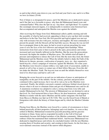us and in that which came down to you; our God and your God is one; and it is to Him we bow (in Islam) (29:46)

Now if Islam is so designated for peace, and if the Muslims are so dedicated to peace, and if the Qur' an is favorable to peace, why then did Muhammad launch wars and command battles? Why does the Qur' an say 'slay them' and fight them? To examine this seemingly innocent inquiry, it is indispensable to mention some historical facts that accompanied and anticipated the Muslim wars against the infidels

After receiving the Charge from God, Muhammad called a public meeting and told the assembly of what he had received, appealing to them to give up their idol-worship and believe in the One True God. His first peaceful and logical appeal was met not only with resistance but also with jeers, mockery and laughter. He tried continually to present his people with the blessed call but had little success. Because he was not left free to propagate Islam in the open, he had to resort to private preaching for some years to save the lives of his few followers and mitigate their hardships. When instructions from God came to him to preach in the open, persecutions and torture increased and were brutally inflicted on the Muslims. But the more the persecutions increased, the higher the number of Muslims arose. The infidels tried all kinds of pressure and temptation to silence the Call of God. But the more they tried, the firmer Muhammad and the Muslims stood. When the infidels failed to shake the Faith of the Believers by threats, pressure, confiscation of property, jeers, etc., they organized a harsh boycott, a fierce campaign of ostracism, against the Muslims. For some years the Muslims were forced to remain within a very tight circle of association, unable to preach or sell or buy or marry or contact any of their fellow Meccans. Even this did not shake the Muslims' Faith. The boycott went on until the infidels themselves were tired of its observance and had to call it off

Bringing the severe boycott to an end was no indication of peace or anticipation of tranquillity on the part of the infidels. On the contrary, pressure and persecution continued with a rapid increase, but it was all in vain as far as the Muslims were concerned. Finally, the infidels convened a summit conference behind closed doors to discuss what to do next to eliminate Islam and get rid of Muhammad once and for all. A unanimous resolution was adopted to select a strong man from every tribe and murder Muhammad in his bed. The mission of Muhammad was not destined to end at that level. So, God instructed him to leave Mecca, his dear hometown, and migrate to Medina to reunite with the native Muslims and the earlier emigrants who had fled from Mecca to Medina (see Qur' an 8:30; 9:40). This was the Great Event of Hijrah or Emigration with which the history of Islam began and by which the Muslim Calendar goes

Fleeing from Mecca, the Muslims were forced by a variety of circumstances to leave behind practically all their properties, belongings and even families. As soon as they settled in Medina, Muhammad resumed his peaceful preaching and his gracious invitation to Islam. Some natives responded favorably to the Call of God and immediately became full-fledged members of the Muslim community. Others did not embrace Islam but maintained their traditional beliefs. And because Muhammad was dedicated to dignified peace and reform, he concluded treaties with the non-Muslims assuring them of freedom and security, and creating in their hearts, for the first time, a socio-national conscience instead of the narrow tribal allegiance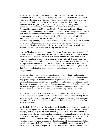While Muhammad was engaged in these reforms, trying to organize the Muslim community at Medina and lay down the foundations of a stable and peaceful society wherein Muslims and non- Muslims could live side by side, the enemies at Mecca were restless. Their hatred of the Muslims was burning, and their determination to eliminate Islam was getting stronger and stronger every day. They reviewed their tactics and as soon as they completed their new plans, they started to implement them. They decided to make trouble for the Muslims from within and from without. Plundering and fighting raids were organized to attack Medina and get back to Mecca with whatever loot they could lay their hands on. The non-Muslims at Medina were getting increasingly envious of the popularity of Islam and the novel spirit of brotherhood among the Muslims, something which they themselves did not experience or particularly like to see experienced. So, the enemies at Mecca hastened to exploit the situation and stir internal troubles for the Muslims. The response of the envious non-Muslims of Medina to the instigation of the Meccans was quick and manifest, and serious troubles were arising all over Medina

Now the Muslims were being constantly threatened from within by the disenchanted at Medina as well as by the raids organized from Mecca. They were driven to a point where they could not stand any more persecution and threats. Their families were separated from them by force. Their properties were confiscated. Their blood was shed. They were forced to leave their dear hometown in three waves of migration: two to Abyssinia and one to Medina. They endured for over thirteen years. With the new tactics of the Meccan enemies there was no course for the Muslims except to await their final annihilation in a plural massacre or defend themselves against oppression and persecution

It must have been a paradox. Islam came to assure them of dignity and strength, freedom and security, and to ally them with God the Supreme Source of goodness and help, power and peace. Yet here they were helpless and anxious, threatened and terrified. Islam commissioned them to establish peace, to enjoin the right and forbid the wrong, to support the oppressed and emancipate the subjugated, and to prove how reliable and helpful to His servants God is. But how could they do that, if they themselves were oppressed, subjugated to terror and projected to helplessness?

What perplexed them most of all was that the Qur'an had been silent on the matter, and had given them no specific instructions as to what to do. Their perplexity did not last long, and God relieved their grief by a Divine resolution to solve their problems and those of any who might find themselves in a similar situation. Here is how God words His resolution:

Verily God will defend those who believe: Verily God loves not any that is a traitor to faith or shows ingratitude. To those against whom war is made, permission is given (to fight), because they are wronged; and verily, God is Most Powerful for their aid; (they are) those who have been expelled from their homes in defiance of right, (for no cause) except that they say: ' Our Lord is God' . Did not God check one set of people by means of another, there would surely have been pulled down monasteries, churches, synagogues, and mosques, in which the name of God is commemorated in abundant measure. God will certainly aid those who aid His (cause); for verily God is Full of strength, Exalted in Might, (Able to enforce His Will). (They are) those who,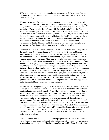if We establish them in the land, establish regular prayer and give regular charity, enjoin the right and forbid the wrong. With God rests the end (and decision) of all affairs (22:38-41)

With this permission from God there was no more persecution or oppression to be inflicted on the Muslims. There was resistance from their side to restore tranquillity, to regain their peace and freedom, to reunite with their families and take back their belongings. There were battles and wars with the malicious infidels who flagrantly denied the Muslims peace and freedom. But never was there any aggression from the Muslim side, or any destruction of homes, crops, supplies, etc., or any killing of nonfighting children, women, elders and disabled people. The Muslims observed these rules and remained within the limits of God. That was something which had never been experienced before nor has been experienced after. It was under these circumstances that the Muslims had to fight, and it was with these principles and instructions of God that they in the end achieved decisive victories

So much has been said or written about the " ruthless" Muslims, who emerged from the burning and dry deserts of dark Arabia to conquer the Roman and Persian protectorates, and even to venture around the walls of Europe. Many have expressed the opinion that those Muslims were motivated by religious zeal to spread Islam by force as far as they could reach. Many others consider this opinion silly and naive, because Islam - by its nature - cannot be forced; and even if it were supposedly forced on the conquered people, it could not have lasted there for long, and non-Muslims would have been liquidated from the conquered regions. History bears witness to the fact that wherever Islam reached it survived – with the exception of Spain on account of certain reasons, and that wherever the Muslim conquerors went, they lived side by side with non-Muslim natives. Moreover, they argue, one cannot force a religion like Islam on anyone and find him so sincere and honest about his faith as were those Muslim converts of the new lands. It needs more than compulsion to develop such good Muslims out of a defeated people, and it requires much more than suppression to make them uphold and cherish the "forced" religion

Another trend of thought is adopted by some who like to call themselves intellectuals or enlightened critics and authorities. They are not satisfied with that silly and naive opinion about the spread of Islam by force. They attribute the expansion of Islam to the aggressive wars launched by Muslims who suffocated in the heat and drought of Arabia, and were simply motivated by economic needs and circumstances. Those wars and adventures were not religious or spiritual but merely the outcome of pressing wants. This may indicate that the Arabs had not arisen to such a high level of sacrifice and devotion, or that after the death of Muhammad, his successors and their successors lost interest in religion altogether and took off to satisfy their immediate wants. It may also indicate that Islam itself is incapable of generating such fervor and zeal in those Muslim Arab warriors. The indication here is manifold, and the "intellectuals" of this opinion are uncertain as to which probability should have preference over others

There is still one more trend adopted by some people who ascribe the Muslim wars out of Arabia to passionate lust for plunder and raiding. They cannot see any motive or appreciate any appeal in the Muslims except hunger for blood and desire for loot.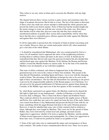They refuse to see any virtue in Islam and to associate the Muslims with any high motives

The dispute between these various sections is quite serious and sometimes takes the shape of academic discussion. But be that as it may. The fact of the matter is that none of these critics has made any serious attempt to understand the whole question and present the truth in any honest manner. None of them has had the needed insight and the moral courage to come out with the true version of the entire case. How heavy their burden will be when they discover some day that they have misled and misinformed millions of people! How serious their responsibility will be when they know that they have committed grave offenses against the truth, against the Muslims and against their own followers!

It will be impossible to present here the viewpoint of Islam in detail concerning each war or battle. However, there are certain main points which will, when mentioned, give a fair idea of the whole Matter

1. It should be remembered that Muhammad, who was commissioned by God as a mercy for all mankind, tried to approach the rulers of the neighboring territories, inviting them to embrace Islam and share in the mercy of God. It should also be remembered that they did not only reject his gracious invitation but also derided him and declared open wars against the Muslims. In his lifetime the Roman and Persian soldiers crossed the Muslim borders in various raids. So by the time of his death the Muslims were involuntarily at war with their neighbors

That state of affairs continued, and whatever happened later in the following generations has to be seen in the context of those first incidents. This meant at the time that all Christendom, including Spain and France, was at war with the emerging world of Islam. The adventure of the Muslims in Europe has also to be seen in the light of these circumstances. The fact that all christendom was operating as one power is proven by the unquestionable authority of the Roman papacy over Christians. It is also proven by the general mobilization of Christian powers against Islam during the Crusades of the Middle Ages and even of the first quarter of this twentieth century

So, when Rome sanctioned war against Islam, the Muslims could not be denied the full right to fight back on any battleground – whether in Palestine or in the Fertile Crescent, Italy or Hungary. This is what took them to Spain and Southern France. They could not afford to be encircled from all around by the mighty power of Rome and Persia. Nor could they just wait to be wiped out from the face of the earth. Orders were issued from Rome to slay Muhammad and present the Royal Court with his cut head, something which the pagan Romans had done to the early Christian pioneers. However, it must be admitted that some wars of later centuries had no relation to Islam, although they were fought by Muslims. They were not for the spread of Islam. Rather, they were motivated by certain local and, perhaps, personal reasons. Aggression is aggression, whether it be from or against the Muslims, and the attitude of Islam toward aggression is known and unchangeable. So, if there was aggression in those later wars, it could not be justified by Islam or acceptable to God

2. None of the said critics tries to understand the nature and circumstances of those early centuries. The media of mass communication did not exist. There was no press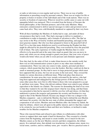or radio or television or even regular mail service. There was no way of public information or preaching except by personal contacts. There was no respect for life or property or honor or treaties of the individuals and of the weak nations. There was no security or freedom of expression. Whoever stood for a noble cause or came out with unpopular beliefs was menaced. This is revealed from the history of Socrates the Greek philosopher, of the Christian pioneers, and of the early Muslims. Many emissaries commissioned to deliver special messages to rulers and governors never came back alive. They were cold-bloodedly murdered or captured by their very hosts

With all these hardships the Muslims of Arabia had to cope, and under all these circumstances they had to work. They had a message to deliver to mankind, a contribution to make to humanity, and a formula of salvation to offer. The Qur' an says invite to the Way of God by wisdom and beautiful preaching, and argue in the most gracious manner. But who was there prepared to listen to the peaceful Call of God? It is a fact that many disbelievers used to avoid hearing the Prophet lest they might be affected by his peaceful preaching. They even resisted by force the peaceful Call of Islam. The early experience of Arabia taught the Muslims that it is more effective to be peaceful and at the same time stand on guard; that you can move in peace only when you are strong enough to guard your peace; that your voice of peace would echo better when you are able to resist pressure and eliminate oppression

Now they had, by the order of God, to make Islam known to the outside world, but there was no telecommunication system or press or any other mass medium of communication. There was only one course to take, namely, personal and direct contacts, which meant that they had to cross the borders. But they could not do that in small or unarmed groups. So they had to move in large protected groups which must have appeared like an army, but was not an army in the real sense. They crossed the borders in various directions at different times. What took place then deserves consideration. In some areas they were warmly welcomed by the natives, who had long been oppressed and subjugated by the foreign powers of Rome and Persia. In some other areas they were first to offer Islam to those who were prepared to accept it, and there were many. Those who did not embrace Islam were asked to pay tributes equivalent to the Islamic tax (Zakah). The reasons for demanding the kind of tax were (i) that they wanted to be sure this taxpayer knew what he was doing, and that Islam was presented to him but he rejected it with his own free will and choice; (ii) that they undertook to protect the taxpayer and guarantee his security and freedom in a way equal to that of the Muslim himself, because any danger to him was a danger to his Muslim compatriot – and, to defend the Muslim, they had to defend the non-Muslim and insure his security; (iii) that the new state of affairs demanded the support and cooperation of all sectors, Muslims and non-Muslims alike: the former by Zakah, the latter by tributes, which were all spent in the public interest; and (iv) that they wanted to be certain he was not hostile to them and their new brethren, or inclined to make troubles for his Muslim compatriots

Those who rejected Islam and refused to pay tributes in collaboration with other sectors to support their state made it hard for themselves. They resorted to a hostile course from the beginning, and meant to create trouble, not so much for the new Muslim comers as for the new Muslim converts and their compatriots, the tributepayers. In a national sense, that attitude was treacherous; in a human sense, mean; in a social sense, careless; and in a military sense, pro- vocative. But in a practical sense it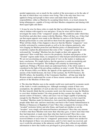needed suppression, not so much for the comfort of the newcomers as for the sake of the state in which these very traitors were living. This is the only time force was applied to bring such people to their senses and make them realize their responsibilities: either as Muslims by accepting Islam freely, or as loyal citizens by being tributepayers, capable of living with their Muslim compatriots and sharing with them equal rights and duties

3. It may be wise for these critics to study the Qur' an with honest intentions to see what it ordains with regard to war and peace. It may be wiser still for them to investigate the status of the "conquered" people, and the conditions under which they lived before and after their contact with the Muslims. What will they say, if they find out that urgent appeals were made to the Muslims by natives of the Persian and Roman protectorates to come and deliver them from the oppressing foreign rule? What will they think, if they happen to discover that the Muslim "conquerors" were joyfully welcomed by common people as well as by the religious patriarchs, who were longing for Muslim protection and Muslim justice of administration? How would they explain the phenomenon that some of the "conquered" people not only welcomed the "invading" Muslims but also fought on their side against the oppressors? How would they conceive the prosperity, freedom and progress of the " invaded" regions under Islam, in comparison to what had prevailed therein before? We are not ascertaining any particular point of view on the matter or making any hasty conclusions. We simply believe that the question is worth reconsidering and deserves serious investigation. The findings will certainly by interesting and significant. Perhaps a Western mind can understand better, if the whole matter is considered in the light of the prevailing conditions in today's world. The deep concern of the Western Allies over Berlin, the appeals of the oppressed everywhere, the anxiety of the South Koreans, the fears of the Laotians, the NATO business, the SEATO affairs, the Instability of the Communist Satellites - all that may help the Western mind to understand the events of those remote centuries and the actual policies of the Muslims of those days

4. The idea that Muslim wars in the outside world were motivated by economic needs of the Arabs is worth considering too. Although seemingly certain of their own assumptions, the upholders of such an idea have not really studied the case seriously. Do they honestly think that the economic needs were the reasons to urge the Muslims to cross their Arabian borders? On what ground do they assume that Arabia – with its ancient centers of business, valleys and oases–was no longer capable of producing enough for the Muslims? Have they made any serious inquiry as to how much the " invading" Muslims made for themselves, how much they distributed among the people under their rule, and how much they sent back to the Central Administration in Medina or Damascus or Baghdad or Cairo? Have they compared the revenues of the " invaded" territories before and after Islam, and found out whether or not the " invaders" were simply self-interested business adventurers? Have they any reasons to believe that those Muslims took more than what they gave, or drew more than what they had deposited, or made more than what they had invested? Have they come across any evidence to prove if the Central Government in Arabia had at any time received tributes or taxes from its "conquered" protectorates which were needed for the development of these very protectorates, and if so how much was received, and was it worth the adventure in the unknown world? Have they collected any reliable information to show that Arabia was privileged or given preference, in expenditures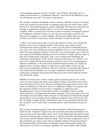or development programs over the "invaded" areas? Finally, did Arabia, all of a sudden feel the threat of a "population explosion" which forced the Muslims to carry out adventurous wars and / or economic explorations?

The attempt to interpret the Muslim contacts with non- Muslims in terms of economic needs may sound novel and worthy of sympathy, but it does not seem to have much truth in it or carry much bearing on serious scholarship. The least reservation that can be made as regards this attempt is that it is so far from being satisfactory and complete. There is so much yet to be done in terms of research, investigation, analysis and comparison. Until this is done, no critic has any moral right to pass his own theoretical assumptions as valid or binding. This presents another gracious invitation of Islam to all critics to make more serious attempts to search for the truth

5. There is not much need to take as serious the opinions of those who consider the Muslim wars in terms of plunder and loot. What can be more casual or more stereotyped than such an opinion? It is a short cut in the field of scholarship and an easy way out of some Intellectual and moral problems, but it is so far from being the truth. The same questions of points 3 and 4 above can be asked again, just to find out how much loot the Muslim adventurers took or sent back to Arabia, and how many of their men returned home with spoils. This is not to mention the flourishing, the renaissance and prosperity of the "looted" territories under these very "looters". It is not even to mention the harsh persecutions and heavy losses of lives and properties inflicted on Muslims, or the provocation and threats hurled at them. It is simply an appeal to those of such an opinion to make more careful studies of the case and present more responsible conclusions. However, they have to remember that whatever loot collected by the Muslims was very little compared to what they had lost by confiscation, usurpation, persecution and other provocative action inflicted on them from the hostile camps

Whether or not the critics of these various grades accept the point of view of this survey, the fact remains that Islam is the religion of peace in the fullest sense of the term; that unjust war was never among its teachings; that aggression was never in its tenets or tolerated by it; that force was never employed to impose it on anyone; that the expansion of Islam was never due to compulsion or oppression; that misappropriation was never forgivable by God or acceptable to Islam; and that whoever distorts or misrepresents the Islamic teachings will do more harm to his own self and his associates than to Islam. Because it is the religion of God and the straight path to Him, it survived under the most difficult conditions, and it will survive to be the safe bridge to happy eternity. Should these critics have any doubt about this fact, they would be wise to study Islam, re-read the Qur' an, and refresh their memory of history

The fact that economic prosperity and cultural renaissance followed the spread of Islam into the "conquered" regions does not necessarily mean that the Muslims were after economic gains and military spoils. Even if such alleged gain and spoils became incentives in later periods of Islamic history, it still does not follow that Islam prefers war to peace and the Muslims relish war spoils. There are better explanations. One of these should be very clear to those who are familiar with the classical discussion of The Protestant Ethic and the Spirit of Capitalism where Protestantism, along with other factors, led to the rise of modern capitalism. No serious mind would contend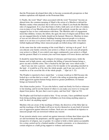that the Protestants developed their ethic to become economically prosperous or that modern capitalism still depends on the Protestant Ethic

6. Finally, the word "Jihad" when associated with the word " Terrorism" become an abused term; the common meaning of Jihad is the action of a Muslim to defend his Muslim country when attacked, but it will never be a Jihad if you break the Muslims rules of engagement. It is a fact that Islam is both a faith and a set of rules of conduct, even in times of war Muslims are not allowed to kill anybody except the one who is engaged in face to face confrontation with them. The Muslims rules of engagement insist that children, women, the infirm, the aged, the men of religion and all those who are not engaged directly in battle should not be harmed. Moreover, Muslims in times of war are not allowed to destroy buildings housing innocent people or to destroy lands or to cut trees or to poison wells or to endanger the environment. Also Islam forbids haphazard killing where innocent people are killed along with wrongdoers

At the same time the wide meaning of the word Jihad is 'striving to do good' . So if you educate your family correctly your action is a Jihad, if you do your job properly your action is a Jihad, if you control your anger continuously your action is a Jihad, and the greatest Jihad is to restrain your soul from impure evil lower desires and lusts

It should be stated that Islam, the religion of tolerance and forgiveness, holds the human soul in high esteem, and considers the killing of innocent human beings a grave sin and a terrible crime; This is backed by the Qur' anic verse which reads: " … that if any one slew a person – unless it be for murder or for spreading mischief in the land – it would be as if he slew the whole people, and if any one saved a life, it would be as if he saved the life of the whole people..." (Qur'an 5: 32)

The Prophet is reported to have stated that: ' a woman would go to Hell because she locked up a cat that died as a result '; If such is the ruling on protecting animals, no doubt aggression against human beings deserves greater prohibition, for human beings are honored by God

Also Islam teaches justice: "O you who believe, stand out firmly for God as witnesses to fair dealing; and let not the hatred of others to you make you swerve to wrong and depart from justice. Be just; that is next to piety, and fear God." (Qur'an 5:8)

The Prophet said God had revealed to him: "O my servants, I have prohibited myself from doing anything unjust and have forbidden you from doing anything unjust as well. So don't do anything unjust"

Muslims who are aware of the teachings of Islam, the directives of the Holy Qur'an and the teachings of the Prophet will never involve themselves in any kind of terrorist acts of aggression against innocent civilians. Such acts are considered an injustice to innocent people who are terrorized without any reasons

If any terrorist attacks were carried out against innocent civilians then Islam reject the act and incriminate the perpetrator, and the aggressor deserves the punishment irrespective of religion, race or gender. It is unfair to hold a whole nation accountable for a crime carried out by a limited number of fanatic extremists, or to characterize a certain religion as a faith giving support to violence and terrorism.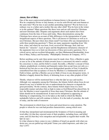## *Jesus, Son of Mary*

One of the most controversial problems in human history is the question of Jesus. Was he completely Divine or only human, or was he semi-Divine and semi-human at the same time? Was he true or just another pretending impostor? Was he born in an ordinary way to a father and a mother like any other child? Was he born in the winter or in the summer? Many questions like these were and are still raised by Christians and non-Christians alike. Disputes and arguments about such matters have been continuous from the time of Jesus until today. Many denominations among the Christians have arisen on account of little differences in the interpretation of some insignificant aspects of these questions. This is all known to Christians as well as to non-Christians. But just where does Islam stand? Can Islam offer any interpretation to settle these perplexing questions? ( There are many arguments regarding Jesus' life: how, when, and where he was born, lived, received his Message, died, and was buried; his " miracles". Lack of space and the blasphemous defamatory character of the arguments force us to limit our discussion of these provocative questions. For a critical survey and an excellent biliography, see Qazi Muhammad Barakatullah, Jesus Son of Mary, Fallacy and Factuality - Philadelphia: Dorrance & Company, 1973.)

Before anything can be said, three points must be made clear. First, a Muslim is quite at ease as far as the attitude of Islam towards Jesus is concerned; his mind is settled, his conscience is clear, and his belief is sound. Secondly, a Muslim's concept of God, religion, prophethood, revelation and humanity makes him accept Jesus not only as a historical fact but also as one of the most distinguished apostles of God. It should be remembered here that acceptance of Jesus by Muslims is a fundamental article of Faith in Islam, and that a Muslim can never think of Jesus in any derogatory terms. A Muslim is happily denied the liberty of defaming Jesus or any other prophet of God

Thirdly, whatever will be mentioned here is what the Qur' an says and teaches. Although very unpopular among the Christians, the Islamic beliefs about Jesus do not intend in any way to belittle his role or underestimate his character or degrade his great personality. On the contrary, these Islamic beliefs depict Jesus in a most respectable manner and place him as high in status as God Himself has placed him. In fact, the Muslim is more respectful of Jesus than many Christians. But the attitude of Islam should not be misunderstood. It must not be interpreted as appeasing or flattering or compromising. It is to be taken as the truth in which the Muslim unshakably believes and will continue to believe. It is the truth of yesterday, the truth of today, and the truth of tomorrow

The environment in which Jesus was born and raised deserves some attention. The people to whom he was sent had peculiar characteristics, among which were:

(I) that they interpolated and misinterpreted the Scriptures of God in meaning and word alike; (ii) that they rejected some of their prophets, including Jesus, and killed some; and (iii) that they were outspoken and irresponsible as regards their wealth. The Qur'an says :

Is it that whenever there comes to you ( children of Israel) an apostle with what you desire not, you are puffed up with pride? Some you called impostors, and other you slay! (2:87)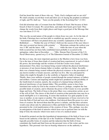God has heard the taunt of those who say: 'Truly, God is indigent and we are rich!' We shall certainly record their word and (their act) of slaying the prophets in defiance of right, and We shall say: ' Taste you the penalty of the Scorching Fire!' (3:181)

God did aforetime take a Covenant from the Children of Israel. But because of their breach of their Covenant, We cursed them, and made their hearts grow hard: They change the words from their (right) places and forget a good part of the Message that was sent them  $(5:13-14)$ 

This was the second nature of the people to whom Jesus was sent. As for the date of his birth, Christians have not been able to establish any specific season or year. " Astronomers still have not pinned down any scientific explanation of the Star of Bethlehem'… … 'Neither the year of Christ's birth nor the season of the year when it (the star) occurred are known with certainty' … ..' Historians estimate the earliest year was 11 BC and the latest, 4 BC ....' Also, ........ 'while the time of year when the birth occurred has not been fully established most probably it occurred in the springtime, rather than in December. … … "(Mrs. Simone Daro Gossner of the U.S. Naval Observatory, quoted on p.12 of The Edmonton Journal of December 23,1960)

Be that as it may, the more important question to the Muslim is how Jesus was born. Up to the time of Jesus three kinds of creation had been experienced, in each of which the power, the knowledge and the wisdom of God the Creator were clearly demonstrated. First, there was human being created without the physical interference or presence of any known human father or mother, and that was Adam. Secondly, there was a human being created without the physical existence or the precedence of any known mother or female ancestor, and that was Eve. She was anticipated by Adam who might be thought of as the symbolic or figurative father of mankind. Thirdly, there were millions of people created through the normal intimacy of fathers and mothers. Curious and inquiring minds might have pondered on the possibility of the fourth kind of creation, namely, the creation of a human being without the physical interference of any human father. This possibility seems to have been translated into reality by God in the creation of Jesus to, perhaps, complete the four possible kinds of creation, and to illustrate the power of the Creator in every possible shape and form. The birth of Jesus to the pious Mary was a miraculous action, an act of the will of God. The choice of this kind of creation at that particular time may be as much intelligible as it is interesting. It seems that medicine was quite popular in one way or another, in one region or another. The contemporaries of Jesus swerved so far from the Path of God and were also stubborn. God showed them His power in a new form of creation. He showed them that His power is infinite, and that their salvation would come about only by submission to Him and belief in Him. The illustration was presented in the vivid manifestation of the creation of Jesus. This, perhaps, was also an anticipation of the kind of miracles which Jesus was to perform later on with the help of God, the miracles which were more or less of a medical nature

It should be pointed out that this hypothetical interpretation of the birth of Jesus is not based on the authority of the Qur' an or the Traditions of Muhammad. These four logically possible forms of creation and the induction that the birth of Jesus constitutes the fourth and final form are the personal views of the writer and his own hypothesis. This personal view has no bearing whatsoever on the authority or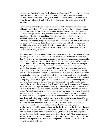genuineness of the Qur' an and the Traditions of Muhammad. Whether this hypothesis about the four kinds of creation is valid or not, it does not in any way affect the Muslim's belief in the truth of the Qur' an and its statement about the birth of Jesus being the miraculous will and work of God. At any rate, the whole point is worth pursuing

Now if anyone wishes to call Jesus the son of God or God because he was created without the precedence of a human father, and because God Himself adopted him or acted as his father, if this holds true the same thing should even be more applicable to and more appropriate for Adam, who had neither a father nor a mother. And if the fatherhood of God is interpreted in a figurative sense then it should apply to all mankind, particularly those who distinguished themselves in the service of the Supreme Lord. Human beings are the magnificent creation of God and, in a sense, are His children. Whether the Fatherhood of God is interpreted literally or figuratively it would be quite arbitrary to confine it to Jesus alone, discarding Adam in the first interpretation and the rest of mankind in the second. The Qur'an reveals the birth of Jesus in the following manner:

And relate (O Muhammad) in the Book (the story of) Mary, when she withdrew from her family to a place in the East. She placed a screen (to screen herself) from them; then We sent to her our angel, and he appeared before her as a man in all respects. She said: 'I seek refuge from you to (God) Most Gracious: (come not near) if you do fear God. ' He said:' Nay, I am only a messenger from your Lord, (To announce) to you the gift of a pure growing son.' She said:' How shall I have a son, seeing that no man has touched me, and I am not unchaste?' He said:' So (it will be): your Lord said: That is easy for Me, and (We wish) to appoint him as a Sign unto men and a Mercy from Us. It is a matter so decreed' . So she conceived him, and she retired with him to a remote place. And the pains of childbirth drove her to the trunk of a palm-tree: She cried (in her anguish ): ' Ah! how I wish I had died before this! how I wish I had been a thing forgotten or out of sight!' But a voice cried to her from beneath the palm-tree:' Grieve not! for your Lord has provided a rivulet beneath you; and shake towards yourself the trunk of the palm-tree: It will let fall fresh ripe dates upon you. So eat and drink and cool (your) eye (be happy). And if you do see any man, say: 'I have vowed a fast to (God) Most Gracious, and this day will I enter into no talk with any human being.' At length she brought him to her people carrying him (in her arms). They said: 'O Mary! truly an amazing thing you have brought! O sister of Aaron! your father was not a man of evil, nor your mother was a woman unchaste!' But she pointed to him. They said: 'How can we talk to one who is a child in the cradle? He said:' I am indeed a servant of God: He has given me revelation and made me a prophet; and He has made me blessed wheresoever I be, and (He) has enjoined on me prayer and charity as long as I live; and (He) has made me kind to my mother, and not overbearing or miserable; so peace is on me the day I was born, the day that I die, and the day that I shall be raised up to life (again)!' Such (was) Jesus the son of Mary. (It is) a statement of truth, about which they (vainly) dispute. It is not befitting to (the Majesty) of God that He should beget a son. Glory be to Him! When he determines a matter, He only says to it: 'Be'; and it is. Verily God is my Lord and your Lord: Him therefore serve you: this is a Way that is straight.(19:16-36; cf.3:42-64; 4:171-172; 5:17, 72-75; 25:2, 43:57-65)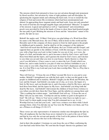The mission which God entrusted to Jesus was not salvation through total atonement by blood sacrifice, but salvation by virtue of right guidance and self-discipline, by quickening the stagnant minds and softening the hard souls. It was to install the true religion of God and restore His revelations which had been misinterpreted and abused. In approaching those stagnant minds and hard souls, Jesus not only preached the word of God but also brought tangible Signs and performed " Miracles" in support of his mission. Logical and spiritual as well as "supernatural" and extraordinary proofs were provided by God at the hands of Jesus to show those hard-hearted people the true path of god. Relating the mission of Jesus and the " miraculous" nature of his proofs, the Qur'an says:

Behold! the angles said: 'O Mary! God gives you glad tidings of a Word from Him: his name is the Messiah Jesus, the son of Mary, held in honor in this world and the Hereafter and of (the company of) those nearest to God; he shall speak to the people in childhood and in maturity. And he shall be (of the company) of the righteous' . 'And God will teach him the Book and Wisdom, the Law (Torah) and the Gospel, and (appoint him) an apostle to the children of Isral, (with this message): ' I have come to you, with a Sign from you Lord, in that I make for you out of clay, as it were, the figure of a bird, and breathe into it, and it becomes a bird by God's leave: and I heal those born blind and the lepers, and I quicken the dead by God's leave; and I declare to you what you eat and what you store in your houses. Surely therein is a Sign for you if you did believe: (I have come to you), to attest the Law (Torah) which was before me, and to make lawful to you part of what was (before) forbidden to you. I have come to you with a Sign from your Lord. So fear God's displeasure and obey me. It is God Who is my Lord and your Lord; then worship Him. This is a Way that is straight (3:45-51)

Then will God say: 'O Jesus the son of Mary! recount My favor to you and to your mother. Behold! I strengthened you with the holy spirit, so that you did speak to the people in childhood and in maturity. Behold! I taught you the Book and Wisdom, the Law and the Gospel. And behold: you make out of clay, as it were, the figure of a bird, by My leave, and you breathe into it, and it becomes a bird by My leave, and you heal those born blind, and the lepers by My leave. And behold! you bring forth the dead by My leave. And behold! I did restrain the children of Israel from (violence to you )when you did show them the Clear Signs, and the unbelievers among them said: 'This is nothing but evident magic.' And behold! God will say: 'O Jesus the son of Mary! did you say unto men, 'worship me and my mother as gods in derogation of God? 'He will say: 'Glory to You! never could I say what I have no right (to say) ... Never said I to them aught except what You did command me to say, to wit, ' Worship God my Lord and your Lord; ' and I was a witness over them while I dwelt amongst them; when You did take me up You were the Watcher over them, and You are a Witness to all things (5:110-117)

These verses are only representative of numerous similar ones throughout the Qur'an. They all emphasize the fact that Jesus never claimed to be a god or the son of God, and that he was only the servant and apostle of the Lord in the pattern of those before him. The Qur' an stresses this fact in the following way:

And in their (the prophets') footsteps we sent Jesus the son of Mary confirming the Law that had come before him: We sent him the Gospel: therein was guidance and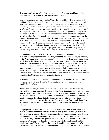light, and confirmation of the Law that had come before him: a guidance and an admonition to those who fear God's displeasure (5:46)

They do blaspheme who say: 'God is Christ the son of Mary.' But Christ said: 'O children of Israel! worship God my Lord and your Lord. Whoever joins other gods with God, - God will forbid him the Garden, and the Fire will be his abode: There will for wrong-doers be no one to help' They do blaspheme who say: 'God is one of three in a Trinity:' for there is no god except one God. If they desist not from their word ( of blasphemy), verily, a grievous penalty will befall the blasphemers among them. Why turn they not to God, and seek His forgiveness? For God is Most Forgiving, Most Merciful, Christ the son of Mary was no more than an apostle; many were the apostles that passed away before him. His mother was woman of truth. They had both to eat their (daily) food. See how God does make His Signs clear to them; yet see in what ways they are deluded away from the truth! ...Say: 'O People of the Book! exceed not in you religion the bounds (of what is proper), trespassing beyond the truth. Nor follow the vain desires of people who went wrong in times gone by, who misled many, and strayed (themselves) from the even Way (5:72-75; cf. 4:171-172)

The beginning of Jesus was controversial. So was his end. In between he was persistent in carrying out his mission, strengthened by the Book of God, by wisdom, by the Clear Signs and by the holy spirit. Yet very few were those who accepted him whole-heartedly. Although tolerant and peace-minded, Jesus could not tolerate the hypocrisy of the children of Israel and their devotion to the letter of the Law at the expense of its spirit. He was rejected and opposed by them, and they plotted to kill him. It was customary among them to reject some of their prophets and kill some. Jesus was no exception to this rule. In fact they believed that they did crucify him. The story was climaxed and dramatized at this stage, and religious mournings became sacred for the Christians as was wailing for the Jews

A plot was planned to crucify Jesus; an actual execution on the cross took place; someone was really crucified. But it was not Jesus; it was someone else who was crucified in his place

As for Jesus himself, God came to his rescue and saved him from the enemies. God crowned his mission on the earth by saving him from violent death and raising him up high to Heaven. Whether he was raised in rank by means of excellence or whether he was raised alive in soul and body or in soul only after he died a natural death has not much bearing on the Islamic beliefs. It is no article of Faith, because what is important and binding to a Muslim is what God reveals; and God revealed that Jesus was not crucified but was raised to Him. The Qur' an related the end of Jesus as follows:

The people of the Book ask you (Muhammad ) to cause a book to descend to them from Heaven: indeed they asked Moses for an even greater (miracle), for they said: 'Show us God in public' . But they were dazed, for their presumption, with a thunder and lightning. Yet they worshipped the Calf even after Clear Signs had come to them; even so We forgave them; and gave Moses manifest proofs of authority. And for their Covenant We raised over them (the towering height ) of Mount (Sinai); and (on another occasion) We said: 'Enter the gate with humility'; and (once again) We commanded them: 'Transgress not in the matter of Sabbath' . And We took from them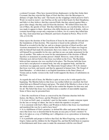a solemn Covenant. (They have incurred divine displeasure); in that they broke their Covenant; that they rejected the Signs of God; that they slew the Messengers in defiance of right; that they said:' Our hearts are the wrappings (which preserve God's Word; we need no more)'; nay God has set the seal in their hearts for their blasphemy, and little is it they believe; that they rejected Faith; that they uttered against Mary a grave false charge; that they said (in boast the dersion): 'We killed Christ Jesus the son of Mary, the apostle of God.' But they killed him not, nor crucified him, but so it was made to appear to them. And those who differ therein are full of doubts, with no (certain) knowledge except only conjecture to follow, for of a surety they killed him not. Nay, God raised him up to Himself; and God is Exalted in Power, Wise (4:153- 158; cf:3:52-59)

Islam rejects the doctrine of the Crucifixion of Jesus by the enemies of God and also the foundations of that doctrine. This rejection is based on the authority of God Himself as revealed in the Qur' an, and on a deeper rejection of blood sacrifice and vicarious atonement for sins. Islam teaches that the First Sin of Adam was forgiven after he himself had made the atonement; that every sinner, if not forgiven by God, will himself be accountable for his sins; and that no one can make atonement for the sins of another. This makes no room for the entertainment of the doctrine of Blood Sacrifice or atonement on another person's behalf. However, some of the early Christian sects did not believe that Jesus was killed on the Cross. The Bacilidans believed that someone else was crucified in his place. The Docetae held that Jesus never had a real physical or natural body, but only an apparent body, and that his cricifixion was apparent, not real. The Marcionite Gospel (about 138 A.D.) denied that Jesus was born, and merely said that he appeared in human form. The Gospel of Saint Barnabas – of which there is an English translation in the State Library of Vienna and an Arabic version in the Arab world-supports the theory of substitution on the Cross

As regards the end of Jesus, the Muslim is quite at ease as he is with regard to his beginning. The Muslim believes that Jesus was neither killed nor crucified, but God raised him up to Himself in honor and grace. The mind of the Muslim is clear as far as the whole matter is concerned. The Qur' an has settled the disputes for him once and for all. The belief that Jesus was crucified raises a number of unavoidable inquiries. Some of these may be presented here

1. Does the crucifixion of Jesus as conceived by the Christian churches befit the Justice, the Mercy, the Power, and the Wisdom of God?

2. Is it just on God's part, or anybody's part for that matter, to make someone repent for the sins or wrongs of others, the sins to which the repenter is no party?

3. Is it consistent with God's Mercy and Wisdom to believe that Jesus was humiliated and murdered the way he is said to have been?

4. Is it a fulfillment of God's promise ( to defend His allies and protect His beloved ones) that Jesus was so deserted that he became an easy prey to God's enemies? Is this to be taken as a way of fulfilling one's obligations or as a precedence in honoring one's word?

5. Is it justifiable and proper to believe that God, the Most Forgiving, was unable to forgive Adam and his children for the Original Sin, and that He held them in suspense or bewilderment until Jesus came to make the atonement with his own blood?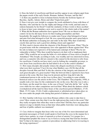6. Does the belief of crucifixion and blood sacrifice appear in any religion apart from the pagan creeds of the early Greeks, Romans, Indians, Persians, and the like? 7. Is there any parallel to Jesus in human history besides the fictitious figures of Bacchus, Apollo, Adonis, Horus and other Virgin-born gods? 8. Does it not give new insight to compare the words attributed to Jesus with those of Bacchus, who said that he was the Alpha and Omega of the world, and had came to redeem humanity by his blood? Could the similarity of these words to those ascribed to Jesus in later years stimulate a new zeal to search for the whole truth of the matter? 9. What did the Roman authorities have against Jesus? He was no threat to their control. In fact he did many favors for their leading personalities and their households. He taught his followers to render unto Caesar what belonged to Caesar and unto God what belonged to God. He was a peaceful preacher and a great help to the Roman authorities in keeping law and order in the land. Why then would they crucify him and lose such a good law-abiding citizen and supporter? 10. How much is known about the character of the Roman Governor, Pilate? Was he on good terms with the contemporary Jews who appealed to Rome against him? Was his rule in Judaea not expressive of his hatred and contempt of them? Was he not vulnerable to bribes? Why then would he hasten to do their will or implement their order? Why would he not accept the bribe of a rich admirer of Jesus such as Joseph of Armathaea? This Joseph, according to Luke, was wealthy and very interested in Jesus, and was a counselor who did not consent to the counsel in the decision to refer Jesus for crucifixion. Could he not have tried, even by bribing the corruptible governor, to save Jesus from crucifixion after he had failed to do so in the council chamber? 11. How many disciples did actually witness the alleged crucifixion of Jesus, and what were their reactions? Can it be true what Matthew says (26:56) that all the disciples forsook Him and fled? Is this the criterion of the integrity and character of such great disciples of a great teacher? Only the beloved John is reported to have been present at the scene. But how long was he present and how long did it take the condemmed person to die on the cross in those days? According to some reliable historical sources (see the article on the Cross, The Chambers' Encyclopedia, 1950), it usually took a few days for the condemned to die on the cross. But why was it only a few hours, not the usual few days, in the case of Jesus? And why did he "die" on the cross while his two other companions survived him? What about the darkness which overshadowed all the land for three hours of the crucifixion period (Matthew, 27:45; Mark, 15:33; Luke, 23:44); Could a replacement or substitution have taken place on the cross under the purple robe during that period of darkness and confusion?

12. How familiar with Jesus were those Roman soldiers who came to take him to cross? How certain were they that it was the right person they took to the scene? Did they really recognize him when they went to arrest him? Did they have any particular interest or urge to identify Jesus at that time when public festivities were taking place and fear of public outburst was imminent?

13. Can a believer imagine that Jesus (who was one of the five most determined and persistent messengers of God) would speak to God from the cross in the manner he is said to have spoken, in a tone of reproach or at best of anxiety? Is it proper for a distinguished prophet like Jesus to say to God at a trying time that God has forsaken him? Is that to be taken as a pattern or precedence in addressing God or in reacting to the trying experiences?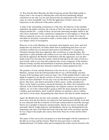14. Was God the Most Merciful, the Most Forgiving and the Most High unable to forgive men's sins except by inflicting this cruel and most humiliating alleged crucifixion on one who was not only innocent but also dedicated to His service and cause in a most remarkable way? Is this the application of God's mercy and forgiveness or the reflection of His justice and love?

A study of the surrounding circumstances of the time, the behavior of the mundane authorities, the public reactions, the concept of God, the status of man, the purpose of religion and the life – a study of these can provoke interesting thoughts similar to the ones I have mentioned. Until a satisfactory explanation of such inquiries is found, the believer cannot be at ease, nor can he enjoy any true peace of mind. So it may be advisable for all parties concerned to make a serious study of the matter and embark on a deeper course of investigation

However, as far as the Muslims are concerned, such inquiries never arise, and such perplexities are irrelevant, for Islam stands firm in maintaining that Jesus was not crucified or killed, but was honored and raised to God Himself. It is reported in Christian Literature that Jesus appeared, after crucifixion, to some disciples. His appearance is quite probable and conflicts in no way with the Islamic beliefs. If it was true that he appeared, the Muslim would believe that this appearance was not after death on the Cross but after the asylum; which he had taken by the order of God as a step in God's plan to save him and counteract the vicious conspiracy of the enemies. Instead of being crucified and humiliated as had been planned by the enemy, he was more exalted in rank and more honored as had been counter-planned by God

The greatness of Jesus and the distinction of his role do not, according to the Muslims, emanate from the Christian belief that he was cold-bloodedly crucified because of his teachings and to atone for man's sins. If this popular belief is valid, one might be tempted to say that the sacrifice of Jesus for atonement was in vain because sin has not been eliminated. Or one may even say that there are thousands of great heroes, like Jesus, who died in promotion of their causes, worthy and otherwise. These can be found everywhere, among the Germans, the Allies, the Communists, the officials of the United Nations Organization, the religious warriors, the freedom fighters, etc. So if this violent death is going to deify the dead, humanity must have countless gods and deities, and it would be arbitrary on anybody's part to confine such deity to Jesus alone, disregarding the other heroes who died in similar situations

Again, the Muslim does not face such a paradox. He believes that the greatness of Jesus arises from the fact that he was chosen by God and honored with His word; that he was entrusted with the revelations of God and commissioned to teach His message; that he was a prophet of character and personality; that he was sincere inwardly and outwardly; that he fought hypocrisy and blasphemy; that he was distinguished in the beginning at the time of his birth and in the end at the time of his ascension; and that he was a Sign to the people and a mercy from God. Peace be on him and his fellow prophets

The nature of this survey does not permit us to deal thoroughly with the statements of the Qur' an on Jesus and his mission. What has been given here is only the fundamental part. For further study and investigation the reader may be referred to the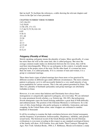Qur' an itself. To facilitate the references, a table showing the relevant chapters and verses in the Qur'an is here presented

CHAPTER NUMBER VERSE NUMBER 2 87,136,253 3 42-59,84 4 156-159, 171-172 5 17,46,72,75,78,110-118 6 85 9 30-31 19 1-40 23 50 33 7 42 13 43 57-65 57 27 61 6,14

## *Polygamy (Plurality of Wives)*

Strictly speaking, polygamy means the plurality of mates. More specifically, if a man has more than one wife at the same time, this is called polygyny. But since the average common reader makes no distinction between the two terms, they will be used here interchangeably. When we say polygamy in this context, it actually means polygyny in the proper sense of the term. On the other hand, if a woman has more than one mate, it is called polyandry. If it is a mixture of men and women, it is a group or communal marriage.

These three basics types of plural marriage have been more or less practiced by different societies in different ages under different circumstances. The most common pattern is polygyny; yet it is still necessarily limited to a very small minority of any given population for various reasons. This is the only pattern permitted by Islam. The other two, plurality of husbands (polyandry) and group marriages are absolutely forbidden in Islam

However, it is not correct that Judaism and Christianity have always been monogamous or categorically opposed to polygyny, not even today. We are informed by some prominent Jewish scholars, e.g. Goitein (pp. 184-185), that polygynous Jewish immigrants cause the Israeli housing authorities a great deal of both difficulty and embarrassment. The position of the Christian Mormons is well known. So is the view of Afro-Asian bishops who prefer polygyny to infidelity, fornication, and mate swapping. In the United States alone, mate swappers are estimated to number hundreds of thousands

It will be revealing to examine the high correlation between strict formal monogamy and the frequency of prostitution, homosexuality, illegitimacy, infidelity, and general sexual laxity. The historical record of the Greek-Roman and the Jewish-Christian civilizations is even more revealing in this respect as any standard sociological history of the family will show. (S.D Goitein, Jews and Arabs: Their Contracts Through the Ages. New York: Schoken Books, 1964; L.T. Hobhouse, Morals in Evolution: a study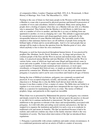of comparative Ethics. London: Chapman and Hall, 1951; E.A. Westermark, A Short History of Marriage. New York: The Macmillan Co., 1926)

Turning to the case of Islam we find many people in the Western world who think that a Muslim is a man who is possessed by physical passions and himself in possession of a number of wives and concubines, limited or unlimited. Many more among these people show a feeling of surprise when they see a Muslim with one wife or a Muslim who is unmarried. They believe that the Muslim is at full liberty to shift from one wife or a number of wives to another, and that this is as easy as shifting from one apartment to another, or even as changing one's suit. This attitude is aggravated partly by sensational motion pictures and cheap paperback stories, and partly by the irresponsible behavior of some Muslim individuals. The inevitable result of this situation is that stationary barriers have cut off millions of people from seeing the brilliant lights of Islam and its social philosophy. And it is for such people that an attempt will be made to discuss the question from the Muslim point of view, after which anybody is free to draw his own conclusions

Polygamy as such has been practiced throughout human history. It was practiced by prophets like Abraham, Jacob, David, Solomon, etc.; by kings and governors; by common people of the East and the West in ancient and modern times alike. Even today, it is practiced among Muslims and non-Muslims of the East and the West in various forms, some of which are legal and some illegal and hypocritical; some in secret and some in public. It does not require much search to find out where and how a great number of married people maintain private mistresses, or stock spare sweethearts, or frequent their beloved ones, or simply go around with other women, protected by common law. Whether moralists like it or not, the point remains that polygamy is in practice and it can be seen everywhere and found in all ages of history

During the time of Biblical revelations, polygamy was commonly accepted and practiced. It was accepted religiously socially, and morally; and there was no objection to it. Perhaps this is why the Bible itself did not deal with the subject because it was then a matter of fact, a matter of course. The Bible does not forbid it or regulate it or even restrict it. Some people have interpreted the ten-virgin story of the Bible as a sanction for maintaining ten wives at a time. The stories of biblical prophets, kings, and patriarchs in this regard are incredible

When Islam was re-presented by Muhammad the practice of polygamy was common and deeply-rooted in the social life. The Qur' an did not ignore the practice or discard it, nor did it let it continue unchecked or unrestricted. The Qur'an could not be indifferent to the question or tolerant of the chaos and irresponsibility associated with polygamy. As it did with other prevailing social customs and practices, the Qur' an stepped in to organize the institution and polish it in such a way as to eradicate its traditional evils and insure its benefits. The Qur' an interfered because it had to be realistic and could not condone any chaos in the family structure which is the very foundation of society. The benevolent intervention of the Qur' an introduced these regulations:

1. Polygamy is permissible with certain conditions and under certain circumstances. It is a conditional permission and not an article of Faith or a matter of necessity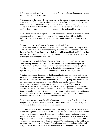2. This permission is valid with a maximum of four wives. Before Islam there were no limits or assurances of any kinds

3. The second or third wife, if ever taken, enjoys the same rights and privileges as the first one. She is fully entitled to whatever is due to the first one. Equality between the wives in treatment, provisions and kindness is a prerequisite of polygamy and a condition that must be fulfilled by anyone who maintains more than one wife. This equality depends largely on the inner conscience of the individual involved

4. This permission is an exception to the ordinary course. It is the last resort, the final attempt to solve some social and moral problems, and to deal with inevitable difficulties. In short, it is an emergency measure, and it should be confined to that sense.

The Qur' anic passage relevant to the subject reads as follows: If the fear that you shall not be able to deal justly with the orphans (whom you marry or whose mothers you take as wives for you), marry women of your choice, two or three, or four; but if you fear that you shall not be able to deal justly (with them), then only one, or (a captive) that your right hands possess. That will be more suitable to prevent you from doing injustice (4:3)

The passage was revealed after the Battle of Uhud in which many Muslims were killed, leaving widows and orphans for whom due care was incumbent upon the Muslim survivors. Marriage was one way of protecting those widows and orphans. The Qur' an made this warning and gave that choice to protect the rights of the orphans and prevent the guardians from doing injustice to their dependents

With this background it is apparent that Islam did not invent polygamy, and that by introducing the said regulations it does not encourage it as a rule. It did not abolish it because if it were abolished, that would have been in theory only, and people would have continued the practice as is observed today among other people whose constitutions and social standards do not approve polygamy, Islam came to be enforced, to be lived, to be practised, and not to stay in suspense or be considered a mere theory. It is realistic and its outlook on life is most practicable. And that is why it permits conditional and restricted polygamy; because had it been in the best interest of humanity as a whole to do without this institution, God would have certainly ordered its termination. But who knows better than He?

There is a variety of reasons for which Islam permits polygamy. One does not have to imagine such reasons or make hypotheses. They are real and can be seen every day everywhere. Let us examine some of these reasons

1. In some societies women outnumber men: This is especially true of industrial and commercial regions, and also of countries that get involved in wars. Now if a Muslim society is in this category, and if Islam were to forbid polygamy and restrict legal marriage to one wife only, what would the unmarried ones do? Where and how would they find the naturally desirable companionship? Where and how would they find sympathy, understanding, support and protection? The implications of the problem are not simply physical; they are also moral, sentimental, social, emotional and natural. Every normal woman – whether she is in business or in foreign service or in the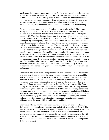intelligence department – longs for a home, a family of her own. She needs some one to care for and some one to care for her. She desires to belong socially and familially. Even if we look at it from a strictly physical point of view, the implications are still very serious, and we cannot just ignore them; otherwise, psychological complexes, nervous breaks, social disgust and mental instability would develop as legitimate results of leaving the problem unsolved. Clinical evidence of this is overwhelming.

These natural desires and sentimental aspirations have to be realized. These needs to belong, and to care, and to be cared for, have to be satisfied somehow or other. Women in such a situation do not usually transform their nature or lead an angelic course of life. They feel that they have every right to enjoy life and obtain their share. If they cannot have it in a legal and decent way, they never fail to find other channels, although risky and temporary. Very few women can do without the permanent and assured companionship of men. The overwhelming majority of unmarried women in such a society find their way to meet men. They put up lavish parties, organize social cocktails, attend business conventions, pursue outgoing roads, and so on. The results of this desperate hunting is not always moral or decent. A certain married man may appeal to some woman, and she would try to win him legally or otherwise. Also, some woman may attract a certain man, who might be demoralized or depressed for some reason or other. Such a man will try to have some intimate relationship with her in the open or in secret, in a decent manner or otherwise, in a legal form or just by common law. This would certainly have serious effects on the family life of the married man involved, and would ruin from within the morale and social morality of society. Wives would be deserted or neglected; children would be forsaken; homes would be broken, and so on.

The woman who meets a male companion under such circumstances has no security or dignity or rights of any kind. Her male companion or professional lover could be with her, maintain her and frequent her residence with gifts and readiness to shower on her all expressions of passionate romance. But what assurance has she got? How can she stop him from walking out on her or letting her down in times when he is most needed and his companionship is most desired? What will prevent him from calling off this secret romance? Morality? Conscience? The Law? Nothing will help; morality was given a death blow when they started this kind of intimacy; conscience was paralyzed when he indulged in this relationship against all regulations of God and man; the Law of society does not recognize any intimacy except with one's only wife. So, the male can enjoy this easy companionship as long as he wishes, and once his feelings cool off he can go to meet another woman and repeat the same tragedy without regulated responsibilities or obligations on his part.

The woman who has had this experience may still be attractive and appealing, or desirous. She may even look for another man and give it a second trial. But will this give her any security or assurance or dignity or right? She will be running in the same vicious circle all the time hunting or hoping to be hunted. Her burden will grow heavier and heavier, especially if there are children involved. Yet in the end she will be forgotten. That does not befit human dignity or feminine delicacy. Any woman in this situation is bound to become either a nervous wreck or a rebellious revenger and destroyer of morality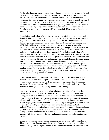On the other hand, no one can pretend that all married men are happy, successful and satisfied with their marriages. Whether it is his own or his wife's fault, the unhappy husband will look for some other kind of companionship and consolation from somebody else. This is made easy for him when women outnumber men. If he cannot get it through honest channels, he will get it by other means with the result of immoral and indecent intimacies, which may involve illegitimacy, abortion and other endless troubles. These may be ugly and bitter facts, but they are real and acute problems. They have to be solved in a way that will secure the individual, male or female, and protect society.

The solution which Islam offers in this respect is a permission to the unhappy and dissatisfied husband to marry a second wife and live with her openly in a responsible way with equal fulfillment of all obligations to the first wife and to the second. Similarly, it helps unmarried women satisfy their needs, realize their longings and fulfill their ligitimate aspirations and natural desires. It gives them a permission to associate with men by marriage and enjoy all the rights and privileges of legal wives. In this way Islam does not try to evade the question or ignore the problem. It is realistic and frank, straightforward and practical. The solution which Islam offers is legal, decent and benevolent. Islam suggests this solution because it can never tolerate hypocrisy in human relations. It cannot accept as legal and moral the attitude of a man who is by law married to one wife and in reality has unlimited scope of intimacies and secret relationships. On the other hand, it is deadly opposed to adultery and cannot condone it. The penalty of adulterers and adulteresses can be as severe as capital punishment, and that of fornicators can be as painful as flogging each of them with a hundred stripes. With hypocrisy, infidelity and adultery forbidden, there is no other alternative except to allow legal polygamy. And this is what Islam has done with the above –mentioned regulations and conditions.

If some people think it unacceptable, they have to resort to the other alternatives which Islam does not accept or particularly favor. And if some other people can control themselves and exercise self- discipline in every aspect, they do not need polygamy. The main concern of Islam is to maintain the dignity and security of the individual, and to protect the integrity and morale of society

Now anybody can ask himself as to what is better for a society of this kind. Is it commendable to let chaos and irresponsible behavior ruin the very foundations of society, or to resort to and implement the Islamic resolution? Is it in the interest of society to ignore its acute problems, to tolerate hypocrisy and indecency, to condone adultery and secret intimacy? Is it healthy to suppress the legitimate desires and natural longings of man and woman for companionship, the suppression which cannot be effective in reality and which would only drive them to illegal and indecent outlets? Whether the question is considered from a social or moral or humanitarian or spiritual or any other point of view, it will be realized that it is far better for the society to permit its individuals to associate on a legal basis and in a responsible manner, with the protection of the Law and under the supervision of the authorities concerned

Even if we look at the matter from a feminine point of view, it will be clear that by this very resolution, Islam assures the woman of due respect, secures her rights and integrity, recognizes her legitimate desire for decent companionship, gives her room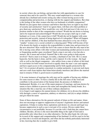in society where she can belong, and provides her with opportunities to care for someone dear and to be cared for. This may sound unpleasant to a woman who already has a husband and resents seeing any other woman having access to his companionship and protection, or sharing with her his support and kindness. But what is the feeling of the other women who have no husbands or reliable companions? Should we just ignore their existence and believe that they have no right to any kind of security and satisfaction? And if we ignore them, will that solve their problem or give them any satisfaction? How would this very wife feel and react if she were in a position similar to that of the companionless women? Would she not desire to belong and to be respected and acknowledged? Would she not accept a half cup or a half husband, as it were, if she cannot have it full? Would she not be happier with some protection and security, instead of being deprived of it altogether? What will happen to her and her children, if the dear husband becomes attracted to or by one of those "surplus" women over a social cocktail or a dancing party? What will become of her if he deserts his family or neglects his responsibilities to make time and provision for the new attraction? How would she feel if she comes to know that the only man in her life is having some affairs with other women and maintaining another person in secret or frequenting another spare sweetheart? Such a man is not only a loss but also a menace. He is mean and wicked. Granted! But is this curse going to help anyone involved ? Such a man is no longer, in reality, a husband of one wife. He is a mean hypocrite, but the harm is done, and the soul is injured. It is the woman - the legal wife as well as the illegal companion – who suffers from a state of affairs of this kind. Is it not better for both women involved to equally share the man's care and support, and have equal access to his companionship and be both equally protected by the law?. It is to protect all parties concerned, to combat unchastity, to prevent such harm and save souls from injuries that Islam benevolently interferes and allows the married man to remarry if there is good reason or justification

2. In some instances of marriage the wife may not be capable of having any children for some reason or other. To have a family life in the full sense of the word and contribute to the preservation of the human kind, the presence of children is fundamental. Besides, it is one of the major purposes of marriage, and man desires by nature to have children to preserve his name and strengthen the family bonds. In a situation like this a man has one of three ordinary alternatives: (i) to forget it and suppress his natural desires for children; (ii) to divorce his childless wife through a course of separation, adultery or otherwise; and (iii) to adopt children and give them his name

None of these alternatives fits the general outlook of Islam on life and nature. Islam does not encourage or approve suppression of anyone's legitimate desires and natural aspirations. It helps to realize those aspirations and desires in a decent and legal way because suppression in such a case is not part of its system. Divorce under these circumstances is not justifiable, because it is not the wife's fault that she cannot have children. Besides, divorce is the most detestible thing in the sight of God and is permissible only when there is no other alternative. On the other hand, the wife may be in need of the support and companionship of her husband. It will be cruel to let her go when she is in need and desperate, and when she has nobody particularly interested in her, knowing that she is unable to give birth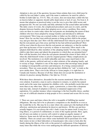Adoption is also out of the question, because Islam ordains that every child must be called by his real father's name, and if the name is unknown, he must be called a brother in faith (Qur' an, 33:4-5). This, of course, does not mean that a child who has no known father or supporter should suffer deprivation or lack of care. Far from it. It means that adoption as practiced today is not the way to give that child secure and prosperous life. No one can really and fully substitute for the actual father and mother. The daily course of events, the complicated procedures and cases in courts, and the disputes between families attest that adoption never solves a problem. How many cases are there in courts today where the real parents are demanding the return of their children who have been adopted by strange families and introduced to different environments? How long can a normal mother or father see his child in a strange home? How far can they trust artificial parents to bring up their child in the proper way and give him due care? How will the child himself feel when he grows up to find that his real parents gave him away and that he has had artificial parenthood? How will he react when he discovers that his real parents are unknown, or that his mother gave him up because of fear or poverty or shame or insecurity? How much is the adopted child liked by other members of the adopting family? Do they like a strange child to take their name and inherit the properties to which they are potential heirs? How will the breeders feel when the real parents demand the return of their child, or when the child himself wishes to join his original parents? Many complications are involved. The institution is no doubt unhealthy and may cause much harm to the child, to the parents, artificial and real, to other relations of the adopting family, and to society at large. Adoption is one of the major reasons that encourage many people to indulge in irresponsible activities and intimacies. It is being commercialized nowadays. There are some people who put up their children for "sale" or trade as the news media show. That is not in the African or Asian jungles; it is right here in Canada and America. Because of all that, Islam does not accept the institution or tolerate its practice among Muslims (See Qur'an, 33:4-6)

With these three alternatives, discarded for the reasons mentioned, Islam offers its own solution. It permits a man in such a situation to remarry, to satisfy his natural needs and at the same time maintain his childless wife, who probably needs him now more than at any other time. This is, again, a permission, a course that a desperate man may take, instead of adoption or divorce or unnatural suppression of his aspirations. It is another instance where remarriage is the best feasible choice, another way out of a difficult situation to help people to live a normal and secure life in every aspect

3. There are cases and times where the wife is incapable of fulfilling her marital obligations. She may fail to be as pleasant a companion as she should be or even as she would like to be. She may be in a state where she cannot give the husband all the affection, satisfaction and attention he deserves and desires. All this can and does actually happen. It is not always the wife's fault; it may be nature itself. It may be a long illness, or a period of confinement, or some of the regular periods. Here, again, not all men can endure or exercise self-control or adopt an angelic manner of behavior. Some men do fall into the pit of immorality, deception, hypocrisy and infidelity. There are actual cases where some husbands fall in passionate love with their sisters-in-law or their babysitters or housekeepers who come to look after the family during the illness of the wife or the period of confinement. It has happened many times that while the wives were undergoing the difficult operations of delivery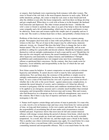or surgery, their husbands were experiencing fresh romance with other women. The sister or friend of the sick lady is the most frequent character in such a play. With all noble intentions, perhaps, she comes to help her sick sister or dear friend and look after the children or just after the house temporarily, and from there on things develop and get complicated. When there is a sick wife at home or in the hospital, the husband feels lonesome and depressed. The other woman around the house – whether the wife's sister or friend or anybody else, takes it as part of her help to show the husband some sympathy and a bit of understanding, which may be sincere and honest or may be otherwise. Some men and women exploit this simple start of sympathy and use it to the end. The result is a broken heart here or there, and probably a broken home too

Problems of this kind are not imaginary or even rare. They are common among people. Newspapers deal from time to time with such problems. Court files also bear witness to this fact. The act of man in this respect may be called mean, immoral, indecent, vicious, etc. Granted! But does this help? Does it change the fact or alter human nature? The act is done, an offense is committed repeatedly, and an acute problem is calling for a practicable and decent solution. Should the lawmakers satisfy themselves with an outright condemnation of such a man and his acts? Should they let him ruin his own integrity and destroy the moral foundations of society? Should they allow hypocrisy and immorality to replace honesty and faithfulness? Outright prohibition and condemnation have not stopped some men from committing the offense or quickened their conscience. On the contrary, they have made room for hypocrisy, secret infidelity and irresponsibility in the face of which the law and lawmakers are helpless

Now Islam cannot be helpless. It cannot compromise on moral standards or tolerate hypocrisy and infidelity. It cannot deceive itself or man by false and pretended satisfactions. Nor can Islam deny the existence of the problem or simply resort to outright condemnation and prohibition, because that does not even minimize the harm. To save a man of this kind from his own self, to protect the woman involved – whether she is the wife or the secret friend – against unnecessary complications, to maintain the moral integrity of society, and to minimize evil, Islam has allowed recourse to polygamy with the reservations and conditions mentioned above. This is to be applied as an emergency measure and is certainly much healthier than nominal monogamy and irresponsible relations between man and woman. Men and women, who find themselves in a desperate state or in a difficult entanglement, may resort to this solution. But if there is any fear of injustice and harm to any party, then monogamy is the rule

4. Nature itself requires certain things and actions of man in particular. It is man who, as a rule, travels a lot on business trips and stays away from home for various periods of time, on long and short journeys, in his own country and abroad. No one can take the responsibility of ascertaining that all men under such circumstances remain faithful and pure. Experience shows that most men do fall and commit immoral offenses with strange women during the period of absence from home, which may be months or years. Some people are weak and cannot resist even the easily resistible temptations. As a result, they fall into sin, and that might cause a break in the family. This is another case where restricted polygamy may apply. It is much better for a man of this type to have a second home with a second legal wife than to be free in committing immoral and irresponsible offenses. This is even much better for the wife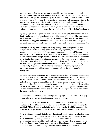herself; when she knows that her man is bound by legal regulations and moral principles in his intimacy with another woman, she is most likely to be less irritable than when he enjoys the same intimacy otherwise. Naturally she does not like her man to be shared by anybody else. But when she is confronted with a situation wherein the man has the choice to be either legallly responsible and morally bound, or illegally and immorally associated with someone else, she would certainly choose the first alternative and accept the situation. However, if she is harmed or her rights are violated, she can always refer to the law or obtain a divorce if it be in her best interest

By applying Islamic polygamy to this case, the man's integrity, the second woman's dignity and the moral values of society would be more safeguarded. These cases need no elaboration. They are factual elements in daily life. They may be rare, but rarer is the practice of polygamy among Muslims. Those Muslims who resort to polygamy are much rarer than the infidel husbands and wives who live in monogamous societies

Although it is risky and contingent on many prerequisites, as explained earlier, polygamy is far better than negligence and infidelity, hypocrisy and insecurity, immorality and indecency. It helps men and women to solve their difficult problems on a realistic and responsible basis. It brings down to a minimum many psychological, natural and emotional complications of human life. It is a precautionary measure to be applied in the best interest of all parties concerned. Yet it is no article of Faith in Islam nor is it an injunction; it is merely a permission from God, a solution of some of the most difficult problems in human relations. The Muslims maintain that legal and conditional polygamy is preferable to the other courses that many people take nowadays, people who pride themselves on nominal marriage and superficial monogamy

To complete the discussion one has to examine the marriages of Prophet Muhammad. These marriages are no problem for a Muslim who understands the ideal character of the Prophet and the circumstances under which his marriages were contracted. But quite often they stand as a stumbling block for non-Muslims to understand the personality of the Prophet, and cause irresponsible and premature conclusions, which are not to the credit of Islam or the Prophet. Here we shall not give any conclusions of our own or denounce the conclusions of others. We shall present certain facts and let the readers see for themselves

1. The institution of marriage as such enjoys a very high status in Islam. It is highly commendable and essential for the sound survival of society

2. Muhammad never said that he was immortal or divine. Time and again, he emphasized the fact that he was mortal chosen by God to deliver God's message to mankind. Although unique and distinguished in his life, he lived like a man and died as a man. Marriage, therefore, was natural for him, and not a heresy or anathema

3. He lived in an extremely hot climate where the physical desires press hard on man, where people develop physical maturity at an early age, and where easy satisfaction was a common thing among people of all classes. Nevertheless, Muhammad had never touched women until he was twenty-five years of age, when he married for the first time. In the whole Arabia he was known by his unimpeachable character and called al-Ameen, a title which signified the highest standard of moral life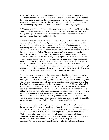4. His first marriage at this unusually late stage in that area was to Lady Khadeejah, an old twice-widowed lady who was fifteen years senior to him. She herself initiated the contract, and he accepted the proposal in spite of her older age and in spite of her being twice- widowed. At the time he could have quite easily found many prettier girls and much younger wives, if he were passionate or after things physical

5. With this lady alone, he lived until he was over fifty years of age, and by her he had all his children with the exception of Ibraheem. She lived with him until she passed the age of sixty-five, and in her life he never had any other marriage or any other intimacy with anybody besides his only wife

6. Now he proclaimed the message of God, and was well over fifty and she over sixtyfive years of age. Persecutions and perils were continually inflicted on him and his followers. In the middle of these troubles, his wife died. After her death, he stayed without any wife for some time. Then there was Sawdah, who had emigrated with her husband to Abyssinia in the early years of persecutions. On the way back her husband died and she sought a shelter. The natural course for her was to turn to the Prophet himself for whose mission her husband had died. The Prophet extended his shelter and married her. She was not particularly young or pretty and pleasant. She was an ordinary widow with a quick and loose temper. Later in the same year, the Prophet proposed to a minor girl of seven years, Aishah, the daughter of his dear companion Abu Bakr. The marriage was not consummated till some time after the migration to Medina. The motives of these two marriages can be understood to be anything except passions and physical attractions. However, he lived with the two wives for five to six years, up to his fifty-sixth year of age, without taking any other wife

7. From his fifty-sixth year up to the sixtieth year of his life, the Prophet contracted nine marriages in quick succession. In the last three years of his life he contracted no marriages at all. Most of his marriages were contracted in a period of about five years, when he was passing the most difficult and trying stage in his mission. It was at that time that Muslims were engaged in decisive battles and entangled in an endless circle of trouble from within as well as from without. It was at that time that the Islamic legislation was in the making, and the foundations of an Islamic society were being laid down. The fact that Muhammad was the most dominant figure in these events and the center around which they revolved, and that most of his marriages took place during this particular period is an extremely interesting phenomenon. It invites the serious attention of historians, sociologists, legislators, psychologists, etc. It cannot be interpreted simply in terms of physical attractions and lustful passions

8. Muhammad lived a most simple, austere, and modest life. During the day he was the busiest man of his era as he was Head of State, Chief Justice, Commander-in-Chief, Instructor, etc., all at once. At night he was the most devoted man. He used to stay one to two-thirds of every night vigilant in prayers and meditation (Qur' an, 73:20). His furniture consisted of mats, jugs, blankets and such simple things, although he was the king and sovereign of Arabia. His life was so severe and austere that his wives once pressed him for wordly comforts but they never had any (cf. Qur' an, 33:48). Obviously, that was not the life of a lustful and passionate man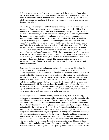9. The wives he took were all widows or divorced with the exception of one minor girl, Aishah. None of these widowed and divorced wives was particularly known for physical charms or beauties. Some of them were senior to him in age, and practically all of them sought his hand and shelter, or were presented to him as gifts but he took them as legal wives

This is the general background of the Prophet's marriages, and it can never give any impressions that these marriages were in response to physical needs of biological pressures. It is inconceivable to think that he maintained so large a number of wives because of personal designs or physical wants. Anyone, a friend or a foe, who doubts the moral integrity or the spiritual excellence of Muhammad on account of his marriages has to find satisfactory explanations of questions like these: Why did he start his first marriage at the age of 25 after having had no association with any female? Why did he choose a twice-widowed older lady who was 15 years senior to him? Why did he remain with her only until her death when he was over fifty? Why did he accept all those helpless widows and divorcees who possessed no particular appealing qualities? Why did he lead such an austere and hard life, when he could have had an easy and comfortable course? Why did he contract most of his marriages in the busiest five years in his life, when his mission and career were at stake? How could he manage to be what he was, if the harem life or passions overtook him? There are many other points that can be raised. The matter is not so simple as to be interpreted in terms of manly love and desire for women. It calls for a serious and honest consideration

Reviewing the marriages of Muhammad individually one does not fail to find the actual reasons behind these marriages. They may be classified as follows: 1. The Prophet came to the world as an ideal model for mankind, and so he was in all aspects of his life. Marriage in particular is a striking illustration. He was the kindest husband, the most loving and cherishable partner. He had to undertake all stages of human experience and moral test. He lived with one wife and with more than one, with the old and the young, with the widow and the divorcee, with the pleasant and the temperamental, with the renowned and the humble; but in all cases he was the pattern of kindness and consolation. He was designated to experience all these variant aspects of human behavior. For him this could not have been a physical pleasure; it was a moral trial as well as a human task, and a hard one, too

2. The Prophet came to establish morality and assure every Muslim of security, protection, moral integrity and a decent life. His mission was put to the test in his life and did not stay in the stationary form of theory. As usual, he took the hardest part and did his share in the most inconvenient manner. Wars and persecutions burdened the Muslims with many widows, orphans and divorcees. They had to be protected and maintained by the surviving Muslim men. It was his practice to help these women get resettled by marriage to his companions. Some women were rejected by the companions and some others sought his personal patronage and protection. Realizing fully their conditions and sacrifices for the cause of Islam, he had to do something to relieve them. One course of relief was to take them as his own wives and accept the challenge of heavy liabilities. So he did and maintained more than one wife at a time which was no fun or easy course. He had to take part in the rehabilitation of these widows, orphans and divorcees because he could not ask his companions to do things which he himself was not prepared to do or participate in. these women were trusts of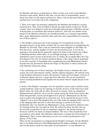the Muslims and had to or participate in. These women were trusts of the Muslims and had to kept jointly. What he did, then, was his share of responsibility, and as always his share was the largest and heaviest. That is why he had more than one wife, and had more wives than any of his companions

3. There were many war prisoners captured by the Muslims and entitled to security and protection. They were not killed or denied any right, human or physical. On the contrary, they were helped to settle down through legal marriages to Muslims instead of being taken as concubines and common mistresses. That also was another moral burden on the Muslims and had to be shouldered jointly as a common responsibility. Here, again, Muhammad carried his share and took some responsibilities by marrying two of those captives

4. The Prophet contracted some of his marriages for sociopolitical reasons. His principal concern was the future of Islam. He was most interested in strengthening the Muslims by all bonds. That is why he married the minor daughter of Abu Bakr, his First Successor, and the daughter of Umar, his Second Successor. It was by his marriage to Juwairiah that he gained the support for Islam of the whole clan of Bani al-Mustaliq and their allied tribes. It was through marriage to Safiyah that he neutralized a great section of the hostile Jews of Arabia. By accepting Mary the Copt from Egypt as his wife, he formed a political alliance with a king of great magnitude. It was also a gesture of friendship with a neighboring king that Muhammad married Zaynab who was presented to him by the Negus of Abyssinia in whose territory the early Muslims found safe refuge

5. By contracting most of these marriages, the Prophet meant to eliminate the caste system, the racial and national vanities, and the religious prejudices. He married some of the humblest and poorest women. He married a Coptic girl from Egypt, a Jewess of a different religion and race, a negro girl from Abyssinia. He was not satisfied by merely teaching brotherhood and equality but he meant what he taught and put it into practice

6. Some of the Prophet's marriages were for legislative reasons and to abolish certain corrupt traditions. Such was his marriage to Zaynab, divorcee of the freed slave Zaid. Before Islam, the Arabs did not allow divorcees to remarry. Zaid was adopted by Muhammad and called his son as was the custom among the Arabs before Islam. But Islam abrogated this custom and disapproved its practice. Muhammad was the first man to express this disapproval in a practical way. So he married the divorcee of his "adopted" son to show that adoption does not really make the adopted child a real son of the adopting father and also to show that marriage is lawful for divorcees. Incidentally, this very Zaynab was Muhammad's cousin, and had been offered to him for marriage before she was taken by Zaid. He refused her then, but after she was divorced he accepted her for the two legislative purposes: the lawful marriage of divorcees and the real status of adopted children. The story of this Zaynab has been associated in some minds with ridiculous fabrications as regards the moral integrity of Muhammad. These vicious fabrications are not even worth considering here (see Qur'an, 33:36,37,40)

These are the circumstances accompanying the Prophet's marriages. For the Muslims there is no doubt whatsoever that Muhammad had the highest standards of morality and was the perfect model for man under all circumstances. To non-Muslims we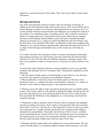appeal for a serious discussion of the matter. They, then may be able to reach sound conclusons

## *Marriage and Divorce*

One of the most distorted concepts of Islam is the real meaning of marriage. In addition to the brief statement made earlier in this survey, a few more remarks may be useful. Marriage in Islam is not a business deal negotiated by two partners, nor is it a secular contract whereby material benefits and obligations are evaluated in contrast to one another. It is something solemn, something sacred, and it would be erroneous to define it in simply physical or material and secular terms. Moral charity, spiritual elevation, social integrity, human stability, peace and mercy constitute the major elements of marriage. It is a contract to which God Himself is the First Witness and the First Party; it is concluded in His Name, in obedience to Him and according to His ordinances. It is a decent human companionship, authorized and supervised by God. It is a Sign of His blessings and abundant mercy as He clearly says in the Qur'an, (30:21)

It is evident, therefore, that marriage in Islam is a means of permanent relationship and continuous harmony not only between man and women but also between those and God. It is also clear that when two Muslims negotiate a marriage contract, they have every intention to make it a lasting success, for good or for bad, for better or for worse

To insure this result, Islam has laid down certain regulations to give every possible assurance that marriage will serve its purpose fully. Among these regulations are the following:

1. The two parties should acquire a fair knowledge of each other in a way that does not involve any immoral or deceptive and exploitative behavior

2. Man in particular is exhorted to choose his female partner on the basis of her permanent values, i.e., religious devotion, moral integrity, character, etc., and not on the basis of her wealth or family prestige or mere physical attractions

3. Woman is given the right to make sure that the proposing man is a suitable match, worthy of her respect and love, and capable of making her happy. On this ground, she may reject the proposal of a man whom she finds below her level or unfit, because this may hinder the fulfillment of her obligations as a wife and may even break her would-be marriage

4. Woman has a right to demand a dowry from her suitor according to her standards and also according to his means. If she wishes to disregard this right and accept him with a little or no dowry, she may do so. The injunction of dowry on man is to assure the woman that she is wanted, needed, and that the man is prepared and willing to undertake his responsibilities, financially and otherwise. Dowry is also a symbolic gesture indicating that the woman will be secure, and that the man is not looking for any material gains as his motive for entering the marriage. It draws the clear lines between what each party should expect and not expect of the other

5. Marriage should be made public and celebrated in a most joyful manner. The free consent of both parties is an essential condition without which marriage is not valid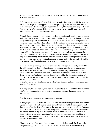6. Every marriage, in order to be legal, must be witnessed by two adults and registered in official documents

7. Complete maintenance of the wife is the husband's duty. She is entitled to that by virtue of marriage. If she happens to have any property or possessions, that will be hers before and after marriage; the husband has no right whatsoever to any portion or share of his wife's property. This is to restrict marriage to its noble purposes and disentangle it from all unworthy objectives

With all these measures, it can be seen that Islam has given all possible assurances to make marriage a happy companionship and a solid foundation of continuous harmony and permanent peace. But in view of the fact that human behavior is changeable and sometimes unpredictable, Islam takes a realistic outlook on life and makes allowances for all unexpected events. Marriage, as has been said, has decent and noble purposes which must be fulfilled. Islam does not accept or recognize any marriage which is not functional and effective. There can be no nominal or idle marriage. There must be a successful marriage or no marriage at all. Marriage is too solemn a contract to be stationary or non-effective. So if it does not serve its purpose or function properly, it may be terminated by divorce with conservation of all rights of the parties concerned. This is because there is no point in keeping a nominal and worthless contract, and to save human kind from being tied by vows which cannot be honored

When the Islamic marriage, which is based on the said regulations and governed by the said precautions, does not function properly, there must be some very serious obstacles in the way, something that cannot be overcome by reconciliation. In a situation like this, divorce is applicable. However, it is the last resort because it is described by the Prophet as the most detestable of all lawful things in the sight of God. But before taking this final and desperate step, some attempts must be made in the following order:

1. The two parties involved must try to settle their disputes and solve their problems between themselves

2. If they fail, two arbitrators, one from the husband's relations and the other from the wife's, must be commissioned to try to make peace between them and settle their differences

3. If this attempt also fails, divorce might be applied

In applying divorce to such a difficult situation, Islamic Law requires that it should be agreed upon by both parties, and grants each of them the right of seeking divorce. It does not confine the right of divorce to the man only or to the woman alone. Both can exercise this right. If either one of the two parties does not feel secure or happy with the other who arbitrarily refuses to grant divorce, and if the demand of divorce is found justifiable, the court must interfere and help the wronged party to obtain a divorce. It is the duty of the Law administrators to see to it that all rights are preserved and that harm is minimized

After the divorce takes place, there is waiting period during which the divorcee is completely supported and maintained by her former husband. She cannot marry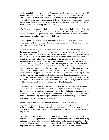another man before the expiration of this period, which is between three months to 12 months time depending on the circumstance of the woman. If one divorces his wife after touching her (made love to her), it will be mandatory for her to pass three consecutive full periods of menstruation if she is of those who got menstruated and is not pregnant. Allah says in the Holy Qur'an "Divorced woman shall wait concerning themselves for three monthly periods… " (2:228)

" For those who are pregnant, their period is until they deliver their burdens… " (65:4) If the woman is of the type who is not menstruating for some reasons (i.e., young girl, one who removed her reproduction organ or one who for some reasons have no more hope to menstruate) her waiting period shall be three months

"Such of your woman as have passed the age of monthly courses, for them the prescribed period, if ye have any doubts, is three months, and for those who have no courses (it is the same).." (65:4)

In another circumstance, if the woman is one who used to menstruate regularly, but the blood has stopped for a certain reason, such as being afflicted with sickness or fostering a baby. The woman must be confined in an unlimited period of waiting even if it will last long. Under such circumstance, she has to wait until the blood comes out. Then her period of waiting will be calculated by the days in which the blood will be remaining and nothing else. However, if the woman gets cured or finished fostering (i.e., the cause of stoppage of blood has ceased) and yet she is not menstruated, she must then wait for a full year period (as Iddat) after which the reason thereof is cleared. It is said further, that if the reason for the interruption of the blood has been cleared but still no presence of the blood, she will be like one whose blood of menstruation has stopped for an unknown reason. Thus, she must wait for a period of one full year (i.e., nine months attributed to pregnancy being the maximum period as step for precaution in addition of the three months waiting period). (A Treatise on The Natural Blood of Woman by Sheikh Mohammad As-Salih Al-Othaiymeen, translated by Mohammad mostafa Shamma and revised by Dr. Huda Afshi)

The waiting period is another chance for both to reconsider their attitudes in a more serious manner and deliberate on the reflections of their separation. If they desire during that period to reunite, they are permitted to do so. In fact, they are encouraged to reunite because separation in this way usually helps them appreciate one another more. When the waiting period expires, the divorcee is free to marry another man. They are no longer obligated to one another

Should there be a reunion between the divorcee and her former husband, their marriage will be just like fresh one. If their relations do not improve, they can resort to the same solution of divorce, after which they may reunite by a new marriage in case they so desire. But if this second reunion does not succeed, then a final divorce may be applied

By allowing divorce in the first place, Islam declares its policy that it cannot tolerate unhappy, cold and stagnant marriages which are much more harmful than divorce. By making it twice, one after the other, with the choice of the parties to reunite, it offers every conceivable chance to make marriage effective and purposeful. Here, Islam is prepared to tackle all kinds of problems and cope with all situations. It does not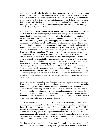endanger marriage by allowing divorce. On the contrary, it insures it by the very same measure, for the wrong person would know that the wronged one can free himself of herself from injustice and harm by divorce. By realizing that marriage is binding only as long as it is functional and successful, both parties would do their utmost to make their marriage fulfilling before doing anything that might affect the continuance of marriage. It makes each party careful in choosing the other partner before marriage and in treating that partner afterwards

When Islam makes divorce obtainable by mutual consent or by the interference of the court on behalf of the wronged party, it stands firmly on guard for morality and human dignity. It does not force a person to suffer the injustice and harm of an unfaithful partner. It does not drive people to immorality and indecency. It tell them this: either you live together legally and happily or else you separate in a dignified and decent way. What is morally and humanly most remarkable about Islam in this respect is that it does not force any person to lower his or her dignity and degrade his morality just to obtain a divorce. It is not necessary for a Muslim to "separate" from his or her partner some years before divorce can be granted. Nor is the granting of divorce conditional on adultery. "Separation" as endorsed by many systems can and certainly does involve immoral and indecent actions. In case of "separation" of this kind the person can neither enjoy his rights not fulfill his obligations of marriage. He or she is officially married, but how much does he enjoy married life? He is tied as tightly as can be, yet he is loose that no restrictions can affect him. He cannot get a divorce or remarry, but is there any legal limit to his scope of extramarital relationships? He can move with whomever he likes unchecked and unrestricted. These are things which happen every day and need no elaboration. "Separation" of this kind might help someone to finally get a divorce, but how costly it is to morality and how high the price is for society to pay! This is something that Islam can never accept or endorse, because it would violate the whole system of moral values which Islam cherishes

Considering the case of adultery and its endorsement by some systems as a basis for divorce, we can only say this: it is so humiliating to human dignity and detrimental to morality that a person should commit adultery or pretend to have committed it to obtain a divorce. The viewpoint of Islam on adultery has been already stated above. What happens, however, in most cases is this: people are not divorced because they have committed adultery or pretend to have committed it, but they commit adultery or pretend it in order to obtain divorce decrees, which are not granted otherwise. What a reverse and disgraceful course in human relations!

This is the stand of Islam on the matter. If divorce has to be obtained as a last resort, it must be granted with dignity and due respect. When Islam is applied to married life, there will be no room for "separation" or "adultery" as bases for divorce. Nor will there be that easy Hollywood-type divorce, which sprang as an extreme reaction to an extreme rigidity. Any system dealing with human nature has to be realistic and moderate, making allowances for all circumstances with preparedness to cope with all conditions. Else, it would be self-destructive and groundless, a state of which Islam is absolutely free (see Qur'an, 2:224-232; 4:34-35; 4:127-130)

One final remark will conclude this discussion. In virtually every known society and religion, there are ways to terminate any marriage. The divorce rates in industrialized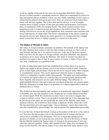world are rapidly rising and divorce laws are increasingly liberalized. However, divorce in Islam remains a remarkable moral act. Mates are commanded by God to be kind and patient and are reminded of how one may dislike something in one's mate in which God has placed much good and virtue. They are assured of God's help if they mean well and stay together. But if they must part by divorce, it is to be sought without intent of injury or harm. If they part gracefully and honorably, God assures them of enrichment of His all-reaching bounty. The whole marital context, from beginning to end, is centered around and oriented to the belief in God. The verses dealing with divorce are not dry legal stipulations; they commence and conclude with moral exhortations of a high order. The moral commitments of the parties extend far beyond the divorce date. Indeed, the entire question is so incorporated into a highly moral system that divorce is rightly regarded as a moral act in the main

## *The Status of Woman in Islam*

The status of woman in Islam constitutes no problem. The attitude of the Qur'an and the early Muslims bear witness to the fact that woman is, at least, as vital to life as man himself, and that she is not inferior to him nor is she one of the lower species. Had it not been for the impact of foreign cultures and alien influences, this question would have never arisen among the Muslims. The status of woman was taken for granted to be equal to that of man. It was a matter of course, a matter of fact, and no one, then, considered it as a problem at all

In order to understand what Islam has established for woman, there is no need to deplore her plight in the pre-Islamic era or in the modern world of today. Islam has given women rights and privileges which she has never enjoyed under other religious or constitutional systems. This can be understood when the matter is studied as a whole in a comparative manner, rather than partially. The rights and responsibilities of a woman are equal to those of a man but they are not necessarily identical with them. Equality and sameness are two quite different things. This difference is understandable because man and woman are not identical but they are created equals. With this distinction in mind, there is no problem. It is almost impossible to find two identical men or women

This distinction between equality and sameness is of paramount importance. Equality is desirable, just, fair; but sameness is not. People are not created identical but they are created equals. With this distinction in mind, there is no room to imagine that woman is inferior to man. There is no ground to assume that she is less important than he just because her rights are not identically the same as his. Had her status been identical with his, she would have been simply a duplicate of him, which she is not. The fact that Islam gives her equal rights - but not identical - shows that it takes her into due consideration, acknowledges her, and recognizes her independent personality

It is not the tone of Islam that brands woman as the product of the devil or the seed of evil. Nor does the Qur'an place man as the dominant lord of woman who has no choice but to surrender to his dominance. Nor was it Islam that introduced the question of whether or not woman has any soul in her. Never in the history of Islam has any Muslim doubted the human status of woman or her possession of soul and other fine spiritual qualities. Unlike other popular beliefs, Islam does not blame Eve alone for the First Sin. The Qur'an makes it very clear that both Adam and Eve were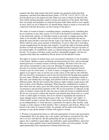tempted; that they both sinned; that God's pardon was granted to both after their repentance; and that God addressed them jointly. (2:35-36; 7:19,27; 20:117-123). In fact the Qur'an gives the impression that Adam was more to blame for that First Sin from which emerged prejudice against woman and suspicion of her deeds. But Islam does not justify such prejudice or suspicion because both Adam and Eve were equally in error, and if we are to blame Eve we should blame Adam as much or even more (In connection with this discussion, see the Concept of Sin above.)

The status of woman in Islam is something unique, something novel, something that has no similarity in any other system. If we look to the Eastern Communist world or to the democratic nations, we find that woman is not really in a happy position. Her status is not enviable. She has to work so hard to live, and sometimes she may be doing the same job that a man does but her wage is less than his. She enjoys a kind of liberty which in some cases amounts to libertinism. To get to where she is nowadays, woman struggled hard for decades and centuries. To gain the right of learning and the freedom of work and earning, she had to offer painful sacrifices and give up many of her natural rights. To establish her status as a human being possessing a soul, she paid heavily. Yet in spite of all these costly sacrifices and painful struggles, she has not acquired what Islam has establish by Divine decree for the Muslim woman

The rights of woman of modern times were not granted voluntarily or out of kindness to the female. Modern woman reached her present position by force, and not through natural processes or mutual consent or Divine teachings. She had to force her way, and various circumstances came to her aid. Shortage of manpower during wars, pressure of economic needs and requirements of industrial developments forced woman to get out of her home - to work, to learn, to struggle for her livelihood, to appear as an equal to man, to run her race in the course of life side by side with him. She was forced by circumstances and in turn she forced herself through and acquired her new status. Whether all women were pleased with these circumstances being on their side, and whether they are happy and satisfied with the results of this course is a different matter. But the fact remains that whatever rights modern woman enjoys fall short of those of her Muslim counterpart. What Islam has established for woman is that which suits her nature, gives her full security and protects her against disgraceful circumstances and uncertain channels of life. We do not need here to elaborate on the status of modern woman and the risks she runs to make her living or establish herself. We do not even need to explore the miseries and setbacks that encircle her as a result of the so-called rights of woman. Nor do we intend to manipulate the situation of many unhappy homes which break because of the very "freedom" and "rights" of which modern woman is proud. Most women today exercise the right of freedom to go out independently, to work and earn, to pretend to be equal to man, but this, sadly enough, is at the expense of their families. This is all known and obvious. What is not known is the status of woman in Islam. An attempt will be made in the following passages to sum up the attitude of Islam with regard to woman

1. Woman is recognized by Islam as a full and equal partner of man in the procreation of humankind. He is the father; she is the mother, and both are essential for life. Her role is no less vital than his. By this partnership she has an equal share in every aspect; she is entitled to equal rights; she undertakes equal responsibilities, and in her there are as many qualities and as much humanity as there are in her partner. To this equal partnership in the reproduction of human kind God says: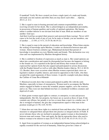O mankind! Verily We have created you from a single (pair) of a male and female, and made you into nations and tribes that you may know each other. . . .(Qur'an, 49:13; cf. 4:1)

2. She is equal to man in bearing personal and common responsibilities and in receiving rewards for her deeds. She is acknowledged as an independent personality, in possession of human qualities and worthy of spiritual aspirations. Her human nature is neither inferior to nor deviant from that of man. Both are members of one another. God says:

And their Lord has accepted (their prayers) and answered them (saying): 'Never will I cause to be lost the work of any of you, be he male or female; you are members, one of another … . (3:195; cf. 9:71; 33:35-36; 66:19-21)

3. She is equal to man in the pursuit of education and knowledge. When Islam enjoins the seeking of knowledge upon Muslims, it makes no distinction between man and woman. Almost fourteen centuries ago, Muhammad declared that pursuit of knowledge is incumbent on every Muslim male and female. This declaration was very clear and was implemented by Muslims throughout history

4. She is entitled to freedom of expression as much as man is. Her sound opinions are taken into consideration and cannot be disregarded just because she happens to belong to the female sex. It is reported in the Qur'an and history that woman not only expressed her opinion freely but also argued and participated in serious discussions with the Prophet himself as well as with other Muslim leaders (Qur'an, 58:1-4; 60:10- 12). Besides, there were occasions when Muslim women expressed their views on legislative matters of public interest, and stood in opposition to the Califs, who then accepted the sound arguments of these women. A specific example took place during the Califate of Umar Ibn al-Khattab

5. Historical records show that women participated in public life with the early Muslims, especially in times of emergencies. Women used to accompany the Muslim armies engaged in battles to nurse the wounded, prepare supplies, serve the warriors, and so on. They were not shut behind iron bars or considered worthless creatures and deprived of souls

6. Islam grants woman equal rights to contract, to enterprise, to earn and possess independently. Her life, her property, her honor are as sacred as those of man. If she commits any offense, her penalty is no less or more than a man's in a similar case. If she is wronged or harmed, she gets due compensations equal to what man in her position would get (2:178; 4:45, 92-93)

7. Islam does not state these rights in a statistical form and then relax. It has taken all measures to safeguard them and put them into practice as integral articles of Faith. It never tolerates those who are inclined to prejudice against woman or discrimination between man and woman. Time and again, the Qur'an reproaches those who used to believe woman to be inferior to man (16:57-59, 62; 42:47-50; 43:15-19; 53:21-23)

8. Apart from recognition of woman as an independent human being acknowledged as equally essential for the survival of humanity, Islam has given her a share of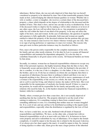inheritance. Before Islam, she was not only deprived of that share but was herself considered as property to be inherited by man. Out of that transferable property Islam made an heir, acknowledging the inherent human qualities in woman. Whether she is wife or mother, a sister or daughter, she receives a certain share of the deceased kin's property, a share which depends on her degree of relationship to the deceased and the number of heirs. This share is hers, and no one can take it away or disinherit her. Even if the deceased wishes to deprive her by making a will to other relations or in favor of any other cause, the Law will not allow him to do so. Any proprietor is permitted to make his will within the limit of one-third of his property, so he may not affect the rights of his heirs, men and women. In the case of inheritance, the question of equality and sameness is fully applicable. In principle, both man and woman are equally entitled to inherit the property of the deceased relations but the portions they get may very. In some instances man receives two shares whereas woman gets one only. This is no sign of giving preference or supremacy to man over woman. The reasons why man gets more in these particular instances may be classified as follows:

First, man is the person solely responsible for the complete maintenance of his wife, his family and any other needy relations. It is his duty by Law to assume all financial responsibilities and maintain his dependents adequately. It is also his duty to contribute financially to all good causes in his society. All financial burdens are borne by him alone.

Secondly, in contrast, woman has no financial responsibilities whatsoever except very little of her personal expenses, the highly luxurious things that she likes to have. She is financially secure and provided for. If she is a wife, her husband is the provider; if she is a mother, it is the son; if she is a daughter, it is the father; if she is a sister; it is the brother, and so on. If she has no relations on whom she can depend, then there is no question of inheritance because there is nothing to inherit and there is no one to bequeath anything to her. However, she will not be left to starve; maintenance of such a woman is the responsibility of the society as a whole, the state. She may be given aid or a job to earn her living, and whatever money she makes will be hers. She is not responsible for the maintenance of anybody else besides herself. If there is a man in her position, he would still be responsible for his family and possibly any of his relations who need his help. So, in the hardest situation her financial responsibility is limited, while his is unlimited.

Thirdly, when a woman gets less than a man does, she is not actually deprived of anything that she has worked for. The property inherited is not the result of her earning or endeavors. It is something coming to them from a neutral source, something additional or extra. It is something that neither man nor woman struggled for. It is a sort of aid, and any aid has to be distributed according to the urgent needs and responsibilities, especially when the distribution is regulated by the Law of God.

Now, we have a male heir, on one side, burdened with all kinds of financial responsibilities and liabilities. We have, on the other side, a female heir with no financial responsibilities at all or at most with very little of it. In between we have some property and aid to redistribute by way of inheritance. If we deprive the female completely, it would be unjust to her because she is related to the deceased. Likewise, if we always give her share equal to the man's, it would be unjust to him. So, instead of doing injustice to either side, Islam gives the man a larger portion of the inherited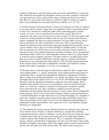property to help him to meet his family needs and social responsibilities. At the same time. Islam has not forgotten her altogether, but has given her a portion to satisfy her very personal needs. In fact, Islam in this respect is being more kind to her than to him. Here we can say that when taken as a whole the rights of woman are equal to those of man although not necessarily identical (see Qur'an, 4:11-14, 176)

9. In some instances of bearing witness to certain civil contracts, two men are required or one man and two women. Again, this is no indication of the woman being inferior to man. It is a measure of securing the rights of the contracting parties, because woman, as a rule, is not so experienced in practical life as man. This lack of experience may cause a loss to any party in a given contract. So the Law requires that at least two women should bear witness with one man. If a woman of the witnesses forgets something, the other one would remind her. Or if she makes an error, due to lack of experience, the other would help to correct her. This is a precautionary measure to guarantee honest transactions and proper dealings between people. In fact, it gives woman a role to play in civil life and helps to establish justice. At any rate, lack of experience in civil life does not necessarily mean that woman is inferior to man in her status. Every human being lacks one thing or another, yet no one questions their human status (2:282). (It is interesting that a woman's witness in certain matters is exclusive and her expertise conclusive. No man's witness is accepted and no more than one woman is needed. Furthermore, bearing witness to contracts and business transactions is not a privilege but a duty (Qur'an, 2:282-283) that must be performed. If the woman's share of this duty is lightened by one half, it can hardly be called a denial of her rights; if anything, it is a favor or an exemption)

10. Woman enjoys certain privileges of which man is deprived. She is exempt from some religious duties, i.e., prayers and fasting, in her regular periods and at times of confinement. She is exempt from attending the obligatory congregation of Fridays. She is exempt from all financial liabilities. As a mother, she enjoys more recognition and higher honor in the sight of God (31:14-15; 46:15). The Prophet acknowledged this honor when he declared that Paradise is under the feet of the mothers. She is entitled to three-fourths of the son's love and kindness with one-fourth left for the father. As a wife she is entitled to demand of her prospective husband a suitable dowry that will be her own. She is entitled to complete provision and total maintenance by the husband. She does not have to work or share with her husband the family expenses. She is free to retain, after marriage, whatever she possessed before it, and the husband has no right whatsoever to any of her belongings. As a daughter or sister she is entitled to security and provision by the father and brother respectively. That is her privilege. If she wishes to work or be self supporting and participate in handling the family responsibilities, she is quite free to do so, provided her integrity and honor are safeguarded

11. The standing of woman in prayers behind man does not indicate in any sense that she is inferior to him. Woman, as already mentioned, is exempt from attending congregational prayers which are obligatory on man. But if she does attend she stands in separate lines made up of woman exclusively, just as the under-aged children compose separate lines behind the adult men. This is a regulation of discipline in prayers, and not a classification of importance. In men's rows the head of state stands shoulder to shoulder to the pauper. Men of the highest ranks in society stand in prayer side by side with other men of the lowest ranks. The order of lines in prayers is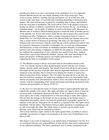introduced to help every one to concentrate in his meditation. It is very important because Muslim prayers are not simply chanting or the sing-a-song type. They involve actions, motions, standing, bowing, prostration, etc. So if men mix with women in the same lines, it is possible that something disturbing or distracting may happen. The mind will become occupied by something alien to prayer and derailed from the clear path of meditation. The result will be a loss of the purpose of prayers, besides an offense of adultery committed by the eye, because the eye - by looking at forbidden things - can be guilty of adultery as much as the heart itself. Moreover, no Muslim man or woman is allowed during prayers to touch the body of another person of the opposite sex. If men and women stand side by side in prayer they cannot avoid touching each other. Furthermore, when a woman is praying in front of a man or beside him, it is very likely that any part of her dressed body may become uncovered after a certain motion of bowing or prostrating. The man's eye may happen to be looking at the uncovered part, with the result that she will be embarrassed and he will be exposed to distraction or possibly evil thoughts. So, to avoid any embarrassment and distraction, to help concentrate on meditation and pure thoughts, to maintain harmony and order among worshippers, to fulfill the true purposes of prayers, Islam has ordained the organization of rows, whereby men stand in front lines, children behind them, and women behind the children. Anyone with some knowledge of the nature and purpose of Muslim prayers can readily understand the wisdom of organizing the lines of worshippers in this manner

12. The Muslim woman is always associated with an old tradition known as the "veil". It is Islamic that the woman should beautify herself with the veil of honor, dignity, chastity, purity and integrity. She should refrain from all deeds and gestures that might stir the passions of people other than her legitimate husband or cause evil suspicion of her morality. She is warned not to display her charms or expose her physical attractions before strangers. The veil which she must put on is one that can save her soul from weakness, her mind from indulgence, her eyes from lustful looks, and her personality from demoralization. Islam is most concerned with the integrity of woman, with the safeguarding of her morals and morale and with the protection of her character and personality (cf. Qur'an. 24:30-31)

13. By now it is clear that the status of woman in Islam is unprecedentedly high and realistically suitable to her nature. Her rights and duties are equal to those of man but not necessarily or absolutely identical with them. If she is deprived of one thing in some aspect, she is fully compensated for it with more things in many other aspects. The fact that she belongs to the female sex has no bearing on her human status or independent personality, and it is no basis for justification of prejudice against her or injustice to her person. Islam gives her as much as is required of her. Her rights match beautifully with her duties. The balance between rights and duties is maintained, and no side overweighs the other. The whole status of woman is given clearly in the Qur'anic verse which may be translated as follows:

And women shall have rights similar to the rights against them, according to what is equitable; but man have a degree (of advantage as in some cases of inheritance) over them (2:228)

This degree is not a title of supremacy or an authorization of dominance over her. It is to correspond with the extra responsibilities of man and give him some compensation for his unlimited liabilities. The above-mentioned verse is always interpreted in the